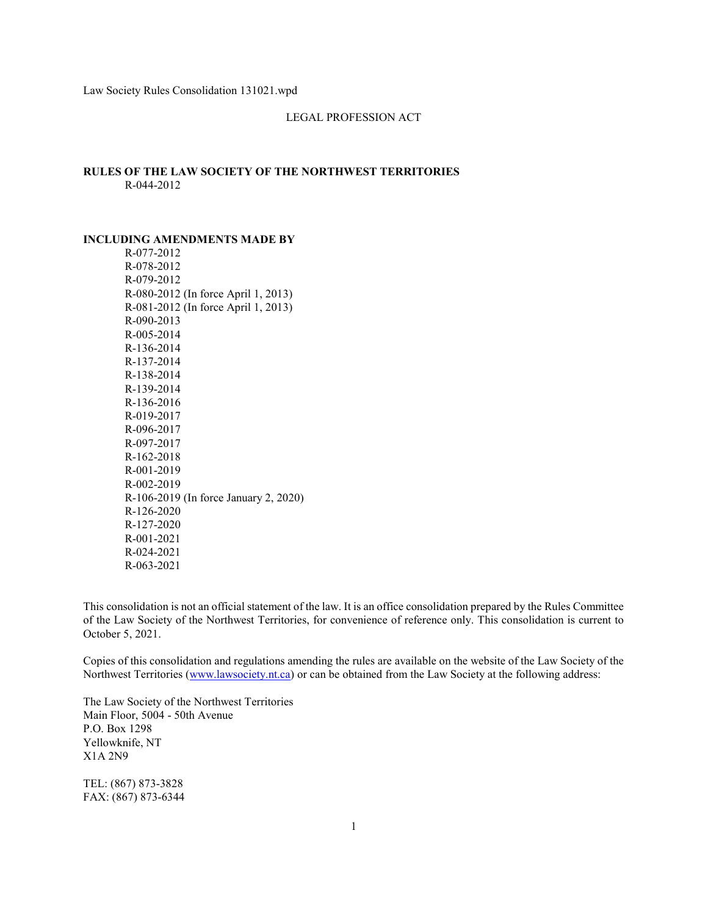### LEGAL PROFESSION ACT

## RULES OF THE LAW SOCIETY OF THE NORTHWEST TERRITORIES R-044-2012

#### INCLUDING AMENDMENTS MADE BY

R-077-2012 R-078-2012 R-079-2012 R-080-2012 (In force April 1, 2013) R-081-2012 (In force April 1, 2013) R-090-2013 R-005-2014 R-136-2014 R-137-2014 R-138-2014 R-139-2014 R-136-2016 R-019-2017 R-096-2017 R-097-2017 R-162-2018 R-001-2019 R-002-2019 R-106-2019 (In force January 2, 2020) R-126-2020 R-127-2020 R-001-2021 R-024-2021 R-063-2021

This consolidation is not an official statement of the law. It is an office consolidation prepared by the Rules Committee of the Law Society of the Northwest Territories, for convenience of reference only. This consolidation is current to October 5, 2021.

Copies of this consolidation and regulations amending the rules are available on the website of the Law Society of the Northwest Territories (www.lawsociety.nt.ca) or can be obtained from the Law Society at the following address:

The Law Society of the Northwest Territories Main Floor, 5004 - 50th Avenue P.O. Box 1298 Yellowknife, NT X1A 2N9

TEL: (867) 873-3828 FAX: (867) 873-6344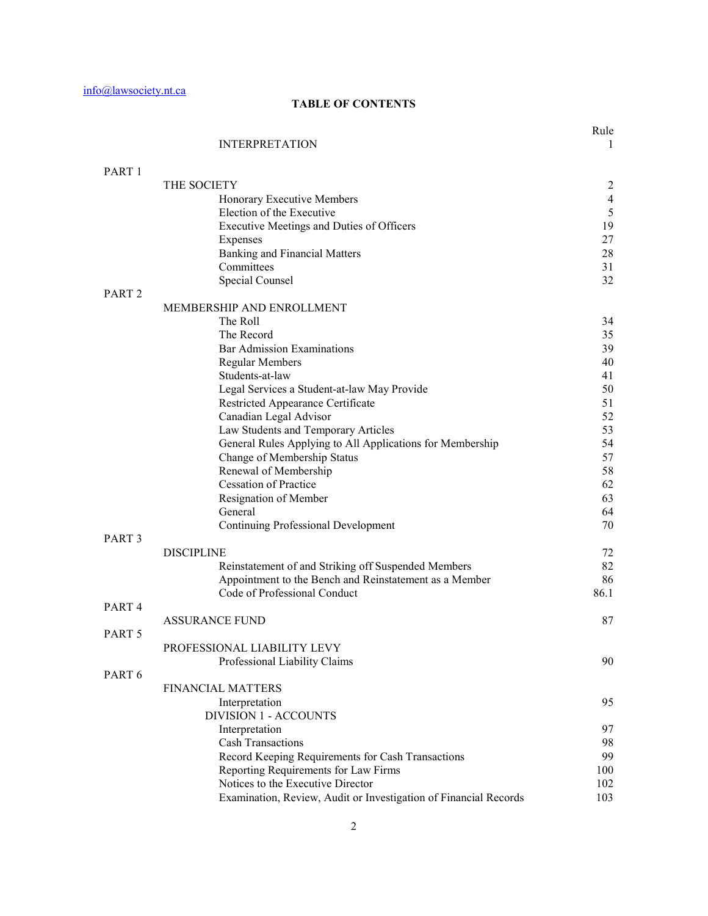# TABLE OF CONTENTS

| <b>INTERPRETATION</b> |  |  |
|-----------------------|--|--|
|                       |  |  |

Rule

| PART 1            |                                                                  |      |
|-------------------|------------------------------------------------------------------|------|
|                   | THE SOCIETY                                                      | 2    |
|                   | Honorary Executive Members                                       | 4    |
|                   | Election of the Executive                                        | 5    |
|                   | Executive Meetings and Duties of Officers                        | 19   |
|                   | Expenses                                                         | 27   |
|                   | <b>Banking and Financial Matters</b>                             | 28   |
|                   | Committees                                                       | 31   |
|                   | Special Counsel                                                  | 32   |
| PART <sub>2</sub> | MEMBERSHIP AND ENROLLMENT                                        |      |
|                   | The Roll                                                         | 34   |
|                   | The Record                                                       | 35   |
|                   | <b>Bar Admission Examinations</b>                                | 39   |
|                   | <b>Regular Members</b>                                           | 40   |
|                   | Students-at-law                                                  | 41   |
|                   | Legal Services a Student-at-law May Provide                      | 50   |
|                   | Restricted Appearance Certificate                                | 51   |
|                   | Canadian Legal Advisor                                           | 52   |
|                   | Law Students and Temporary Articles                              | 53   |
|                   | General Rules Applying to All Applications for Membership        | 54   |
|                   | Change of Membership Status                                      | 57   |
|                   | Renewal of Membership                                            | 58   |
|                   | <b>Cessation of Practice</b>                                     | 62   |
|                   | Resignation of Member                                            | 63   |
|                   | General                                                          | 64   |
|                   | Continuing Professional Development                              | 70   |
| PART <sub>3</sub> |                                                                  |      |
|                   | <b>DISCIPLINE</b>                                                | 72   |
|                   | Reinstatement of and Striking off Suspended Members              | 82   |
|                   | Appointment to the Bench and Reinstatement as a Member           | 86   |
|                   | Code of Professional Conduct                                     | 86.1 |
| PART <sub>4</sub> |                                                                  |      |
|                   | <b>ASSURANCE FUND</b>                                            | 87   |
| PART 5            |                                                                  |      |
|                   | PROFESSIONAL LIABILITY LEVY                                      |      |
|                   | Professional Liability Claims                                    | 90   |
| PART <sub>6</sub> |                                                                  |      |
|                   | FINANCIAL MATTERS                                                |      |
|                   | Interpretation                                                   | 95   |
|                   | <b>DIVISION 1 - ACCOUNTS</b>                                     |      |
|                   | Interpretation                                                   | 97   |
|                   | <b>Cash Transactions</b>                                         | 98   |
|                   | Record Keeping Requirements for Cash Transactions                | 99   |
|                   | Reporting Requirements for Law Firms                             | 100  |
|                   | Notices to the Executive Director                                | 102  |
|                   | Examination, Review, Audit or Investigation of Financial Records | 103  |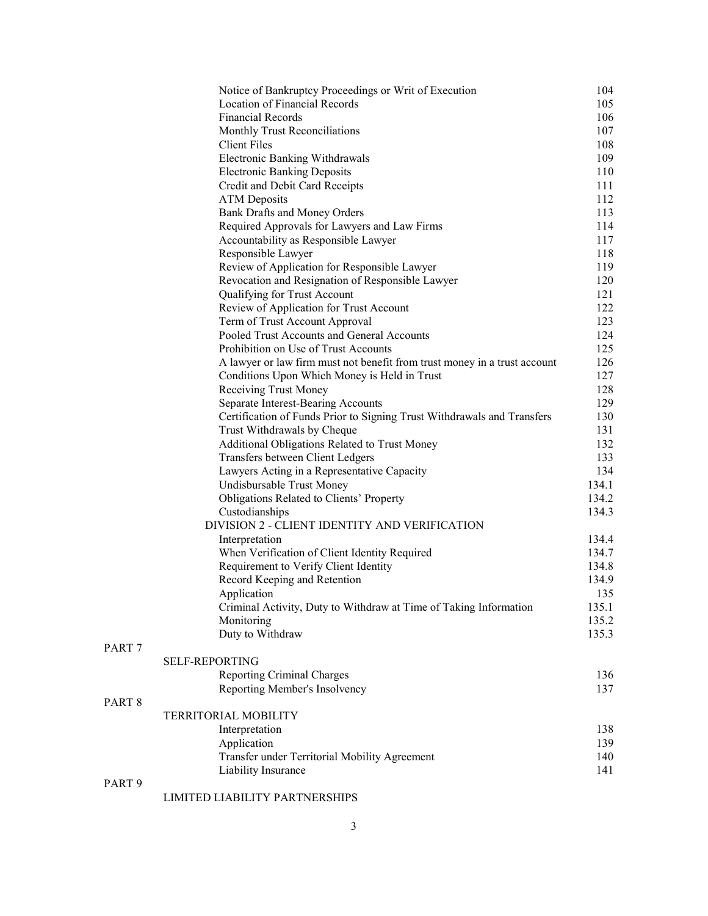|                   | Notice of Bankruptcy Proceedings or Writ of Execution                     | 104   |
|-------------------|---------------------------------------------------------------------------|-------|
|                   | Location of Financial Records                                             | 105   |
|                   | <b>Financial Records</b>                                                  | 106   |
|                   | Monthly Trust Reconciliations                                             | 107   |
|                   | <b>Client Files</b>                                                       | 108   |
|                   | <b>Electronic Banking Withdrawals</b>                                     | 109   |
|                   | <b>Electronic Banking Deposits</b>                                        | 110   |
|                   | Credit and Debit Card Receipts                                            | 111   |
|                   | <b>ATM</b> Deposits                                                       | 112   |
|                   | Bank Drafts and Money Orders                                              | 113   |
|                   | Required Approvals for Lawyers and Law Firms                              | 114   |
|                   | Accountability as Responsible Lawyer                                      | 117   |
|                   | Responsible Lawyer                                                        | 118   |
|                   | Review of Application for Responsible Lawyer                              | 119   |
|                   | Revocation and Resignation of Responsible Lawyer                          | 120   |
|                   | Qualifying for Trust Account                                              | 121   |
|                   | Review of Application for Trust Account                                   | 122   |
|                   | Term of Trust Account Approval                                            | 123   |
|                   | Pooled Trust Accounts and General Accounts                                | 124   |
|                   | Prohibition on Use of Trust Accounts                                      | 125   |
|                   | A lawyer or law firm must not benefit from trust money in a trust account | 126   |
|                   | Conditions Upon Which Money is Held in Trust                              | 127   |
|                   | Receiving Trust Money                                                     | 128   |
|                   | Separate Interest-Bearing Accounts                                        | 129   |
|                   | Certification of Funds Prior to Signing Trust Withdrawals and Transfers   | 130   |
|                   | Trust Withdrawals by Cheque                                               | 131   |
|                   | Additional Obligations Related to Trust Money                             | 132   |
|                   | Transfers between Client Ledgers                                          | 133   |
|                   | Lawyers Acting in a Representative Capacity                               | 134   |
|                   | Undisbursable Trust Money                                                 | 134.1 |
|                   | Obligations Related to Clients' Property                                  | 134.2 |
|                   | Custodianships                                                            | 134.3 |
|                   | DIVISION 2 - CLIENT IDENTITY AND VERIFICATION                             |       |
|                   | Interpretation                                                            | 134.4 |
|                   | When Verification of Client Identity Required                             | 134.7 |
|                   | Requirement to Verify Client Identity                                     | 134.8 |
|                   | Record Keeping and Retention                                              | 134.9 |
|                   | Application                                                               | 135   |
|                   | Criminal Activity, Duty to Withdraw at Time of Taking Information         | 135.1 |
|                   | Monitoring                                                                | 135.2 |
|                   | Duty to Withdraw                                                          | 135.3 |
| PART <sub>7</sub> |                                                                           |       |
|                   | <b>SELF-REPORTING</b>                                                     |       |
|                   | <b>Reporting Criminal Charges</b>                                         | 136   |
|                   | Reporting Member's Insolvency                                             | 137   |
| PART <sub>8</sub> |                                                                           |       |
|                   | TERRITORIAL MOBILITY                                                      |       |
|                   | Interpretation                                                            | 138   |
|                   | Application                                                               | 139   |
|                   | Transfer under Territorial Mobility Agreement                             | 140   |
|                   | Liability Insurance                                                       | 141   |
| PART <sub>9</sub> |                                                                           |       |

# LIMITED LIABILITY PARTNERSHIPS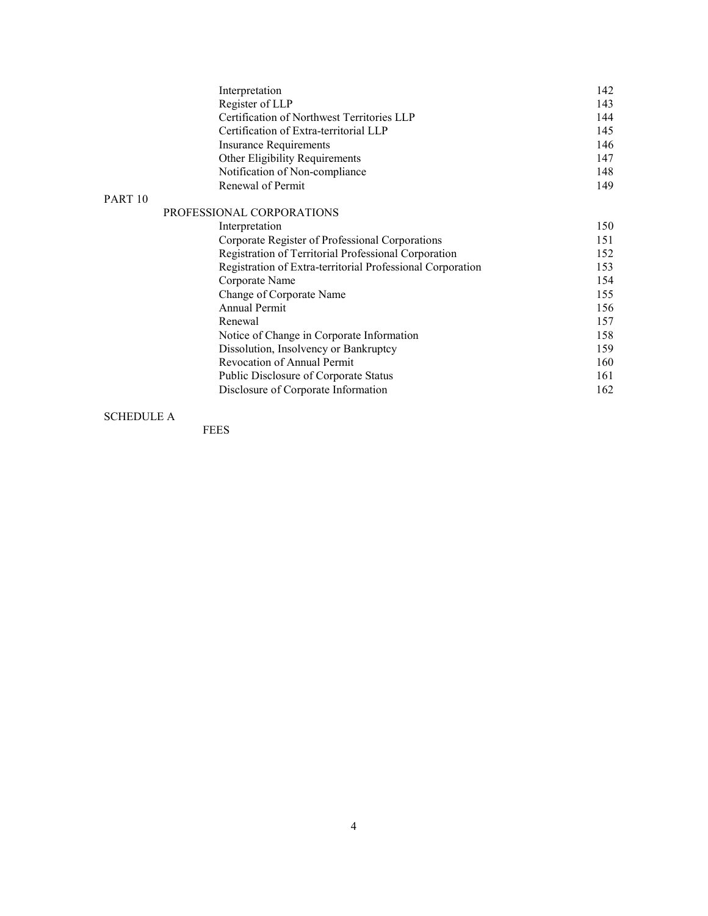|                    | Interpretation                                             | 142 |
|--------------------|------------------------------------------------------------|-----|
|                    | Register of LLP                                            | 143 |
|                    | Certification of Northwest Territories LLP                 | 144 |
|                    | Certification of Extra-territorial LLP                     | 145 |
|                    | <b>Insurance Requirements</b>                              | 146 |
|                    | Other Eligibility Requirements                             | 147 |
|                    | Notification of Non-compliance                             | 148 |
|                    | Renewal of Permit                                          | 149 |
| PART <sub>10</sub> |                                                            |     |
|                    | PROFESSIONAL CORPORATIONS                                  |     |
| Interpretation     |                                                            | 150 |
|                    | Corporate Register of Professional Corporations            | 151 |
|                    | Registration of Territorial Professional Corporation       | 152 |
|                    | Registration of Extra-territorial Professional Corporation | 153 |
|                    | Corporate Name                                             | 154 |
|                    | Change of Corporate Name                                   | 155 |
|                    | Annual Permit                                              | 156 |
|                    | Renewal                                                    | 157 |
|                    | Notice of Change in Corporate Information                  | 158 |
|                    | Dissolution, Insolvency or Bankruptcy                      | 159 |
|                    | <b>Revocation of Annual Permit</b>                         | 160 |
|                    | Public Disclosure of Corporate Status                      | 161 |
|                    | Disclosure of Corporate Information                        | 162 |

# SCHEDULE A

FEES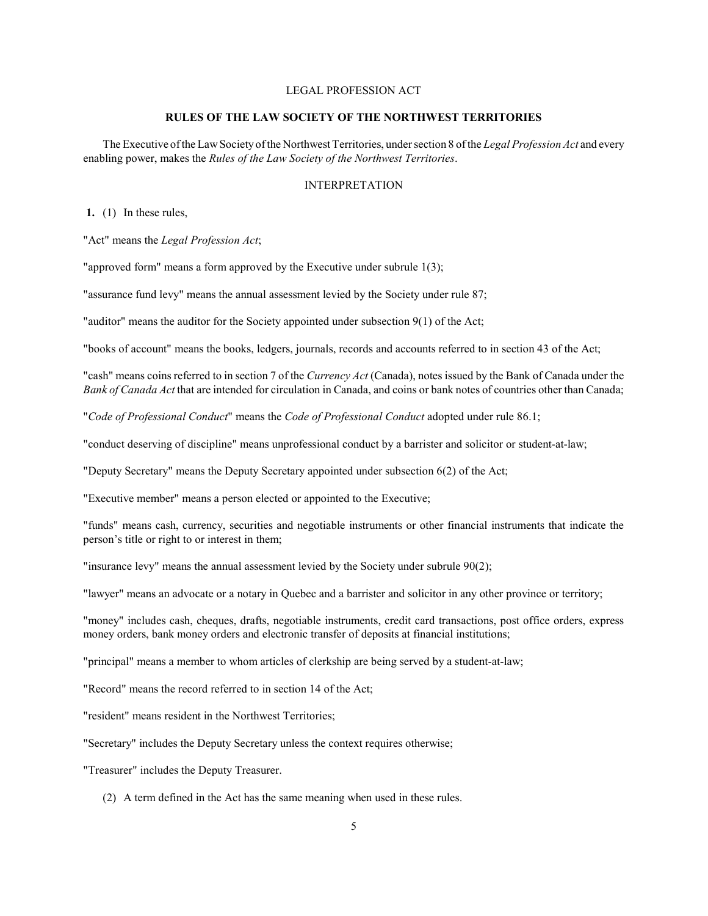# LEGAL PROFESSION ACT

### RULES OF THE LAW SOCIETY OF THE NORTHWEST TERRITORIES

The Executive of the Law Society of the Northwest Territories, under section 8 of the Legal Profession Act and every enabling power, makes the Rules of the Law Society of the Northwest Territories.

# INTERPRETATION

1. (1) In these rules,

"Act" means the Legal Profession Act;

"approved form" means a form approved by the Executive under subrule 1(3);

"assurance fund levy" means the annual assessment levied by the Society under rule 87;

"auditor" means the auditor for the Society appointed under subsection 9(1) of the Act;

"books of account" means the books, ledgers, journals, records and accounts referred to in section 43 of the Act;

"cash" means coins referred to in section 7 of the Currency Act (Canada), notes issued by the Bank of Canada under the Bank of Canada Act that are intended for circulation in Canada, and coins or bank notes of countries other than Canada;

"Code of Professional Conduct" means the Code of Professional Conduct adopted under rule 86.1;

"conduct deserving of discipline" means unprofessional conduct by a barrister and solicitor or student-at-law;

"Deputy Secretary" means the Deputy Secretary appointed under subsection 6(2) of the Act;

"Executive member" means a person elected or appointed to the Executive;

"funds" means cash, currency, securities and negotiable instruments or other financial instruments that indicate the person's title or right to or interest in them;

"insurance levy" means the annual assessment levied by the Society under subrule 90(2);

"lawyer" means an advocate or a notary in Quebec and a barrister and solicitor in any other province or territory;

"money" includes cash, cheques, drafts, negotiable instruments, credit card transactions, post office orders, express money orders, bank money orders and electronic transfer of deposits at financial institutions;

"principal" means a member to whom articles of clerkship are being served by a student-at-law;

"Record" means the record referred to in section 14 of the Act;

"resident" means resident in the Northwest Territories;

"Secretary" includes the Deputy Secretary unless the context requires otherwise;

"Treasurer" includes the Deputy Treasurer.

(2) A term defined in the Act has the same meaning when used in these rules.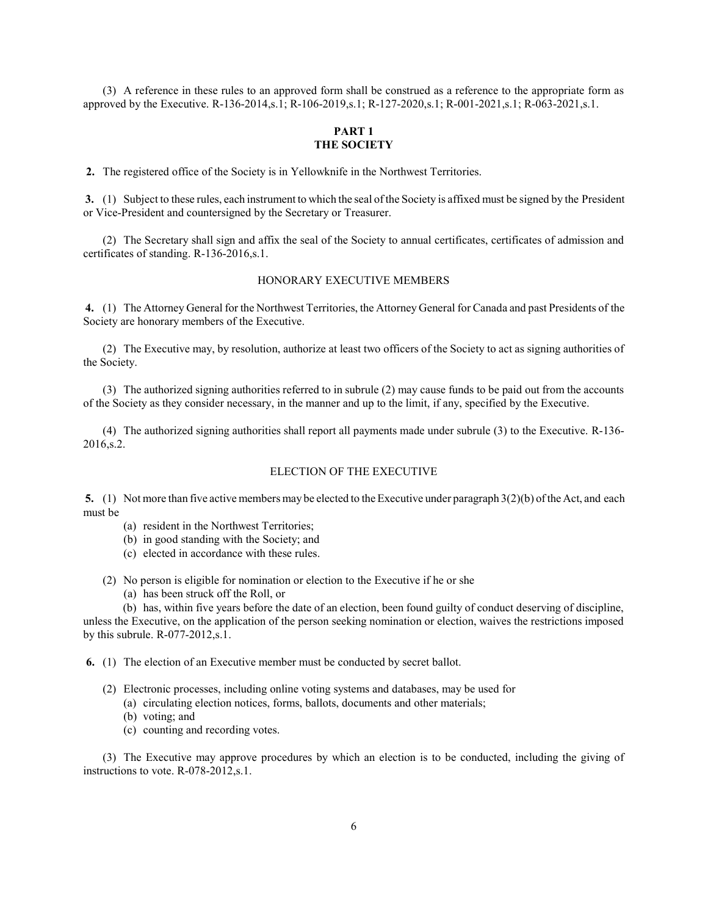(3) A reference in these rules to an approved form shall be construed as a reference to the appropriate form as approved by the Executive. R-136-2014,s.1; R-106-2019,s.1; R-127-2020,s.1; R-001-2021,s.1; R-063-2021,s.1.

# PART 1 THE SOCIETY

2. The registered office of the Society is in Yellowknife in the Northwest Territories.

 3. (1) Subject to these rules, each instrument to which the seal of the Society is affixed must be signed by the President or Vice-President and countersigned by the Secretary or Treasurer.

(2) The Secretary shall sign and affix the seal of the Society to annual certificates, certificates of admission and certificates of standing. R-136-2016,s.1.

### HONORARY EXECUTIVE MEMBERS

 4. (1) The Attorney General for the Northwest Territories, the Attorney General for Canada and past Presidents of the Society are honorary members of the Executive.

(2) The Executive may, by resolution, authorize at least two officers of the Society to act as signing authorities of the Society.

(3) The authorized signing authorities referred to in subrule (2) may cause funds to be paid out from the accounts of the Society as they consider necessary, in the manner and up to the limit, if any, specified by the Executive.

(4) The authorized signing authorities shall report all payments made under subrule (3) to the Executive. R-136- 2016,s.2.

# ELECTION OF THE EXECUTIVE

5. (1) Not more than five active members may be elected to the Executive under paragraph  $3(2)(b)$  of the Act, and each must be

- (a) resident in the Northwest Territories;
- (b) in good standing with the Society; and
- (c) elected in accordance with these rules.
- (2) No person is eligible for nomination or election to the Executive if he or she
	- (a) has been struck off the Roll, or

(b) has, within five years before the date of an election, been found guilty of conduct deserving of discipline, unless the Executive, on the application of the person seeking nomination or election, waives the restrictions imposed by this subrule. R-077-2012,s.1.

6. (1) The election of an Executive member must be conducted by secret ballot.

- (2) Electronic processes, including online voting systems and databases, may be used for
	- (a) circulating election notices, forms, ballots, documents and other materials;
	- (b) voting; and
	- (c) counting and recording votes.

(3) The Executive may approve procedures by which an election is to be conducted, including the giving of instructions to vote. R-078-2012,s.1.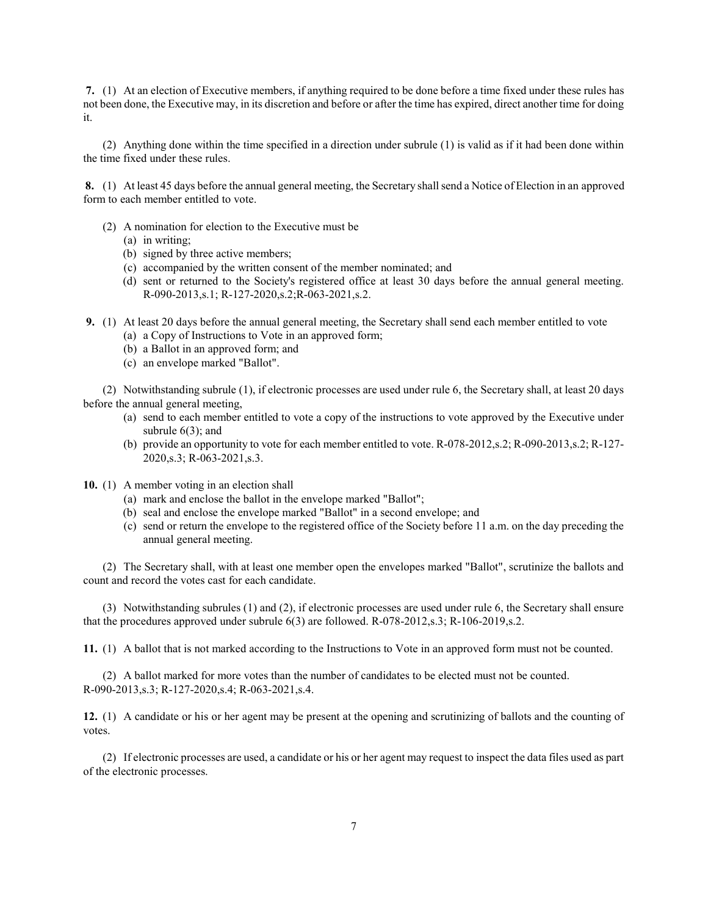7. (1) At an election of Executive members, if anything required to be done before a time fixed under these rules has not been done, the Executive may, in its discretion and before or after the time has expired, direct another time for doing it.

(2) Anything done within the time specified in a direction under subrule (1) is valid as if it had been done within the time fixed under these rules.

 8. (1) At least 45 days before the annual general meeting, the Secretary shall send a Notice of Election in an approved form to each member entitled to vote.

- (2) A nomination for election to the Executive must be
	- (a) in writing;
	- (b) signed by three active members;
	- (c) accompanied by the written consent of the member nominated; and
	- (d) sent or returned to the Society's registered office at least 30 days before the annual general meeting. R-090-2013,s.1; R-127-2020,s.2;R-063-2021,s.2.
- 9. (1) At least 20 days before the annual general meeting, the Secretary shall send each member entitled to vote
	- (a) a Copy of Instructions to Vote in an approved form;
	- (b) a Ballot in an approved form; and
	- (c) an envelope marked "Ballot".

(2) Notwithstanding subrule (1), if electronic processes are used under rule 6, the Secretary shall, at least 20 days before the annual general meeting,

- (a) send to each member entitled to vote a copy of the instructions to vote approved by the Executive under subrule  $6(3)$ ; and
- (b) provide an opportunity to vote for each member entitled to vote. R-078-2012,s.2; R-090-2013,s.2; R-127- 2020,s.3; R-063-2021,s.3.
- 10. (1) A member voting in an election shall
	- (a) mark and enclose the ballot in the envelope marked "Ballot";
	- (b) seal and enclose the envelope marked "Ballot" in a second envelope; and
	- (c) send or return the envelope to the registered office of the Society before 11 a.m. on the day preceding the annual general meeting.

(2) The Secretary shall, with at least one member open the envelopes marked "Ballot", scrutinize the ballots and count and record the votes cast for each candidate.

(3) Notwithstanding subrules (1) and (2), if electronic processes are used under rule 6, the Secretary shall ensure that the procedures approved under subrule 6(3) are followed. R-078-2012,s.3; R-106-2019,s.2.

11. (1) A ballot that is not marked according to the Instructions to Vote in an approved form must not be counted.

(2) A ballot marked for more votes than the number of candidates to be elected must not be counted. R-090-2013,s.3; R-127-2020,s.4; R-063-2021,s.4.

12. (1) A candidate or his or her agent may be present at the opening and scrutinizing of ballots and the counting of votes.

(2) If electronic processes are used, a candidate or his or her agent may request to inspect the data files used as part of the electronic processes.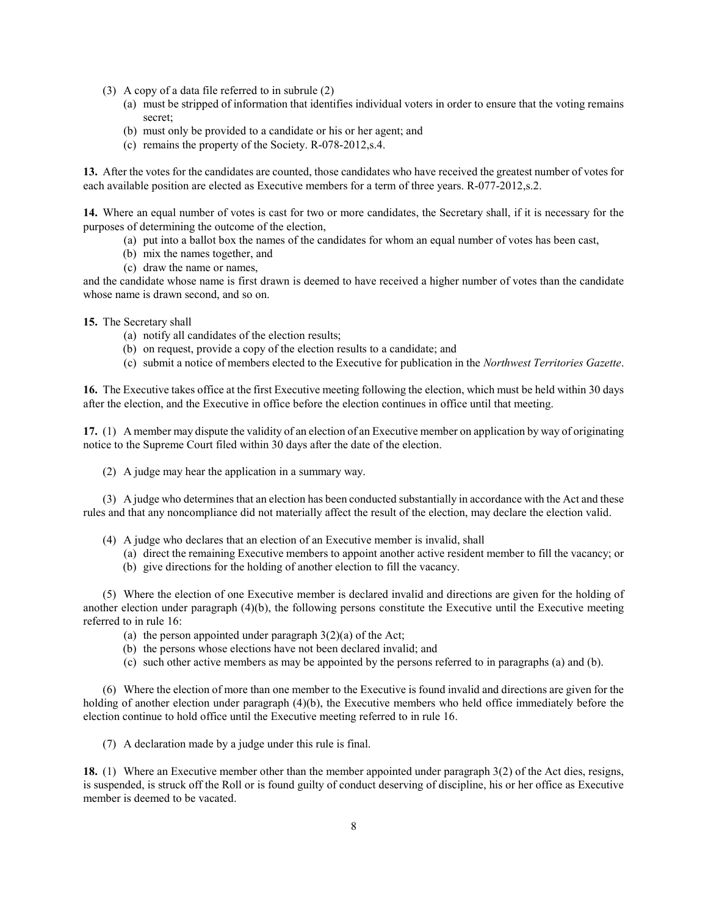- (3) A copy of a data file referred to in subrule (2)
	- (a) must be stripped of information that identifies individual voters in order to ensure that the voting remains secret;
	- (b) must only be provided to a candidate or his or her agent; and
	- (c) remains the property of the Society. R-078-2012,s.4.

13. After the votes for the candidates are counted, those candidates who have received the greatest number of votes for each available position are elected as Executive members for a term of three years. R-077-2012,s.2.

14. Where an equal number of votes is cast for two or more candidates, the Secretary shall, if it is necessary for the purposes of determining the outcome of the election,

- (a) put into a ballot box the names of the candidates for whom an equal number of votes has been cast,
- (b) mix the names together, and
- (c) draw the name or names,

and the candidate whose name is first drawn is deemed to have received a higher number of votes than the candidate whose name is drawn second, and so on.

15. The Secretary shall

- (a) notify all candidates of the election results;
- (b) on request, provide a copy of the election results to a candidate; and
- (c) submit a notice of members elected to the Executive for publication in the Northwest Territories Gazette.

16. The Executive takes office at the first Executive meeting following the election, which must be held within 30 days after the election, and the Executive in office before the election continues in office until that meeting.

17. (1) A member may dispute the validity of an election of an Executive member on application by way of originating notice to the Supreme Court filed within 30 days after the date of the election.

(2) A judge may hear the application in a summary way.

(3) A judge who determines that an election has been conducted substantially in accordance with the Act and these rules and that any noncompliance did not materially affect the result of the election, may declare the election valid.

- (4) A judge who declares that an election of an Executive member is invalid, shall
	- (a) direct the remaining Executive members to appoint another active resident member to fill the vacancy; or
	- (b) give directions for the holding of another election to fill the vacancy.

(5) Where the election of one Executive member is declared invalid and directions are given for the holding of another election under paragraph (4)(b), the following persons constitute the Executive until the Executive meeting referred to in rule 16:

- (a) the person appointed under paragraph  $3(2)(a)$  of the Act;
- (b) the persons whose elections have not been declared invalid; and
- (c) such other active members as may be appointed by the persons referred to in paragraphs (a) and (b).

(6) Where the election of more than one member to the Executive is found invalid and directions are given for the holding of another election under paragraph (4)(b), the Executive members who held office immediately before the election continue to hold office until the Executive meeting referred to in rule 16.

(7) A declaration made by a judge under this rule is final.

18. (1) Where an Executive member other than the member appointed under paragraph 3(2) of the Act dies, resigns, is suspended, is struck off the Roll or is found guilty of conduct deserving of discipline, his or her office as Executive member is deemed to be vacated.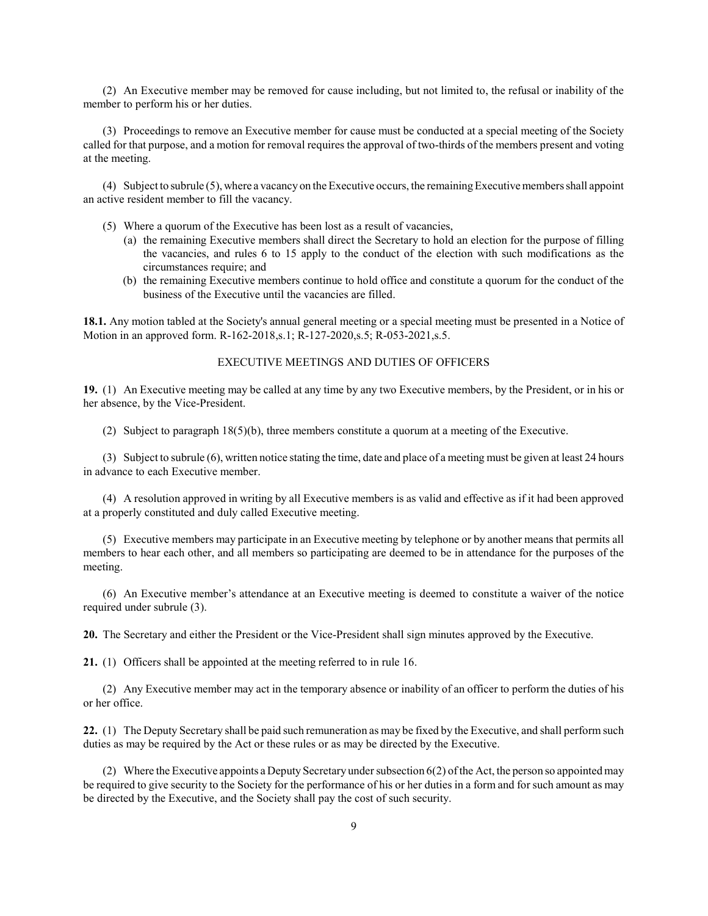(2) An Executive member may be removed for cause including, but not limited to, the refusal or inability of the member to perform his or her duties.

(3) Proceedings to remove an Executive member for cause must be conducted at a special meeting of the Society called for that purpose, and a motion for removal requires the approval of two-thirds of the members present and voting at the meeting.

(4) Subject to subrule (5), where a vacancy on the Executive occurs, the remaining Executive members shall appoint an active resident member to fill the vacancy.

(5) Where a quorum of the Executive has been lost as a result of vacancies,

- (a) the remaining Executive members shall direct the Secretary to hold an election for the purpose of filling the vacancies, and rules 6 to 15 apply to the conduct of the election with such modifications as the circumstances require; and
- (b) the remaining Executive members continue to hold office and constitute a quorum for the conduct of the business of the Executive until the vacancies are filled.

18.1. Any motion tabled at the Society's annual general meeting or a special meeting must be presented in a Notice of Motion in an approved form. R-162-2018,s.1; R-127-2020,s.5; R-053-2021,s.5.

### EXECUTIVE MEETINGS AND DUTIES OF OFFICERS

19. (1) An Executive meeting may be called at any time by any two Executive members, by the President, or in his or her absence, by the Vice-President.

(2) Subject to paragraph 18(5)(b), three members constitute a quorum at a meeting of the Executive.

(3) Subject to subrule (6), written notice stating the time, date and place of a meeting must be given at least 24 hours in advance to each Executive member.

(4) A resolution approved in writing by all Executive members is as valid and effective as if it had been approved at a properly constituted and duly called Executive meeting.

(5) Executive members may participate in an Executive meeting by telephone or by another means that permits all members to hear each other, and all members so participating are deemed to be in attendance for the purposes of the meeting.

(6) An Executive member's attendance at an Executive meeting is deemed to constitute a waiver of the notice required under subrule (3).

20. The Secretary and either the President or the Vice-President shall sign minutes approved by the Executive.

21. (1) Officers shall be appointed at the meeting referred to in rule 16.

(2) Any Executive member may act in the temporary absence or inability of an officer to perform the duties of his or her office.

22. (1) The Deputy Secretary shall be paid such remuneration as may be fixed by the Executive, and shall perform such duties as may be required by the Act or these rules or as may be directed by the Executive.

(2) Where the Executive appoints a Deputy Secretary under subsection 6(2) of the Act, the person so appointed may be required to give security to the Society for the performance of his or her duties in a form and for such amount as may be directed by the Executive, and the Society shall pay the cost of such security.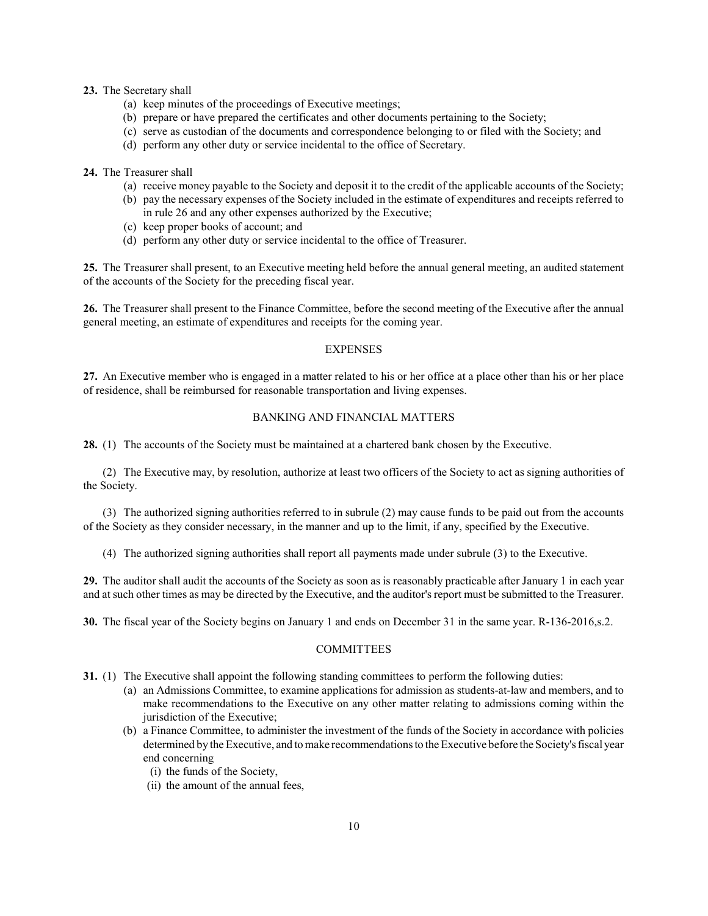#### 23. The Secretary shall

- (a) keep minutes of the proceedings of Executive meetings;
- (b) prepare or have prepared the certificates and other documents pertaining to the Society;
- (c) serve as custodian of the documents and correspondence belonging to or filed with the Society; and
- (d) perform any other duty or service incidental to the office of Secretary.

# 24. The Treasurer shall

- (a) receive money payable to the Society and deposit it to the credit of the applicable accounts of the Society;
- (b) pay the necessary expenses of the Society included in the estimate of expenditures and receipts referred to in rule 26 and any other expenses authorized by the Executive;
- (c) keep proper books of account; and
- (d) perform any other duty or service incidental to the office of Treasurer.

25. The Treasurer shall present, to an Executive meeting held before the annual general meeting, an audited statement of the accounts of the Society for the preceding fiscal year.

26. The Treasurer shall present to the Finance Committee, before the second meeting of the Executive after the annual general meeting, an estimate of expenditures and receipts for the coming year.

### EXPENSES

27. An Executive member who is engaged in a matter related to his or her office at a place other than his or her place of residence, shall be reimbursed for reasonable transportation and living expenses.

### BANKING AND FINANCIAL MATTERS

28. (1) The accounts of the Society must be maintained at a chartered bank chosen by the Executive.

(2) The Executive may, by resolution, authorize at least two officers of the Society to act as signing authorities of the Society.

(3) The authorized signing authorities referred to in subrule (2) may cause funds to be paid out from the accounts of the Society as they consider necessary, in the manner and up to the limit, if any, specified by the Executive.

(4) The authorized signing authorities shall report all payments made under subrule (3) to the Executive.

29. The auditor shall audit the accounts of the Society as soon as is reasonably practicable after January 1 in each year and at such other times as may be directed by the Executive, and the auditor's report must be submitted to the Treasurer.

30. The fiscal year of the Society begins on January 1 and ends on December 31 in the same year. R-136-2016,s.2.

### COMMITTEES

- 31. (1) The Executive shall appoint the following standing committees to perform the following duties:
	- (a) an Admissions Committee, to examine applications for admission as students-at-law and members, and to make recommendations to the Executive on any other matter relating to admissions coming within the jurisdiction of the Executive;
	- (b) a Finance Committee, to administer the investment of the funds of the Society in accordance with policies determined by the Executive, and to make recommendations to the Executive before the Society's fiscal year end concerning
		- (i) the funds of the Society,
		- (ii) the amount of the annual fees,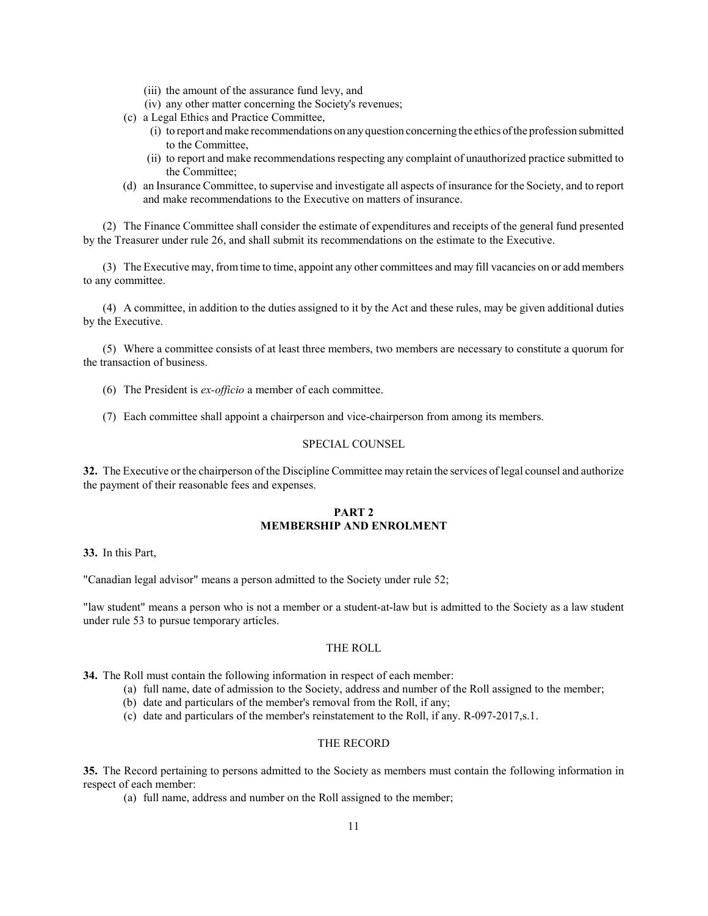- (iii) the amount of the assurance fund levy, and
- (iv) any other matter concerning the Society's revenues;
- (c) a Legal Ethics and Practice Committee,
	- (i) to report and make recommendations on any question concerning the ethics of the profession submitted to the Committee,
	- (ii) to report and make recommendations respecting any complaint of unauthorized practice submitted to the Committee;
- (d) an Insurance Committee, to supervise and investigate all aspects of insurance for the Society, and to report and make recommendations to the Executive on matters of insurance.

(2) The Finance Committee shall consider the estimate of expenditures and receipts of the general fund presented by the Treasurer under rule 26, and shall submit its recommendations on the estimate to the Executive.

(3) The Executive may, from time to time, appoint any other committees and may fill vacancies on or add members to any committee.

(4) A committee, in addition to the duties assigned to it by the Act and these rules, may be given additional duties by the Executive.

(5) Where a committee consists of at least three members, two members are necessary to constitute a quorum for the transaction of business.

- (6) The President is ex-officio a member of each committee.
- (7) Each committee shall appoint a chairperson and vice-chairperson from among its members.

### SPECIAL COUNSEL

32. The Executive or the chairperson of the Discipline Committee may retain the services of legal counsel and authorize the payment of their reasonable fees and expenses.

### PART<sub>2</sub> MEMBERSHIP AND ENROLMENT

33. In this Part,

"Canadian legal advisor" means a person admitted to the Society under rule 52;

"law student" means a person who is not a member or a student-at-law but is admitted to the Society as a law student under rule 53 to pursue temporary articles.

### THE ROLL

34. The Roll must contain the following information in respect of each member:

- (a) full name, date of admission to the Society, address and number of the Roll assigned to the member;
- (b) date and particulars of the member's removal from the Roll, if any;
- (c) date and particulars of the member's reinstatement to the Roll, if any. R-097-2017,s.1.

# THE RECORD

35. The Record pertaining to persons admitted to the Society as members must contain the following information in respect of each member:

(a) full name, address and number on the Roll assigned to the member;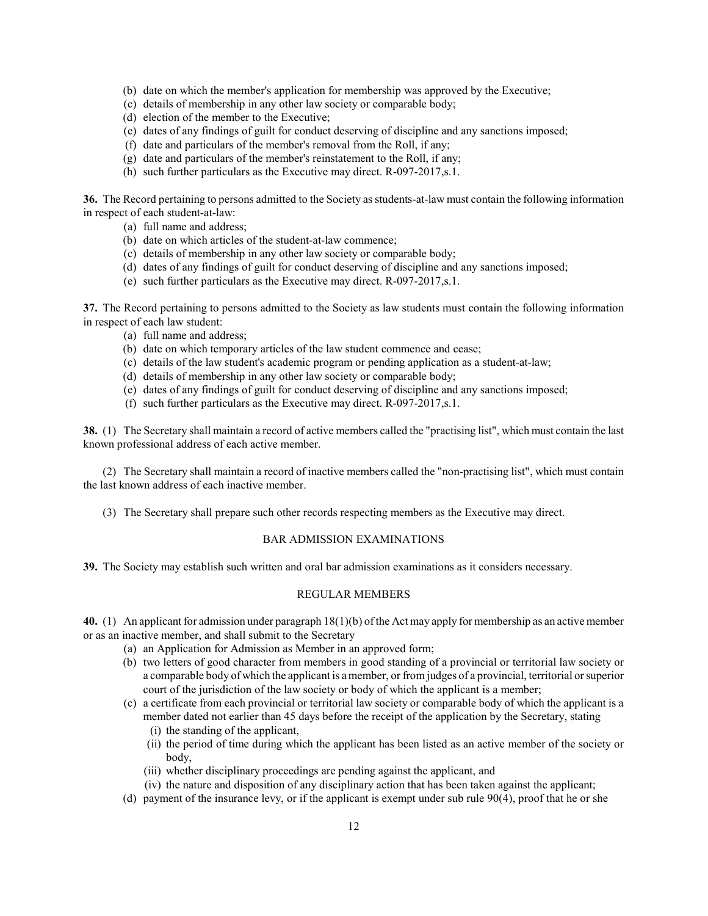- (b) date on which the member's application for membership was approved by the Executive;
- (c) details of membership in any other law society or comparable body;
- (d) election of the member to the Executive;
- (e) dates of any findings of guilt for conduct deserving of discipline and any sanctions imposed;
- (f) date and particulars of the member's removal from the Roll, if any;
- (g) date and particulars of the member's reinstatement to the Roll, if any;
- (h) such further particulars as the Executive may direct. R-097-2017,s.1.

36. The Record pertaining to persons admitted to the Society as students-at-law must contain the following information in respect of each student-at-law:

- (a) full name and address;
- (b) date on which articles of the student-at-law commence;
- (c) details of membership in any other law society or comparable body;
- (d) dates of any findings of guilt for conduct deserving of discipline and any sanctions imposed;
- (e) such further particulars as the Executive may direct. R-097-2017,s.1.

37. The Record pertaining to persons admitted to the Society as law students must contain the following information in respect of each law student:

- (a) full name and address;
- (b) date on which temporary articles of the law student commence and cease;
- (c) details of the law student's academic program or pending application as a student-at-law;
- (d) details of membership in any other law society or comparable body;
- (e) dates of any findings of guilt for conduct deserving of discipline and any sanctions imposed;
- (f) such further particulars as the Executive may direct. R-097-2017,s.1.

38. (1) The Secretary shall maintain a record of active members called the "practising list", which must contain the last known professional address of each active member.

(2) The Secretary shall maintain a record of inactive members called the "non-practising list", which must contain the last known address of each inactive member.

(3) The Secretary shall prepare such other records respecting members as the Executive may direct.

## BAR ADMISSION EXAMINATIONS

39. The Society may establish such written and oral bar admission examinations as it considers necessary.

# REGULAR MEMBERS

40. (1) An applicant for admission under paragraph 18(1)(b) of the Act may apply for membership as an active member or as an inactive member, and shall submit to the Secretary

- (a) an Application for Admission as Member in an approved form;
- (b) two letters of good character from members in good standing of a provincial or territorial law society or a comparable body of which the applicant is a member, or from judges of a provincial, territorial or superior court of the jurisdiction of the law society or body of which the applicant is a member;
- (c) a certificate from each provincial or territorial law society or comparable body of which the applicant is a member dated not earlier than 45 days before the receipt of the application by the Secretary, stating
	- (i) the standing of the applicant,
	- (ii) the period of time during which the applicant has been listed as an active member of the society or body,
	- (iii) whether disciplinary proceedings are pending against the applicant, and
	- (iv) the nature and disposition of any disciplinary action that has been taken against the applicant;
- (d) payment of the insurance levy, or if the applicant is exempt under sub rule 90(4), proof that he or she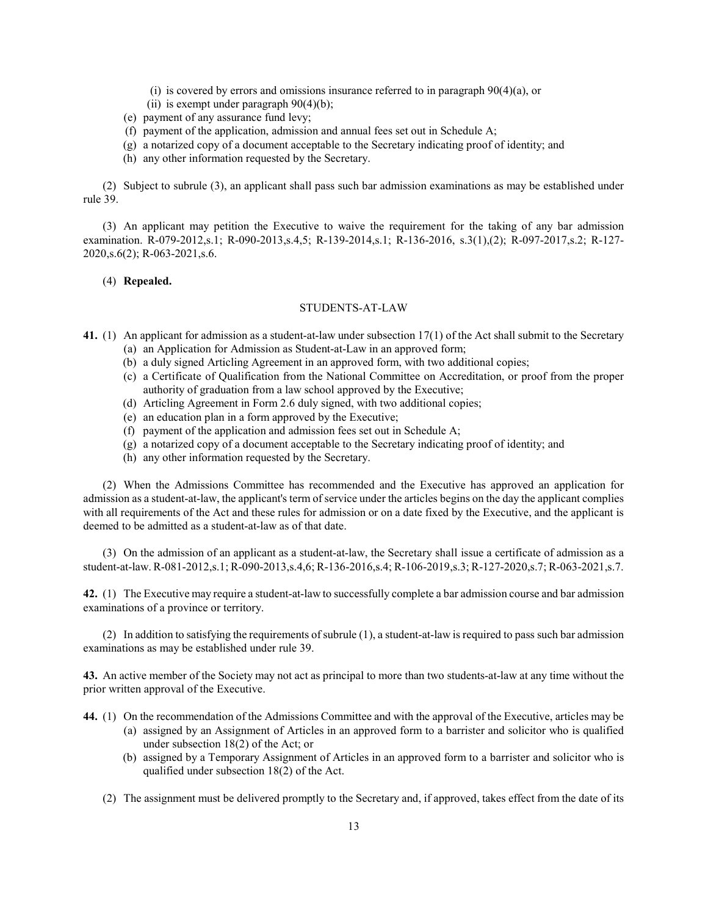- (i) is covered by errors and omissions insurance referred to in paragraph 90(4)(a), or
- (ii) is exempt under paragraph  $90(4)(b)$ ;
- (e) payment of any assurance fund levy;
- (f) payment of the application, admission and annual fees set out in Schedule A;
- (g) a notarized copy of a document acceptable to the Secretary indicating proof of identity; and
- (h) any other information requested by the Secretary.

(2) Subject to subrule (3), an applicant shall pass such bar admission examinations as may be established under rule 39.

(3) An applicant may petition the Executive to waive the requirement for the taking of any bar admission examination. R-079-2012,s.1; R-090-2013,s.4,5; R-139-2014,s.1; R-136-2016, s.3(1),(2); R-097-2017,s.2; R-127- 2020,s.6(2); R-063-2021,s.6.

### (4) Repealed.

## STUDENTS-AT-LAW

- 41. (1) An applicant for admission as a student-at-law under subsection 17(1) of the Act shall submit to the Secretary
	- (a) an Application for Admission as Student-at-Law in an approved form;
	- (b) a duly signed Articling Agreement in an approved form, with two additional copies;
	- (c) a Certificate of Qualification from the National Committee on Accreditation, or proof from the proper authority of graduation from a law school approved by the Executive;
	- (d) Articling Agreement in Form 2.6 duly signed, with two additional copies;
	- (e) an education plan in a form approved by the Executive;
	- (f) payment of the application and admission fees set out in Schedule A;
	- (g) a notarized copy of a document acceptable to the Secretary indicating proof of identity; and
	- (h) any other information requested by the Secretary.

(2) When the Admissions Committee has recommended and the Executive has approved an application for admission as a student-at-law, the applicant's term of service under the articles begins on the day the applicant complies with all requirements of the Act and these rules for admission or on a date fixed by the Executive, and the applicant is deemed to be admitted as a student-at-law as of that date.

(3) On the admission of an applicant as a student-at-law, the Secretary shall issue a certificate of admission as a student-at-law. R-081-2012,s.1; R-090-2013,s.4,6; R-136-2016,s.4; R-106-2019,s.3; R-127-2020,s.7; R-063-2021,s.7.

42. (1) The Executive may require a student-at-law to successfully complete a bar admission course and bar admission examinations of a province or territory.

(2) In addition to satisfying the requirements of subrule (1), a student-at-law is required to pass such bar admission examinations as may be established under rule 39.

43. An active member of the Society may not act as principal to more than two students-at-law at any time without the prior written approval of the Executive.

44. (1) On the recommendation of the Admissions Committee and with the approval of the Executive, articles may be

- (a) assigned by an Assignment of Articles in an approved form to a barrister and solicitor who is qualified under subsection 18(2) of the Act; or
- (b) assigned by a Temporary Assignment of Articles in an approved form to a barrister and solicitor who is qualified under subsection 18(2) of the Act.
- (2) The assignment must be delivered promptly to the Secretary and, if approved, takes effect from the date of its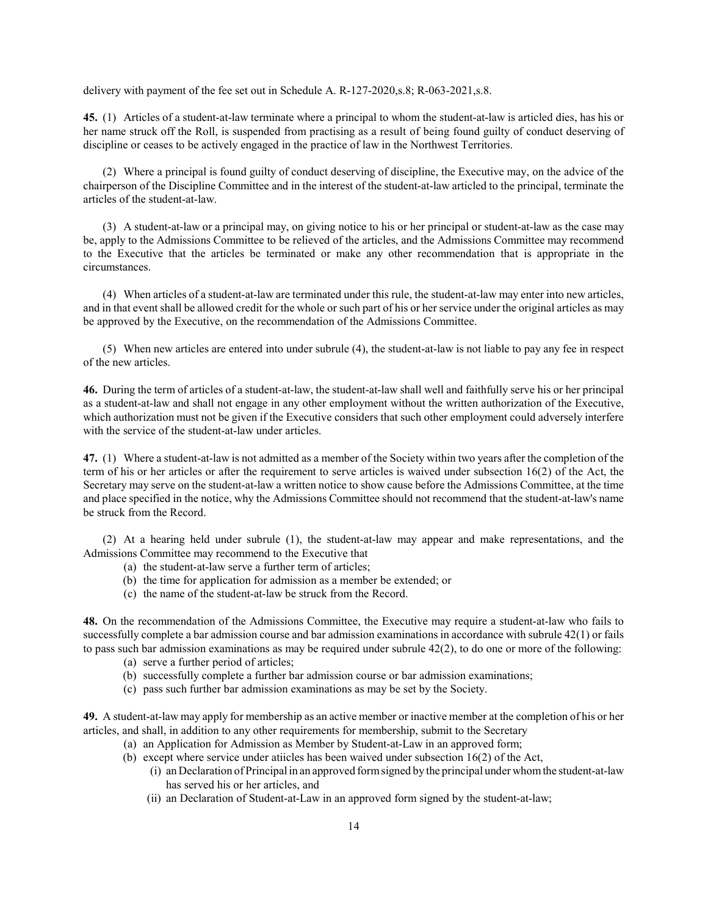delivery with payment of the fee set out in Schedule A. R-127-2020,s.8; R-063-2021,s.8.

45. (1) Articles of a student-at-law terminate where a principal to whom the student-at-law is articled dies, has his or her name struck off the Roll, is suspended from practising as a result of being found guilty of conduct deserving of discipline or ceases to be actively engaged in the practice of law in the Northwest Territories.

(2) Where a principal is found guilty of conduct deserving of discipline, the Executive may, on the advice of the chairperson of the Discipline Committee and in the interest of the student-at-law articled to the principal, terminate the articles of the student-at-law.

(3) A student-at-law or a principal may, on giving notice to his or her principal or student-at-law as the case may be, apply to the Admissions Committee to be relieved of the articles, and the Admissions Committee may recommend to the Executive that the articles be terminated or make any other recommendation that is appropriate in the circumstances.

(4) When articles of a student-at-law are terminated under this rule, the student-at-law may enter into new articles, and in that event shall be allowed credit for the whole or such part of his or her service under the original articles as may be approved by the Executive, on the recommendation of the Admissions Committee.

(5) When new articles are entered into under subrule (4), the student-at-law is not liable to pay any fee in respect of the new articles.

46. During the term of articles of a student-at-law, the student-at-law shall well and faithfully serve his or her principal as a student-at-law and shall not engage in any other employment without the written authorization of the Executive, which authorization must not be given if the Executive considers that such other employment could adversely interfere with the service of the student-at-law under articles.

47. (1) Where a student-at-law is not admitted as a member of the Society within two years after the completion of the term of his or her articles or after the requirement to serve articles is waived under subsection 16(2) of the Act, the Secretary may serve on the student-at-law a written notice to show cause before the Admissions Committee, at the time and place specified in the notice, why the Admissions Committee should not recommend that the student-at-law's name be struck from the Record.

(2) At a hearing held under subrule (1), the student-at-law may appear and make representations, and the Admissions Committee may recommend to the Executive that

- (a) the student-at-law serve a further term of articles;
- (b) the time for application for admission as a member be extended; or
- (c) the name of the student-at-law be struck from the Record.

48. On the recommendation of the Admissions Committee, the Executive may require a student-at-law who fails to successfully complete a bar admission course and bar admission examinations in accordance with subrule 42(1) or fails to pass such bar admission examinations as may be required under subrule 42(2), to do one or more of the following:

- (a) serve a further period of articles;
- (b) successfully complete a further bar admission course or bar admission examinations;
- (c) pass such further bar admission examinations as may be set by the Society.

49. A student-at-law may apply for membership as an active member or inactive member at the completion of his or her articles, and shall, in addition to any other requirements for membership, submit to the Secretary

- (a) an Application for Admission as Member by Student-at-Law in an approved form;
- (b) except where service under atiicles has been waived under subsection 16(2) of the Act,
	- (i) an Declaration of Principal in an approved form signed by the principal under whom the student-at-law has served his or her articles, and
	- (ii) an Declaration of Student-at-Law in an approved form signed by the student-at-law;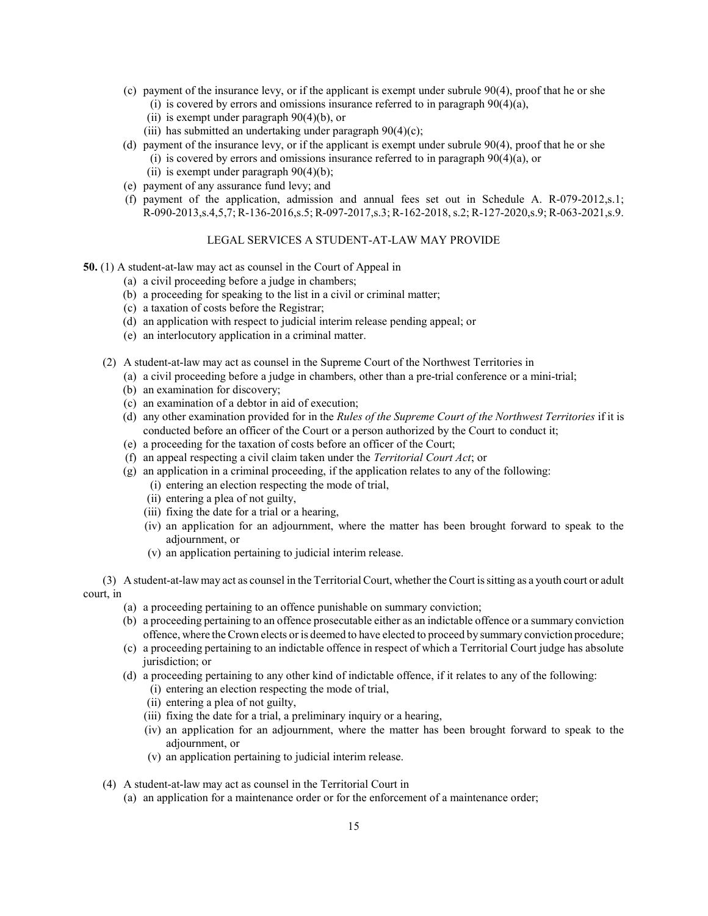- (c) payment of the insurance levy, or if the applicant is exempt under subrule 90(4), proof that he or she
	- (i) is covered by errors and omissions insurance referred to in paragraph  $90(4)(a)$ ,
	- (ii) is exempt under paragraph  $90(4)(b)$ , or
	- (iii) has submitted an undertaking under paragraph  $90(4)(c)$ ;
- (d) payment of the insurance levy, or if the applicant is exempt under subrule 90(4), proof that he or she
	- (i) is covered by errors and omissions insurance referred to in paragraph 90(4)(a), or
	- (ii) is exempt under paragraph 90(4)(b);
- (e) payment of any assurance fund levy; and
- (f) payment of the application, admission and annual fees set out in Schedule A. R-079-2012,s.1; R-090-2013,s.4,5,7; R-136-2016,s.5; R-097-2017,s.3; R-162-2018, s.2; R-127-2020,s.9; R-063-2021,s.9.

# LEGAL SERVICES A STUDENT-AT-LAW MAY PROVIDE

- 50. (1) A student-at-law may act as counsel in the Court of Appeal in
	- (a) a civil proceeding before a judge in chambers;
	- (b) a proceeding for speaking to the list in a civil or criminal matter;
	- (c) a taxation of costs before the Registrar;
	- (d) an application with respect to judicial interim release pending appeal; or
	- (e) an interlocutory application in a criminal matter.
	- (2) A student-at-law may act as counsel in the Supreme Court of the Northwest Territories in
		- (a) a civil proceeding before a judge in chambers, other than a pre-trial conference or a mini-trial;
		- (b) an examination for discovery;
		- (c) an examination of a debtor in aid of execution;
		- (d) any other examination provided for in the Rules of the Supreme Court of the Northwest Territories if it is conducted before an officer of the Court or a person authorized by the Court to conduct it;
		- (e) a proceeding for the taxation of costs before an officer of the Court;
		- (f) an appeal respecting a civil claim taken under the Territorial Court Act; or
		- (g) an application in a criminal proceeding, if the application relates to any of the following:
			- (i) entering an election respecting the mode of trial,
			- (ii) entering a plea of not guilty,
			- (iii) fixing the date for a trial or a hearing,
			- (iv) an application for an adjournment, where the matter has been brought forward to speak to the adjournment, or
			- (v) an application pertaining to judicial interim release.

(3) A student-at-law may act as counsel in the Territorial Court, whether the Court is sitting as a youth court or adult court, in

- (a) a proceeding pertaining to an offence punishable on summary conviction;
- (b) a proceeding pertaining to an offence prosecutable either as an indictable offence or a summary conviction offence, where the Crown elects or is deemed to have elected to proceed by summary conviction procedure;
- (c) a proceeding pertaining to an indictable offence in respect of which a Territorial Court judge has absolute jurisdiction; or
- (d) a proceeding pertaining to any other kind of indictable offence, if it relates to any of the following:
	- (i) entering an election respecting the mode of trial,
	- (ii) entering a plea of not guilty,
	- (iii) fixing the date for a trial, a preliminary inquiry or a hearing,
	- (iv) an application for an adjournment, where the matter has been brought forward to speak to the adjournment, or
	- (v) an application pertaining to judicial interim release.
- (4) A student-at-law may act as counsel in the Territorial Court in
	- (a) an application for a maintenance order or for the enforcement of a maintenance order;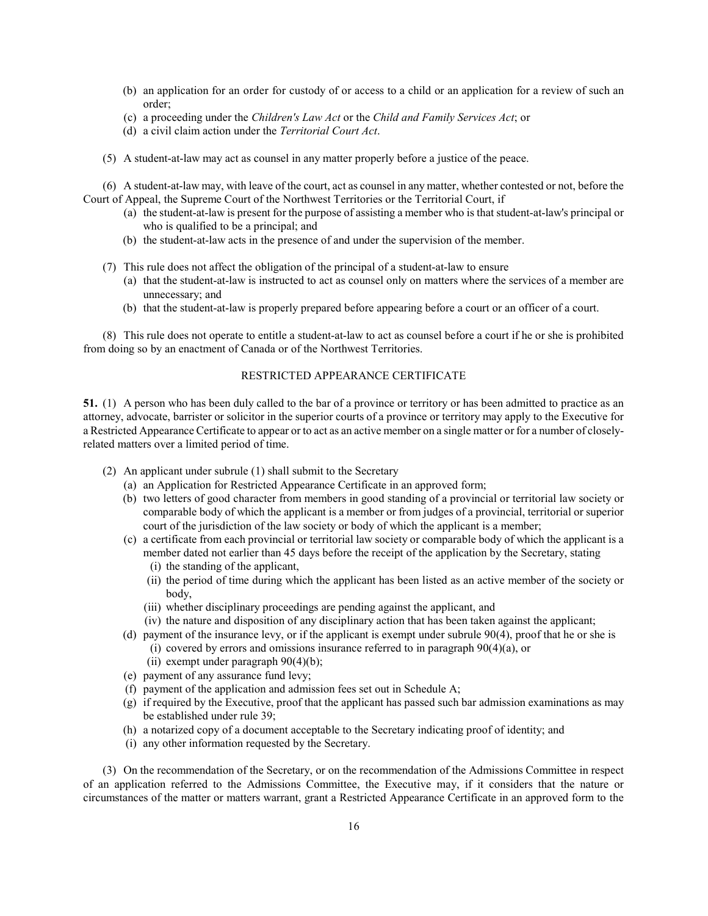- (b) an application for an order for custody of or access to a child or an application for a review of such an order;
- (c) a proceeding under the Children's Law Act or the Child and Family Services Act; or
- (d) a civil claim action under the Territorial Court Act.
- (5) A student-at-law may act as counsel in any matter properly before a justice of the peace.

(6) A student-at-law may, with leave of the court, act as counsel in any matter, whether contested or not, before the Court of Appeal, the Supreme Court of the Northwest Territories or the Territorial Court, if

- (a) the student-at-law is present for the purpose of assisting a member who is that student-at-law's principal or who is qualified to be a principal; and
- (b) the student-at-law acts in the presence of and under the supervision of the member.
- (7) This rule does not affect the obligation of the principal of a student-at-law to ensure
	- (a) that the student-at-law is instructed to act as counsel only on matters where the services of a member are unnecessary; and
	- (b) that the student-at-law is properly prepared before appearing before a court or an officer of a court.

(8) This rule does not operate to entitle a student-at-law to act as counsel before a court if he or she is prohibited from doing so by an enactment of Canada or of the Northwest Territories.

# RESTRICTED APPEARANCE CERTIFICATE

51. (1) A person who has been duly called to the bar of a province or territory or has been admitted to practice as an attorney, advocate, barrister or solicitor in the superior courts of a province or territory may apply to the Executive for a Restricted Appearance Certificate to appear or to act as an active member on a single matter or for a number of closelyrelated matters over a limited period of time.

- (2) An applicant under subrule (1) shall submit to the Secretary
	- (a) an Application for Restricted Appearance Certificate in an approved form;
	- (b) two letters of good character from members in good standing of a provincial or territorial law society or comparable body of which the applicant is a member or from judges of a provincial, territorial or superior court of the jurisdiction of the law society or body of which the applicant is a member;
	- (c) a certificate from each provincial or territorial law society or comparable body of which the applicant is a member dated not earlier than 45 days before the receipt of the application by the Secretary, stating (i) the standing of the applicant,
		- (ii) the period of time during which the applicant has been listed as an active member of the society or body,
		- (iii) whether disciplinary proceedings are pending against the applicant, and
		- (iv) the nature and disposition of any disciplinary action that has been taken against the applicant;
	- (d) payment of the insurance levy, or if the applicant is exempt under subrule 90(4), proof that he or she is (i) covered by errors and omissions insurance referred to in paragraph 90(4)(a), or
		-
		- (ii) exempt under paragraph 90(4)(b);
	- (e) payment of any assurance fund levy;
	- (f) payment of the application and admission fees set out in Schedule A;
	- (g) if required by the Executive, proof that the applicant has passed such bar admission examinations as may be established under rule 39;
	- (h) a notarized copy of a document acceptable to the Secretary indicating proof of identity; and
	- (i) any other information requested by the Secretary.

(3) On the recommendation of the Secretary, or on the recommendation of the Admissions Committee in respect of an application referred to the Admissions Committee, the Executive may, if it considers that the nature or circumstances of the matter or matters warrant, grant a Restricted Appearance Certificate in an approved form to the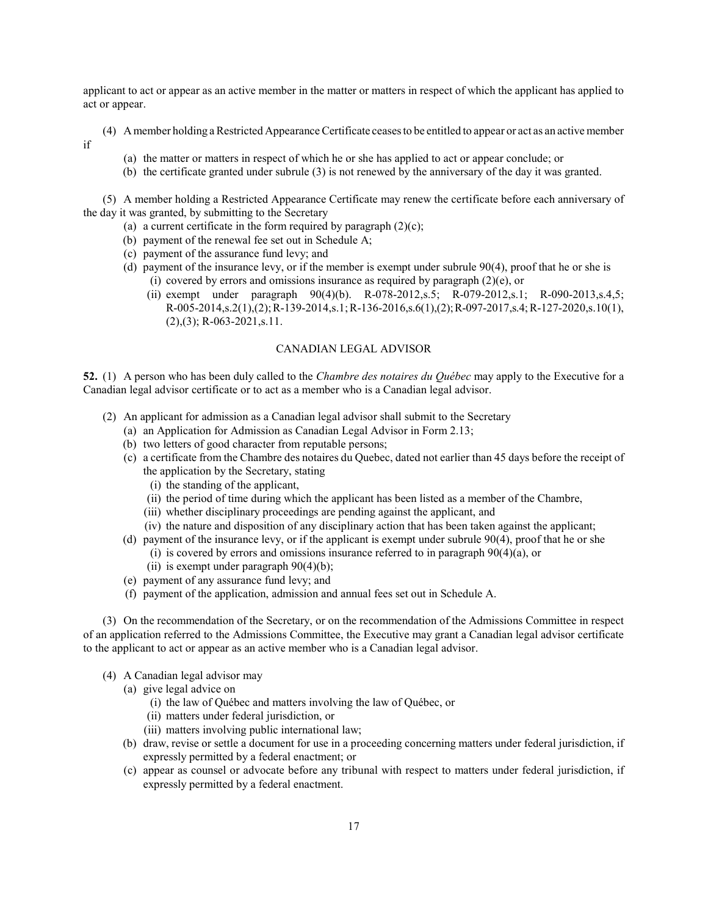applicant to act or appear as an active member in the matter or matters in respect of which the applicant has applied to act or appear.

- (4) A member holding a Restricted Appearance Certificate ceases to be entitled to appear or act as an active member if
	- (a) the matter or matters in respect of which he or she has applied to act or appear conclude; or
	- (b) the certificate granted under subrule (3) is not renewed by the anniversary of the day it was granted.

(5) A member holding a Restricted Appearance Certificate may renew the certificate before each anniversary of the day it was granted, by submitting to the Secretary

- (a) a current certificate in the form required by paragraph  $(2)(c)$ ;
- (b) payment of the renewal fee set out in Schedule A;
- (c) payment of the assurance fund levy; and
- (d) payment of the insurance levy, or if the member is exempt under subrule 90(4), proof that he or she is (i) covered by errors and omissions insurance as required by paragraph (2)(e), or
	- (ii) exempt under paragraph 90(4)(b). R-078-2012,s.5; R-079-2012,s.1; R-090-2013,s.4,5; R-005-2014,s.2(1),(2); R-139-2014,s.1; R-136-2016,s.6(1),(2); R-097-2017,s.4; R-127-2020,s.10(1),  $(2),(3);$  R-063-2021,s.11.

#### CANADIAN LEGAL ADVISOR

52. (1) A person who has been duly called to the *Chambre des notaires du Québec* may apply to the Executive for a Canadian legal advisor certificate or to act as a member who is a Canadian legal advisor.

- (2) An applicant for admission as a Canadian legal advisor shall submit to the Secretary
	- (a) an Application for Admission as Canadian Legal Advisor in Form 2.13;
	- (b) two letters of good character from reputable persons;
	- (c) a certificate from the Chambre des notaires du Quebec, dated not earlier than 45 days before the receipt of the application by the Secretary, stating
		- (i) the standing of the applicant,
		- (ii) the period of time during which the applicant has been listed as a member of the Chambre,
		- (iii) whether disciplinary proceedings are pending against the applicant, and
		- (iv) the nature and disposition of any disciplinary action that has been taken against the applicant;
	- (d) payment of the insurance levy, or if the applicant is exempt under subrule 90(4), proof that he or she
		- (i) is covered by errors and omissions insurance referred to in paragraph  $90(4)(a)$ , or
		- (ii) is exempt under paragraph  $90(4)(b)$ ;
	- (e) payment of any assurance fund levy; and
	- (f) payment of the application, admission and annual fees set out in Schedule A.

(3) On the recommendation of the Secretary, or on the recommendation of the Admissions Committee in respect of an application referred to the Admissions Committee, the Executive may grant a Canadian legal advisor certificate to the applicant to act or appear as an active member who is a Canadian legal advisor.

- (4) A Canadian legal advisor may
	- (a) give legal advice on
		- (i) the law of Québec and matters involving the law of Québec, or
		- (ii) matters under federal jurisdiction, or
		- (iii) matters involving public international law;
	- (b) draw, revise or settle a document for use in a proceeding concerning matters under federal jurisdiction, if expressly permitted by a federal enactment; or
	- (c) appear as counsel or advocate before any tribunal with respect to matters under federal jurisdiction, if expressly permitted by a federal enactment.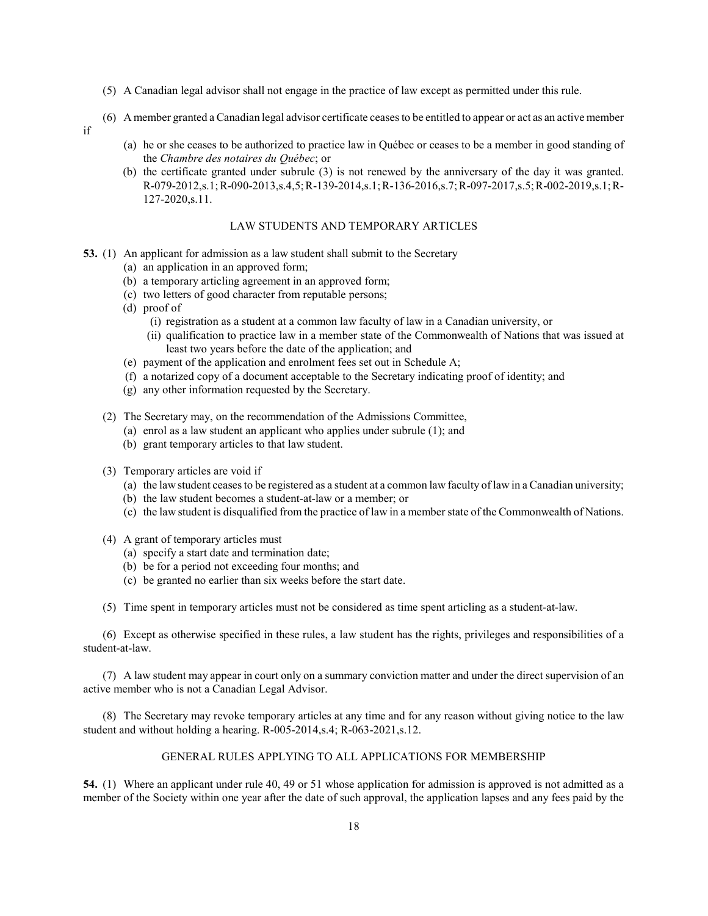- (5) A Canadian legal advisor shall not engage in the practice of law except as permitted under this rule.
- (6) A member granted a Canadian legal advisor certificate ceases to be entitled to appear or act as an active member
- if
- (a) he or she ceases to be authorized to practice law in Québec or ceases to be a member in good standing of the Chambre des notaires du Québec; or
- (b) the certificate granted under subrule (3) is not renewed by the anniversary of the day it was granted. R-079-2012,s.1; R-090-2013,s.4,5; R-139-2014,s.1; R-136-2016,s.7; R-097-2017,s.5; R-002-2019,s.1; R-127-2020,s.11.

### LAW STUDENTS AND TEMPORARY ARTICLES

- 53. (1) An applicant for admission as a law student shall submit to the Secretary
	- (a) an application in an approved form;
	- (b) a temporary articling agreement in an approved form;
	- (c) two letters of good character from reputable persons;
	- (d) proof of
		- (i) registration as a student at a common law faculty of law in a Canadian university, or
		- (ii) qualification to practice law in a member state of the Commonwealth of Nations that was issued at least two years before the date of the application; and
	- (e) payment of the application and enrolment fees set out in Schedule A;
	- (f) a notarized copy of a document acceptable to the Secretary indicating proof of identity; and
	- (g) any other information requested by the Secretary.
	- (2) The Secretary may, on the recommendation of the Admissions Committee,
		- (a) enrol as a law student an applicant who applies under subrule (1); and
		- (b) grant temporary articles to that law student.
	- (3) Temporary articles are void if
		- (a) the law student ceases to be registered as a student at a common law faculty of law in a Canadian university;
		- (b) the law student becomes a student-at-law or a member; or
		- (c) the law student is disqualified from the practice of law in a member state of the Commonwealth of Nations.
	- (4) A grant of temporary articles must
		- (a) specify a start date and termination date;
		- (b) be for a period not exceeding four months; and
		- (c) be granted no earlier than six weeks before the start date.

(5) Time spent in temporary articles must not be considered as time spent articling as a student-at-law.

(6) Except as otherwise specified in these rules, a law student has the rights, privileges and responsibilities of a student-at-law.

(7) A law student may appear in court only on a summary conviction matter and under the direct supervision of an active member who is not a Canadian Legal Advisor.

(8) The Secretary may revoke temporary articles at any time and for any reason without giving notice to the law student and without holding a hearing. R-005-2014,s.4; R-063-2021,s.12.

# GENERAL RULES APPLYING TO ALL APPLICATIONS FOR MEMBERSHIP

54. (1) Where an applicant under rule 40, 49 or 51 whose application for admission is approved is not admitted as a member of the Society within one year after the date of such approval, the application lapses and any fees paid by the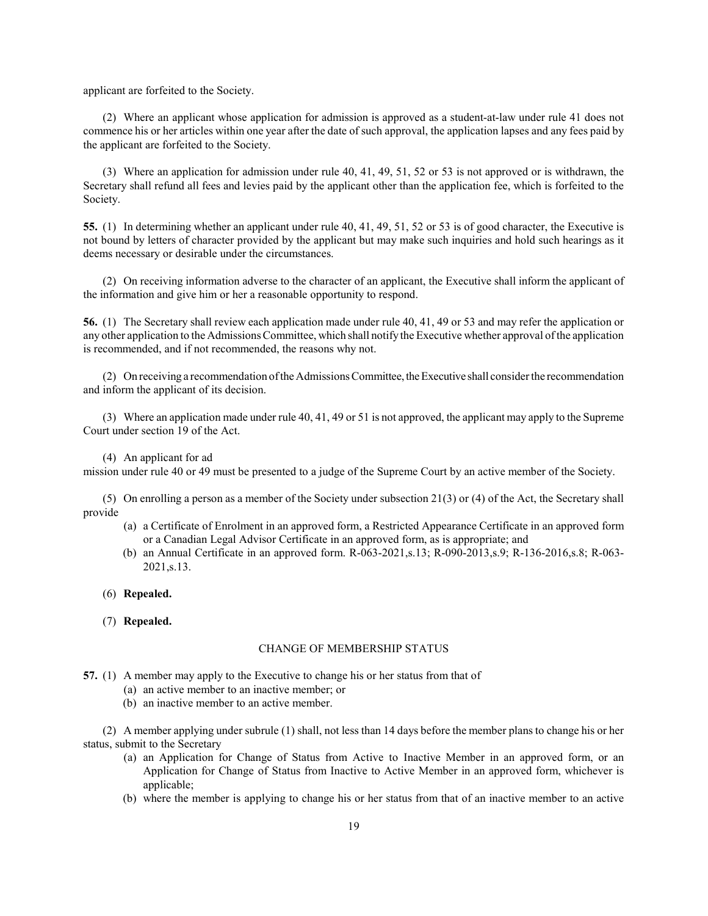applicant are forfeited to the Society.

(2) Where an applicant whose application for admission is approved as a student-at-law under rule 41 does not commence his or her articles within one year after the date of such approval, the application lapses and any fees paid by the applicant are forfeited to the Society.

(3) Where an application for admission under rule 40, 41, 49, 51, 52 or 53 is not approved or is withdrawn, the Secretary shall refund all fees and levies paid by the applicant other than the application fee, which is forfeited to the Society.

55. (1) In determining whether an applicant under rule 40, 41, 49, 51, 52 or 53 is of good character, the Executive is not bound by letters of character provided by the applicant but may make such inquiries and hold such hearings as it deems necessary or desirable under the circumstances.

(2) On receiving information adverse to the character of an applicant, the Executive shall inform the applicant of the information and give him or her a reasonable opportunity to respond.

56. (1) The Secretary shall review each application made under rule 40, 41, 49 or 53 and may refer the application or any other application to the Admissions Committee, which shall notify the Executive whether approval of the application is recommended, and if not recommended, the reasons why not.

(2) On receiving a recommendation of the Admissions Committee, the Executive shall consider the recommendation and inform the applicant of its decision.

(3) Where an application made under rule 40, 41, 49 or 51 is not approved, the applicant may apply to the Supreme Court under section 19 of the Act.

(4) An applicant for ad

mission under rule 40 or 49 must be presented to a judge of the Supreme Court by an active member of the Society.

(5) On enrolling a person as a member of the Society under subsection 21(3) or (4) of the Act, the Secretary shall provide

- (a) a Certificate of Enrolment in an approved form, a Restricted Appearance Certificate in an approved form or a Canadian Legal Advisor Certificate in an approved form, as is appropriate; and
- (b) an Annual Certificate in an approved form. R-063-2021,s.13; R-090-2013,s.9; R-136-2016,s.8; R-063- 2021,s.13.
- (6) Repealed.
- (7) Repealed.

# CHANGE OF MEMBERSHIP STATUS

- 57. (1) A member may apply to the Executive to change his or her status from that of
	- (a) an active member to an inactive member; or
	- (b) an inactive member to an active member.

(2) A member applying under subrule (1) shall, not less than 14 days before the member plans to change his or her status, submit to the Secretary

- (a) an Application for Change of Status from Active to Inactive Member in an approved form, or an Application for Change of Status from Inactive to Active Member in an approved form, whichever is applicable;
- (b) where the member is applying to change his or her status from that of an inactive member to an active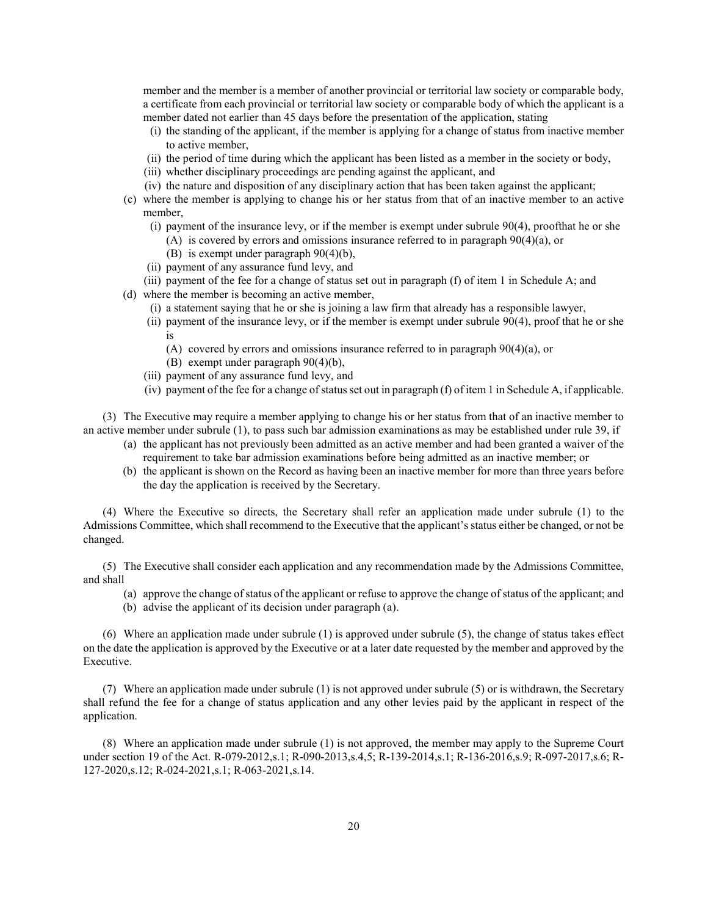member and the member is a member of another provincial or territorial law society or comparable body, a certificate from each provincial or territorial law society or comparable body of which the applicant is a member dated not earlier than 45 days before the presentation of the application, stating

- (i) the standing of the applicant, if the member is applying for a change of status from inactive member to active member,
- (ii) the period of time during which the applicant has been listed as a member in the society or body,
- (iii) whether disciplinary proceedings are pending against the applicant, and
- (iv) the nature and disposition of any disciplinary action that has been taken against the applicant;
- (c) where the member is applying to change his or her status from that of an inactive member to an active member,
	- (i) payment of the insurance levy, or if the member is exempt under subrule 90(4), proofthat he or she (A) is covered by errors and omissions insurance referred to in paragraph 90(4)(a), or
		- (B) is exempt under paragraph 90(4)(b),
	- (ii) payment of any assurance fund levy, and
	- (iii) payment of the fee for a change of status set out in paragraph (f) of item 1 in Schedule A; and
- (d) where the member is becoming an active member,
	- (i) a statement saying that he or she is joining a law firm that already has a responsible lawyer,
	- (ii) payment of the insurance levy, or if the member is exempt under subrule 90(4), proof that he or she is
		- (A) covered by errors and omissions insurance referred to in paragraph  $90(4)(a)$ , or
		- (B) exempt under paragraph 90(4)(b),
	- (iii) payment of any assurance fund levy, and
	- (iv) payment of the fee for a change of status set out in paragraph (f) of item 1 in Schedule A, if applicable.

(3) The Executive may require a member applying to change his or her status from that of an inactive member to an active member under subrule (1), to pass such bar admission examinations as may be established under rule 39, if

- (a) the applicant has not previously been admitted as an active member and had been granted a waiver of the requirement to take bar admission examinations before being admitted as an inactive member; or
- (b) the applicant is shown on the Record as having been an inactive member for more than three years before the day the application is received by the Secretary.

(4) Where the Executive so directs, the Secretary shall refer an application made under subrule (1) to the Admissions Committee, which shall recommend to the Executive that the applicant's status either be changed, or not be changed.

(5) The Executive shall consider each application and any recommendation made by the Admissions Committee, and shall

- (a) approve the change of status of the applicant or refuse to approve the change of status of the applicant; and
- (b) advise the applicant of its decision under paragraph (a).

(6) Where an application made under subrule (1) is approved under subrule (5), the change of status takes effect on the date the application is approved by the Executive or at a later date requested by the member and approved by the Executive.

(7) Where an application made under subrule (1) is not approved under subrule (5) or is withdrawn, the Secretary shall refund the fee for a change of status application and any other levies paid by the applicant in respect of the application.

(8) Where an application made under subrule (1) is not approved, the member may apply to the Supreme Court under section 19 of the Act. R-079-2012,s.1; R-090-2013,s.4,5; R-139-2014,s.1; R-136-2016,s.9; R-097-2017,s.6; R-127-2020,s.12; R-024-2021,s.1; R-063-2021,s.14.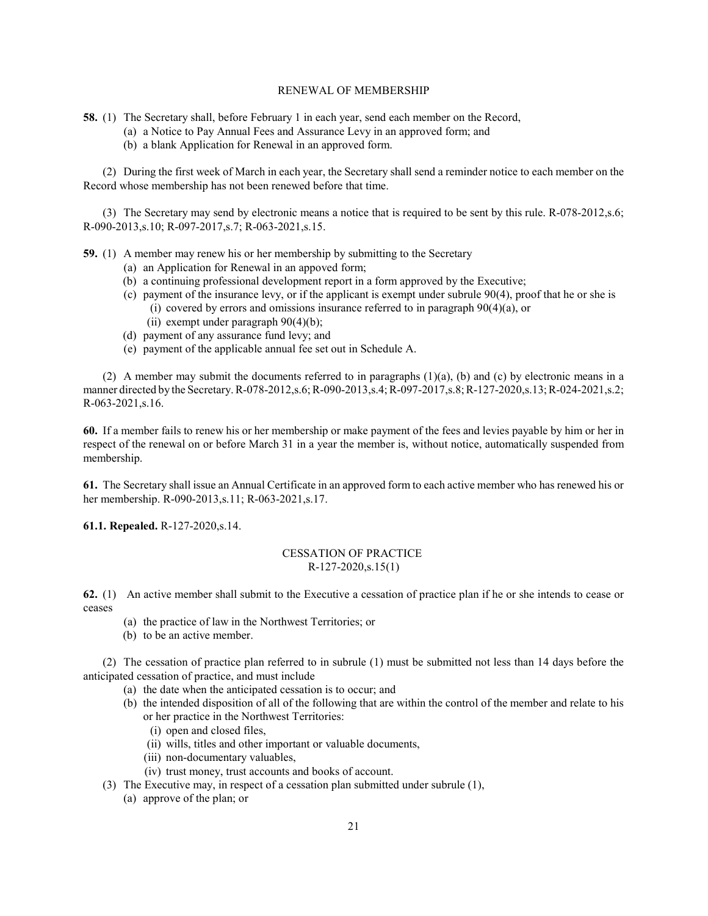# RENEWAL OF MEMBERSHIP

58. (1) The Secretary shall, before February 1 in each year, send each member on the Record,

- (a) a Notice to Pay Annual Fees and Assurance Levy in an approved form; and
	- (b) a blank Application for Renewal in an approved form.

(2) During the first week of March in each year, the Secretary shall send a reminder notice to each member on the Record whose membership has not been renewed before that time.

(3) The Secretary may send by electronic means a notice that is required to be sent by this rule. R-078-2012,s.6; R-090-2013,s.10; R-097-2017,s.7; R-063-2021,s.15.

59. (1) A member may renew his or her membership by submitting to the Secretary

- (a) an Application for Renewal in an appoved form;
- (b) a continuing professional development report in a form approved by the Executive;
- (c) payment of the insurance levy, or if the applicant is exempt under subrule 90(4), proof that he or she is (i) covered by errors and omissions insurance referred to in paragraph 90(4)(a), or
	- (ii) exempt under paragraph  $90(4)(b)$ ;
- (d) payment of any assurance fund levy; and
- (e) payment of the applicable annual fee set out in Schedule A.

(2) A member may submit the documents referred to in paragraphs (1)(a), (b) and (c) by electronic means in a manner directed by the Secretary. R-078-2012,s.6; R-090-2013,s.4; R-097-2017,s.8; R-127-2020,s.13; R-024-2021,s.2; R-063-2021,s.16.

60. If a member fails to renew his or her membership or make payment of the fees and levies payable by him or her in respect of the renewal on or before March 31 in a year the member is, without notice, automatically suspended from membership.

61. The Secretary shall issue an Annual Certificate in an approved form to each active member who has renewed his or her membership. R-090-2013,s.11; R-063-2021,s.17.

61.1. Repealed. R-127-2020,s.14.

# CESSATION OF PRACTICE R-127-2020,s.15(1)

62. (1) An active member shall submit to the Executive a cessation of practice plan if he or she intends to cease or ceases

- (a) the practice of law in the Northwest Territories; or
- (b) to be an active member.

(2) The cessation of practice plan referred to in subrule (1) must be submitted not less than 14 days before the anticipated cessation of practice, and must include

- (a) the date when the anticipated cessation is to occur; and
- (b) the intended disposition of all of the following that are within the control of the member and relate to his or her practice in the Northwest Territories:
	- (i) open and closed files,
	- (ii) wills, titles and other important or valuable documents,
	- (iii) non-documentary valuables,
	- (iv) trust money, trust accounts and books of account.
- (3) The Executive may, in respect of a cessation plan submitted under subrule (1),
	- (a) approve of the plan; or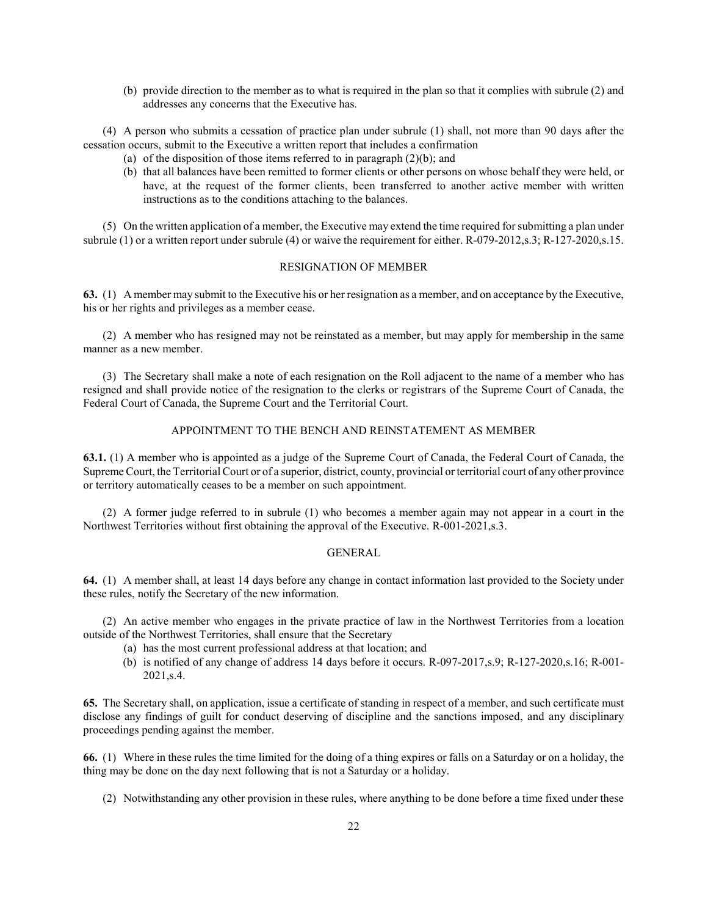(b) provide direction to the member as to what is required in the plan so that it complies with subrule (2) and addresses any concerns that the Executive has.

(4) A person who submits a cessation of practice plan under subrule (1) shall, not more than 90 days after the cessation occurs, submit to the Executive a written report that includes a confirmation

- (a) of the disposition of those items referred to in paragraph  $(2)(b)$ ; and
- (b) that all balances have been remitted to former clients or other persons on whose behalf they were held, or have, at the request of the former clients, been transferred to another active member with written instructions as to the conditions attaching to the balances.

(5) On the written application of a member, the Executive may extend the time required for submitting a plan under subrule (1) or a written report under subrule (4) or waive the requirement for either. R-079-2012,s.3; R-127-2020,s.15.

## RESIGNATION OF MEMBER

63. (1) A member may submit to the Executive his or her resignation as a member, and on acceptance by the Executive, his or her rights and privileges as a member cease.

(2) A member who has resigned may not be reinstated as a member, but may apply for membership in the same manner as a new member.

(3) The Secretary shall make a note of each resignation on the Roll adjacent to the name of a member who has resigned and shall provide notice of the resignation to the clerks or registrars of the Supreme Court of Canada, the Federal Court of Canada, the Supreme Court and the Territorial Court.

### APPOINTMENT TO THE BENCH AND REINSTATEMENT AS MEMBER

63.1. (1) A member who is appointed as a judge of the Supreme Court of Canada, the Federal Court of Canada, the Supreme Court, the Territorial Court or of a superior, district, county, provincial or territorial court of any other province or territory automatically ceases to be a member on such appointment.

(2) A former judge referred to in subrule (1) who becomes a member again may not appear in a court in the Northwest Territories without first obtaining the approval of the Executive. R-001-2021,s.3.

### GENERAL

64. (1) A member shall, at least 14 days before any change in contact information last provided to the Society under these rules, notify the Secretary of the new information.

(2) An active member who engages in the private practice of law in the Northwest Territories from a location outside of the Northwest Territories, shall ensure that the Secretary

- (a) has the most current professional address at that location; and
- (b) is notified of any change of address 14 days before it occurs. R-097-2017,s.9; R-127-2020,s.16; R-001- 2021,s.4.

65. The Secretary shall, on application, issue a certificate of standing in respect of a member, and such certificate must disclose any findings of guilt for conduct deserving of discipline and the sanctions imposed, and any disciplinary proceedings pending against the member.

66. (1) Where in these rules the time limited for the doing of a thing expires or falls on a Saturday or on a holiday, the thing may be done on the day next following that is not a Saturday or a holiday.

(2) Notwithstanding any other provision in these rules, where anything to be done before a time fixed under these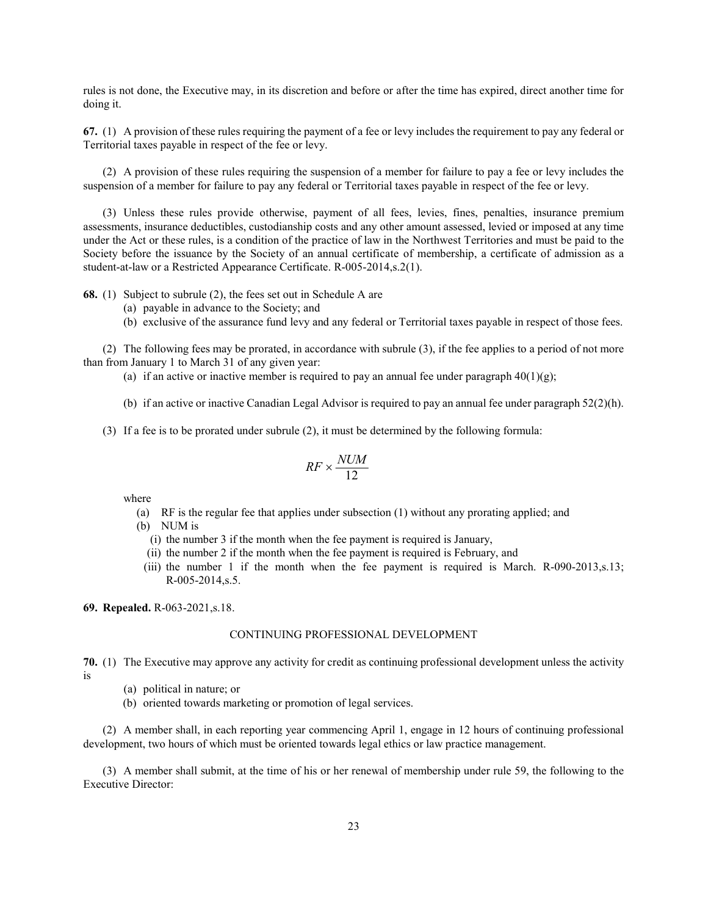rules is not done, the Executive may, in its discretion and before or after the time has expired, direct another time for doing it.

67. (1) A provision of these rules requiring the payment of a fee or levy includes the requirement to pay any federal or Territorial taxes payable in respect of the fee or levy.

(2) A provision of these rules requiring the suspension of a member for failure to pay a fee or levy includes the suspension of a member for failure to pay any federal or Territorial taxes payable in respect of the fee or levy.

(3) Unless these rules provide otherwise, payment of all fees, levies, fines, penalties, insurance premium assessments, insurance deductibles, custodianship costs and any other amount assessed, levied or imposed at any time under the Act or these rules, is a condition of the practice of law in the Northwest Territories and must be paid to the Society before the issuance by the Society of an annual certificate of membership, a certificate of admission as a student-at-law or a Restricted Appearance Certificate. R-005-2014,s.2(1).

68. (1) Subject to subrule (2), the fees set out in Schedule A are

- (a) payable in advance to the Society; and
- (b) exclusive of the assurance fund levy and any federal or Territorial taxes payable in respect of those fees.

(2) The following fees may be prorated, in accordance with subrule (3), if the fee applies to a period of not more than from January 1 to March 31 of any given year:

- (a) if an active or inactive member is required to pay an annual fee under paragraph  $40(1)(g)$ ;
- (b) if an active or inactive Canadian Legal Advisor is required to pay an annual fee under paragraph 52(2)(h).
- (3) If a fee is to be prorated under subrule (2), it must be determined by the following formula:

$$
RF \times \frac{NUM}{12}
$$

where

- (a) RF is the regular fee that applies under subsection (1) without any prorating applied; and
- (b) NUM is
	- (i) the number 3 if the month when the fee payment is required is January,
	- (ii) the number 2 if the month when the fee payment is required is February, and
- (iii) the number 1 if the month when the fee payment is required is March. R-090-2013,s.13; R-005-2014,s.5.

69. Repealed. R-063-2021,s.18.

#### CONTINUING PROFESSIONAL DEVELOPMENT

70. (1) The Executive may approve any activity for credit as continuing professional development unless the activity is

- (a) political in nature; or
- (b) oriented towards marketing or promotion of legal services.

(2) A member shall, in each reporting year commencing April 1, engage in 12 hours of continuing professional development, two hours of which must be oriented towards legal ethics or law practice management.

(3) A member shall submit, at the time of his or her renewal of membership under rule 59, the following to the Executive Director: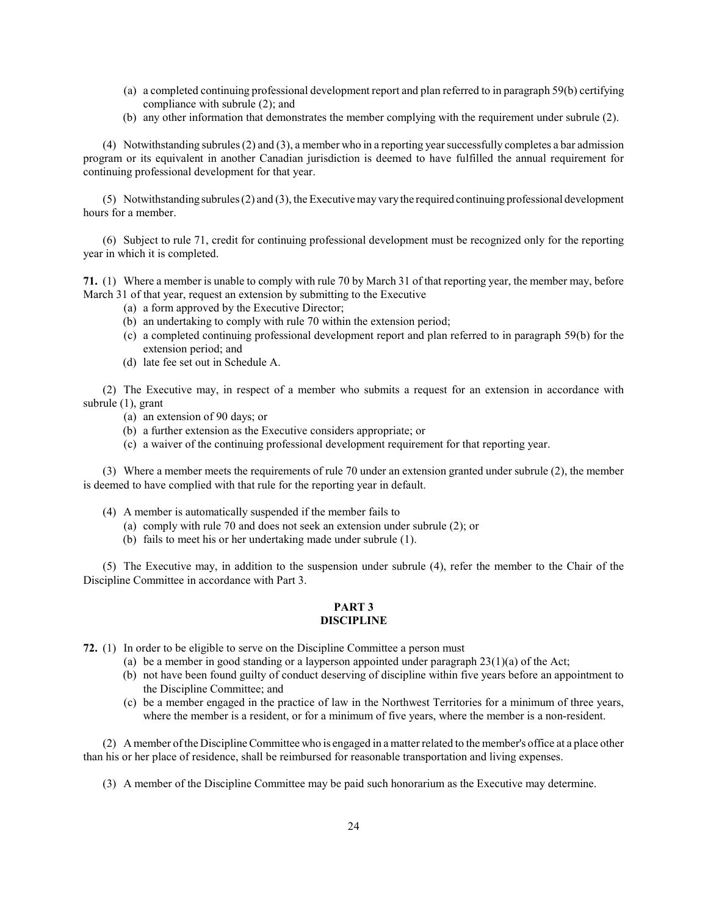- (a) a completed continuing professional development report and plan referred to in paragraph 59(b) certifying compliance with subrule (2); and
- (b) any other information that demonstrates the member complying with the requirement under subrule (2).

(4) Notwithstanding subrules (2) and (3), a member who in a reporting year successfully completes a bar admission program or its equivalent in another Canadian jurisdiction is deemed to have fulfilled the annual requirement for continuing professional development for that year.

(5) Notwithstanding subrules (2) and (3), the Executive may vary the required continuing professional development hours for a member.

(6) Subject to rule 71, credit for continuing professional development must be recognized only for the reporting year in which it is completed.

71. (1) Where a member is unable to comply with rule 70 by March 31 of that reporting year, the member may, before March 31 of that year, request an extension by submitting to the Executive

- (a) a form approved by the Executive Director;
- (b) an undertaking to comply with rule 70 within the extension period;
- (c) a completed continuing professional development report and plan referred to in paragraph 59(b) for the extension period; and
- (d) late fee set out in Schedule A.

(2) The Executive may, in respect of a member who submits a request for an extension in accordance with subrule (1), grant

- (a) an extension of 90 days; or
- (b) a further extension as the Executive considers appropriate; or
- (c) a waiver of the continuing professional development requirement for that reporting year.

(3) Where a member meets the requirements of rule 70 under an extension granted under subrule (2), the member is deemed to have complied with that rule for the reporting year in default.

- (4) A member is automatically suspended if the member fails to
	- (a) comply with rule 70 and does not seek an extension under subrule (2); or
	- (b) fails to meet his or her undertaking made under subrule (1).

(5) The Executive may, in addition to the suspension under subrule (4), refer the member to the Chair of the Discipline Committee in accordance with Part 3.

### PART 3 DISCIPLINE

- 72. (1) In order to be eligible to serve on the Discipline Committee a person must
	- (a) be a member in good standing or a layperson appointed under paragraph  $23(1)(a)$  of the Act;
	- (b) not have been found guilty of conduct deserving of discipline within five years before an appointment to the Discipline Committee; and
	- (c) be a member engaged in the practice of law in the Northwest Territories for a minimum of three years, where the member is a resident, or for a minimum of five years, where the member is a non-resident.

(2) A member of the Discipline Committee who is engaged in a matter related to the member's office at a place other than his or her place of residence, shall be reimbursed for reasonable transportation and living expenses.

(3) A member of the Discipline Committee may be paid such honorarium as the Executive may determine.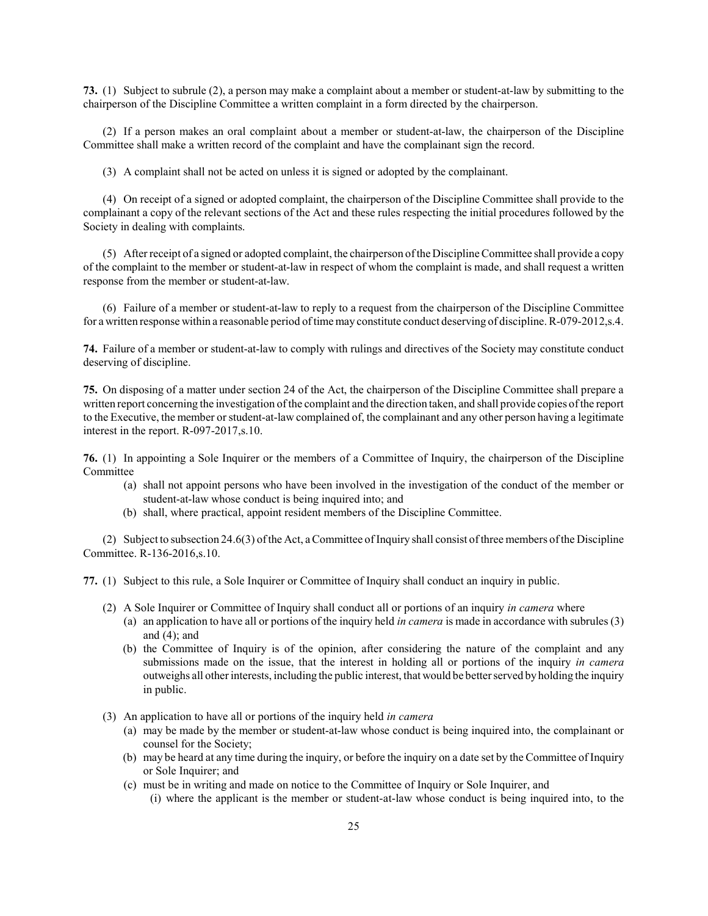73. (1) Subject to subrule (2), a person may make a complaint about a member or student-at-law by submitting to the chairperson of the Discipline Committee a written complaint in a form directed by the chairperson.

(2) If a person makes an oral complaint about a member or student-at-law, the chairperson of the Discipline Committee shall make a written record of the complaint and have the complainant sign the record.

(3) A complaint shall not be acted on unless it is signed or adopted by the complainant.

(4) On receipt of a signed or adopted complaint, the chairperson of the Discipline Committee shall provide to the complainant a copy of the relevant sections of the Act and these rules respecting the initial procedures followed by the Society in dealing with complaints.

(5) After receipt of a signed or adopted complaint, the chairperson of the Discipline Committee shall provide a copy of the complaint to the member or student-at-law in respect of whom the complaint is made, and shall request a written response from the member or student-at-law.

(6) Failure of a member or student-at-law to reply to a request from the chairperson of the Discipline Committee for a written response within a reasonable period of time may constitute conduct deserving of discipline. R-079-2012,s.4.

74. Failure of a member or student-at-law to comply with rulings and directives of the Society may constitute conduct deserving of discipline.

75. On disposing of a matter under section 24 of the Act, the chairperson of the Discipline Committee shall prepare a written report concerning the investigation of the complaint and the direction taken, and shall provide copies of the report to the Executive, the member or student-at-law complained of, the complainant and any other person having a legitimate interest in the report. R-097-2017,s.10.

76. (1) In appointing a Sole Inquirer or the members of a Committee of Inquiry, the chairperson of the Discipline Committee

- (a) shall not appoint persons who have been involved in the investigation of the conduct of the member or student-at-law whose conduct is being inquired into; and
- (b) shall, where practical, appoint resident members of the Discipline Committee.

(2) Subject to subsection 24.6(3) of the Act, a Committee of Inquiry shall consist of three members of the Discipline Committee. R-136-2016,s.10.

77. (1) Subject to this rule, a Sole Inquirer or Committee of Inquiry shall conduct an inquiry in public.

- (2) A Sole Inquirer or Committee of Inquiry shall conduct all or portions of an inquiry in camera where
	- (a) an application to have all or portions of the inquiry held in *camera* is made in accordance with subrules  $(3)$ and  $(4)$ ; and
	- (b) the Committee of Inquiry is of the opinion, after considering the nature of the complaint and any submissions made on the issue, that the interest in holding all or portions of the inquiry in camera outweighs all other interests, including the public interest, that would be better served by holding the inquiry in public.
- (3) An application to have all or portions of the inquiry held in camera
	- (a) may be made by the member or student-at-law whose conduct is being inquired into, the complainant or counsel for the Society;
	- (b) may be heard at any time during the inquiry, or before the inquiry on a date set by the Committee of Inquiry or Sole Inquirer; and
	- (c) must be in writing and made on notice to the Committee of Inquiry or Sole Inquirer, and (i) where the applicant is the member or student-at-law whose conduct is being inquired into, to the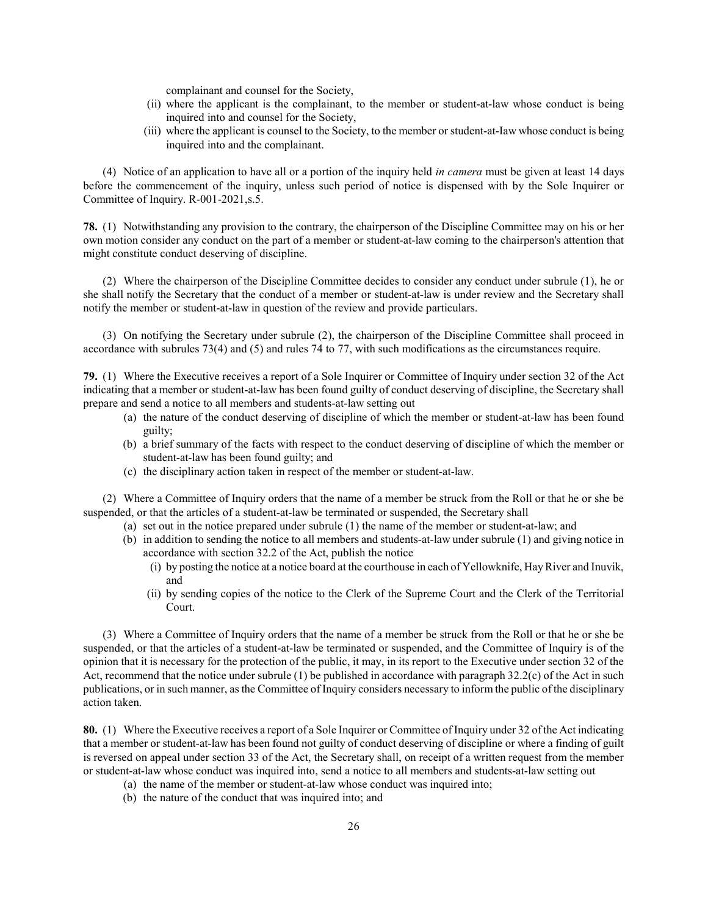complainant and counsel for the Society,

- (ii) where the applicant is the complainant, to the member or student-at-law whose conduct is being inquired into and counsel for the Society,
- (iii) where the applicant is counsel to the Society, to the member or student-at-Iaw whose conduct is being inquired into and the complainant.

(4) Notice of an application to have all or a portion of the inquiry held in camera must be given at least 14 days before the commencement of the inquiry, unless such period of notice is dispensed with by the Sole Inquirer or Committee of Inquiry. R-001-2021,s.5.

78. (1) Notwithstanding any provision to the contrary, the chairperson of the Discipline Committee may on his or her own motion consider any conduct on the part of a member or student-at-law coming to the chairperson's attention that might constitute conduct deserving of discipline.

(2) Where the chairperson of the Discipline Committee decides to consider any conduct under subrule (1), he or she shall notify the Secretary that the conduct of a member or student-at-law is under review and the Secretary shall notify the member or student-at-law in question of the review and provide particulars.

(3) On notifying the Secretary under subrule (2), the chairperson of the Discipline Committee shall proceed in accordance with subrules 73(4) and (5) and rules 74 to 77, with such modifications as the circumstances require.

79. (1) Where the Executive receives a report of a Sole Inquirer or Committee of Inquiry under section 32 of the Act indicating that a member or student-at-law has been found guilty of conduct deserving of discipline, the Secretary shall prepare and send a notice to all members and students-at-law setting out

- (a) the nature of the conduct deserving of discipline of which the member or student-at-law has been found guilty;
- (b) a brief summary of the facts with respect to the conduct deserving of discipline of which the member or student-at-law has been found guilty; and
- (c) the disciplinary action taken in respect of the member or student-at-law.

(2) Where a Committee of Inquiry orders that the name of a member be struck from the Roll or that he or she be suspended, or that the articles of a student-at-law be terminated or suspended, the Secretary shall

- (a) set out in the notice prepared under subrule (1) the name of the member or student-at-law; and
	- (b) in addition to sending the notice to all members and students-at-law under subrule (1) and giving notice in accordance with section 32.2 of the Act, publish the notice
		- (i) by posting the notice at a notice board at the courthouse in each of Yellowknife, Hay River and Inuvik, and
		- (ii) by sending copies of the notice to the Clerk of the Supreme Court and the Clerk of the Territorial Court.

(3) Where a Committee of Inquiry orders that the name of a member be struck from the Roll or that he or she be suspended, or that the articles of a student-at-law be terminated or suspended, and the Committee of Inquiry is of the opinion that it is necessary for the protection of the public, it may, in its report to the Executive under section 32 of the Act, recommend that the notice under subrule (1) be published in accordance with paragraph 32.2(c) of the Act in such publications, or in such manner, as the Committee of Inquiry considers necessary to inform the public of the disciplinary action taken.

80. (1) Where the Executive receives a report of a Sole Inquirer or Committee of Inquiry under 32 of the Act indicating that a member or student-at-law has been found not guilty of conduct deserving of discipline or where a finding of guilt is reversed on appeal under section 33 of the Act, the Secretary shall, on receipt of a written request from the member or student-at-law whose conduct was inquired into, send a notice to all members and students-at-law setting out

- (a) the name of the member or student-at-law whose conduct was inquired into;
- (b) the nature of the conduct that was inquired into; and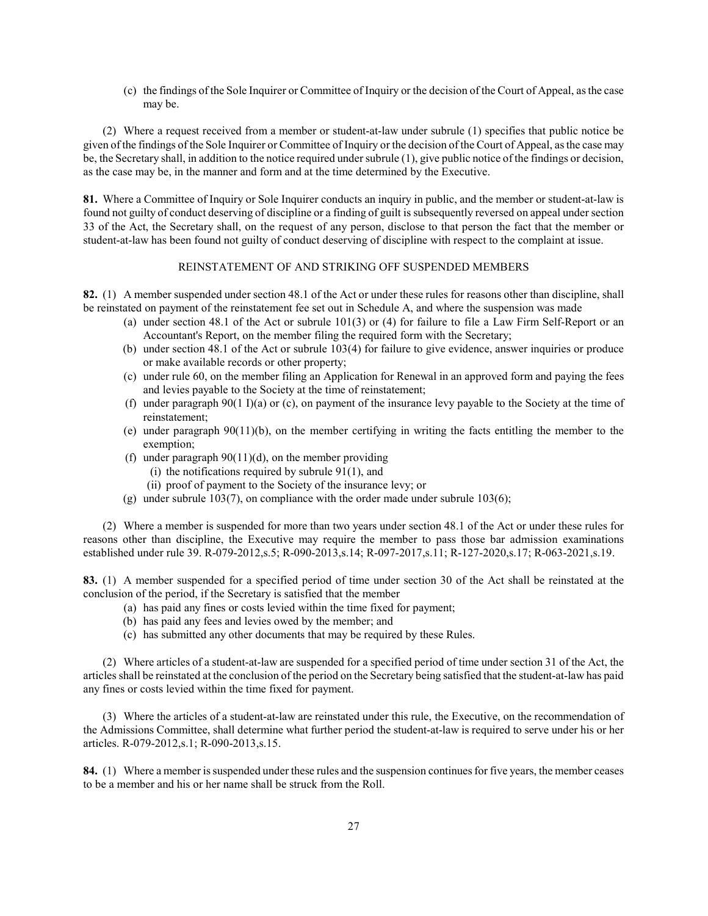(c) the findings of the Sole Inquirer or Committee of Inquiry or the decision of the Court of Appeal, as the case may be.

(2) Where a request received from a member or student-at-law under subrule (1) specifies that public notice be given of the findings of the Sole Inquirer or Committee of Inquiry or the decision of the Court of Appeal, as the case may be, the Secretary shall, in addition to the notice required under subrule (1), give public notice of the findings or decision, as the case may be, in the manner and form and at the time determined by the Executive.

81. Where a Committee of Inquiry or Sole Inquirer conducts an inquiry in public, and the member or student-at-law is found not guilty of conduct deserving of discipline or a finding of guilt is subsequently reversed on appeal under section 33 of the Act, the Secretary shall, on the request of any person, disclose to that person the fact that the member or student-at-law has been found not guilty of conduct deserving of discipline with respect to the complaint at issue.

# REINSTATEMENT OF AND STRIKING OFF SUSPENDED MEMBERS

82. (1) A member suspended under section 48.1 of the Act or under these rules for reasons other than discipline, shall be reinstated on payment of the reinstatement fee set out in Schedule A, and where the suspension was made

- (a) under section 48.1 of the Act or subrule 101(3) or (4) for failure to file a Law Firm Self-Report or an Accountant's Report, on the member filing the required form with the Secretary;
- (b) under section 48.1 of the Act or subrule 103(4) for failure to give evidence, answer inquiries or produce or make available records or other property;
- (c) under rule 60, on the member filing an Application for Renewal in an approved form and paying the fees and levies payable to the Society at the time of reinstatement;
- (f) under paragraph  $90(1 \text{ I})(a)$  or (c), on payment of the insurance levy payable to the Society at the time of reinstatement;
- (e) under paragraph 90(11)(b), on the member certifying in writing the facts entitling the member to the exemption;
- (f) under paragraph  $90(11)(d)$ , on the member providing
	- (i) the notifications required by subrule  $91(1)$ , and
	- (ii) proof of payment to the Society of the insurance levy; or
- (g) under subrule 103(7), on compliance with the order made under subrule 103(6);

(2) Where a member is suspended for more than two years under section 48.1 of the Act or under these rules for reasons other than discipline, the Executive may require the member to pass those bar admission examinations established under rule 39. R-079-2012,s.5; R-090-2013,s.14; R-097-2017,s.11; R-127-2020,s.17; R-063-2021,s.19.

83. (1) A member suspended for a specified period of time under section 30 of the Act shall be reinstated at the conclusion of the period, if the Secretary is satisfied that the member

- (a) has paid any fines or costs levied within the time fixed for payment;
- (b) has paid any fees and levies owed by the member; and
- (c) has submitted any other documents that may be required by these Rules.

(2) Where articles of a student-at-law are suspended for a specified period of time under section 31 of the Act, the articles shall be reinstated at the conclusion of the period on the Secretary being satisfied that the student-at-law has paid any fines or costs levied within the time fixed for payment.

(3) Where the articles of a student-at-law are reinstated under this rule, the Executive, on the recommendation of the Admissions Committee, shall determine what further period the student-at-law is required to serve under his or her articles. R-079-2012,s.1; R-090-2013,s.15.

84. (1) Where a member is suspended under these rules and the suspension continues for five years, the member ceases to be a member and his or her name shall be struck from the Roll.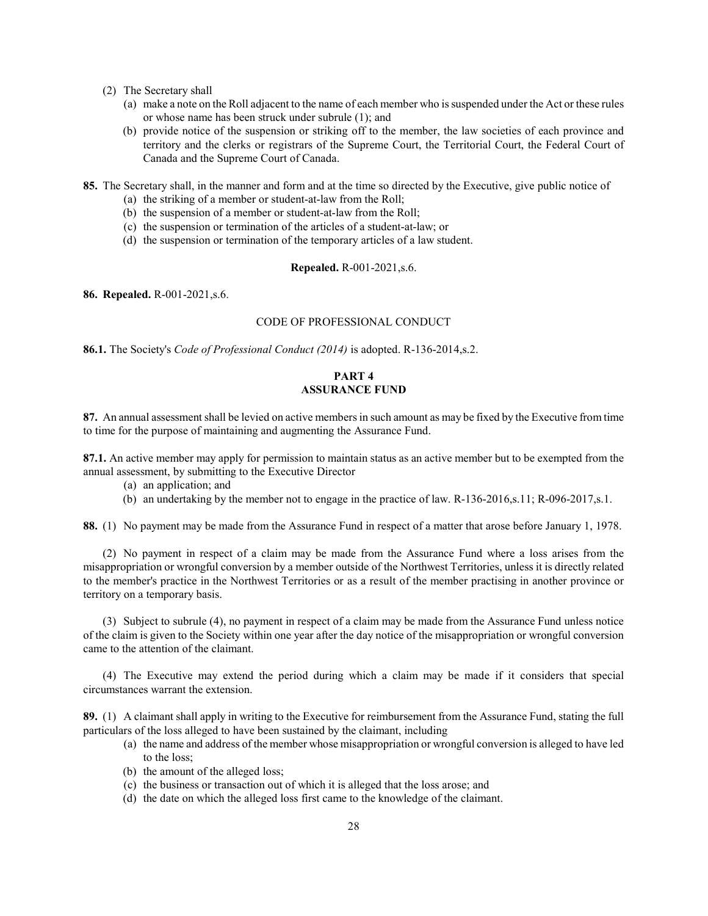- (2) The Secretary shall
	- (a) make a note on the Roll adjacent to the name of each member who is suspended under the Act or these rules or whose name has been struck under subrule (1); and
	- (b) provide notice of the suspension or striking off to the member, the law societies of each province and territory and the clerks or registrars of the Supreme Court, the Territorial Court, the Federal Court of Canada and the Supreme Court of Canada.

85. The Secretary shall, in the manner and form and at the time so directed by the Executive, give public notice of

- (a) the striking of a member or student-at-law from the Roll;
- (b) the suspension of a member or student-at-law from the Roll;
- (c) the suspension or termination of the articles of a student-at-law; or
- (d) the suspension or termination of the temporary articles of a law student.

# Repealed. R-001-2021,s.6.

86. Repealed. R-001-2021,s.6.

### CODE OF PROFESSIONAL CONDUCT

86.1. The Society's Code of Professional Conduct (2014) is adopted. R-136-2014,s.2.

# PART 4 ASSURANCE FUND

87. An annual assessment shall be levied on active members in such amount as may be fixed by the Executive from time to time for the purpose of maintaining and augmenting the Assurance Fund.

87.1. An active member may apply for permission to maintain status as an active member but to be exempted from the annual assessment, by submitting to the Executive Director

- (a) an application; and
- (b) an undertaking by the member not to engage in the practice of law. R-136-2016,s.11; R-096-2017,s.1.

88. (1) No payment may be made from the Assurance Fund in respect of a matter that arose before January 1, 1978.

(2) No payment in respect of a claim may be made from the Assurance Fund where a loss arises from the misappropriation or wrongful conversion by a member outside of the Northwest Territories, unless it is directly related to the member's practice in the Northwest Territories or as a result of the member practising in another province or territory on a temporary basis.

(3) Subject to subrule (4), no payment in respect of a claim may be made from the Assurance Fund unless notice of the claim is given to the Society within one year after the day notice of the misappropriation or wrongful conversion came to the attention of the claimant.

(4) The Executive may extend the period during which a claim may be made if it considers that special circumstances warrant the extension.

89. (1) A claimant shall apply in writing to the Executive for reimbursement from the Assurance Fund, stating the full particulars of the loss alleged to have been sustained by the claimant, including

- (a) the name and address of the member whose misappropriation or wrongful conversion is alleged to have led to the loss;
- (b) the amount of the alleged loss;
- (c) the business or transaction out of which it is alleged that the loss arose; and
- (d) the date on which the alleged loss first came to the knowledge of the claimant.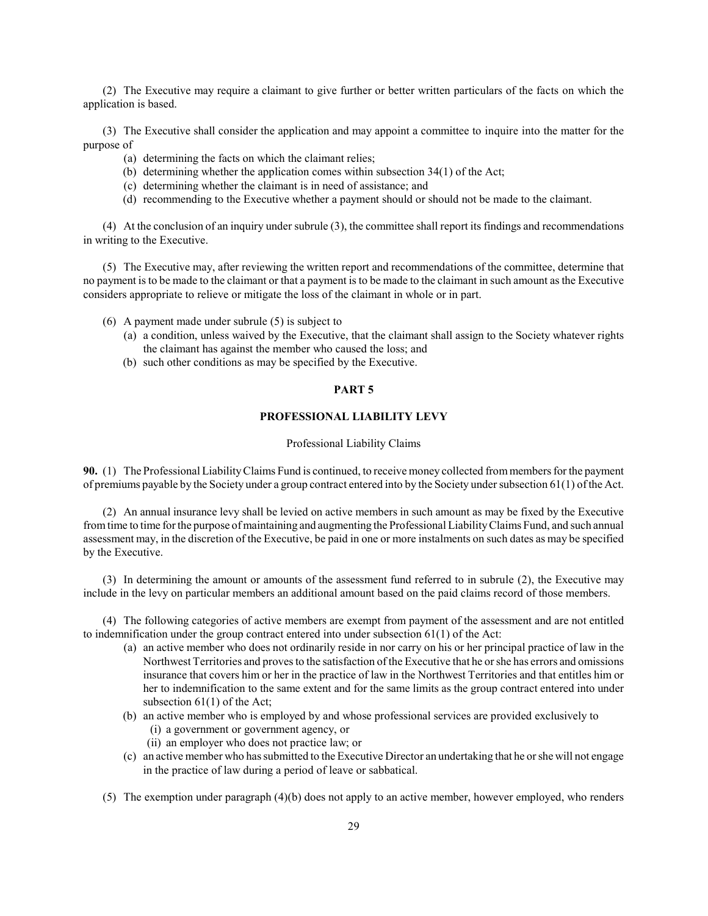(2) The Executive may require a claimant to give further or better written particulars of the facts on which the application is based.

(3) The Executive shall consider the application and may appoint a committee to inquire into the matter for the purpose of

- (a) determining the facts on which the claimant relies;
- (b) determining whether the application comes within subsection 34(1) of the Act;
- (c) determining whether the claimant is in need of assistance; and
- (d) recommending to the Executive whether a payment should or should not be made to the claimant.

(4) At the conclusion of an inquiry under subrule (3), the committee shall report its findings and recommendations in writing to the Executive.

(5) The Executive may, after reviewing the written report and recommendations of the committee, determine that no payment is to be made to the claimant or that a payment is to be made to the claimant in such amount as the Executive considers appropriate to relieve or mitigate the loss of the claimant in whole or in part.

- (6) A payment made under subrule (5) is subject to
	- (a) a condition, unless waived by the Executive, that the claimant shall assign to the Society whatever rights the claimant has against the member who caused the loss; and
	- (b) such other conditions as may be specified by the Executive.

### PART 5

## PROFESSIONAL LIABILITY LEVY

#### Professional Liability Claims

90. (1) The Professional Liability Claims Fund is continued, to receive money collected from members for the payment of premiums payable by the Society under a group contract entered into by the Society under subsection 61(1) of the Act.

(2) An annual insurance levy shall be levied on active members in such amount as may be fixed by the Executive from time to time for the purpose of maintaining and augmenting the Professional Liability Claims Fund, and such annual assessment may, in the discretion of the Executive, be paid in one or more instalments on such dates as may be specified by the Executive.

(3) In determining the amount or amounts of the assessment fund referred to in subrule (2), the Executive may include in the levy on particular members an additional amount based on the paid claims record of those members.

(4) The following categories of active members are exempt from payment of the assessment and are not entitled to indemnification under the group contract entered into under subsection  $61(1)$  of the Act:

- (a) an active member who does not ordinarily reside in nor carry on his or her principal practice of law in the Northwest Territories and proves to the satisfaction of the Executive that he or she has errors and omissions insurance that covers him or her in the practice of law in the Northwest Territories and that entitles him or her to indemnification to the same extent and for the same limits as the group contract entered into under subsection 61(1) of the Act;
- (b) an active member who is employed by and whose professional services are provided exclusively to
	- (i) a government or government agency, or
	- (ii) an employer who does not practice law; or
- (c) an active member who has submitted to the Executive Director an undertaking that he or she will not engage in the practice of law during a period of leave or sabbatical.
- (5) The exemption under paragraph (4)(b) does not apply to an active member, however employed, who renders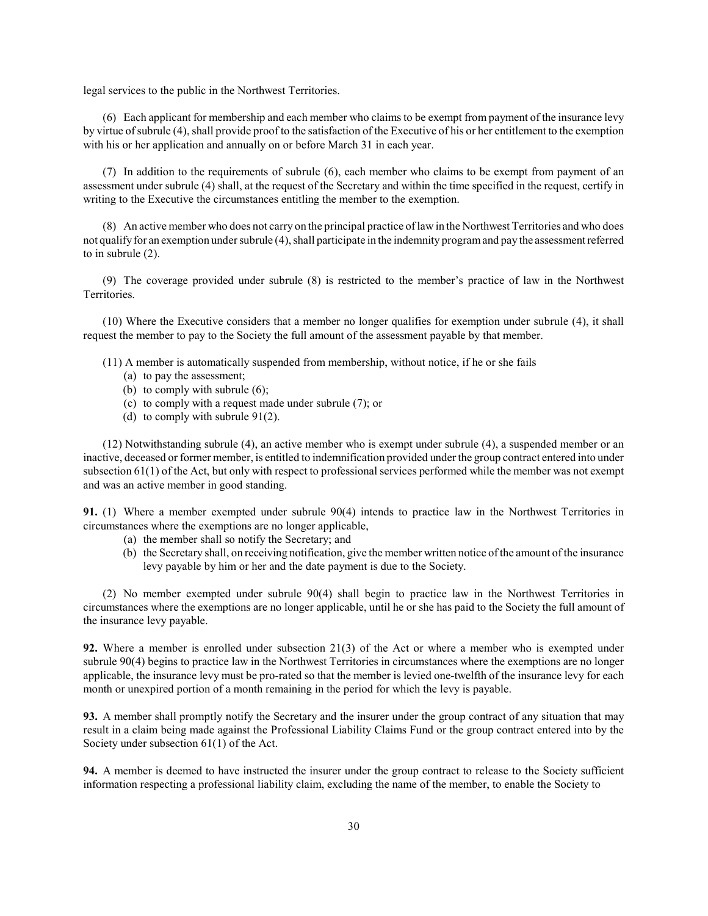legal services to the public in the Northwest Territories.

(6) Each applicant for membership and each member who claims to be exempt from payment of the insurance levy by virtue of subrule (4), shall provide proof to the satisfaction of the Executive of his or her entitlement to the exemption with his or her application and annually on or before March 31 in each year.

(7) In addition to the requirements of subrule (6), each member who claims to be exempt from payment of an assessment under subrule (4) shall, at the request of the Secretary and within the time specified in the request, certify in writing to the Executive the circumstances entitling the member to the exemption.

(8) An active member who does not carry on the principal practice of law in the Northwest Territories and who does not qualify for an exemption under subrule (4), shall participate in the indemnity program and pay the assessment referred to in subrule (2).

(9) The coverage provided under subrule (8) is restricted to the member's practice of law in the Northwest Territories.

(10) Where the Executive considers that a member no longer qualifies for exemption under subrule (4), it shall request the member to pay to the Society the full amount of the assessment payable by that member.

(11) A member is automatically suspended from membership, without notice, if he or she fails

- (a) to pay the assessment;
	- (b) to comply with subrule (6);
	- (c) to comply with a request made under subrule (7); or
	- (d) to comply with subrule 91(2).

(12) Notwithstanding subrule (4), an active member who is exempt under subrule (4), a suspended member or an inactive, deceased or former member, is entitled to indemnification provided under the group contract entered into under subsection 61(1) of the Act, but only with respect to professional services performed while the member was not exempt and was an active member in good standing.

91. (1) Where a member exempted under subrule 90(4) intends to practice law in the Northwest Territories in circumstances where the exemptions are no longer applicable,

- (a) the member shall so notify the Secretary; and
- (b) the Secretary shall, on receiving notification, give the member written notice of the amount of the insurance levy payable by him or her and the date payment is due to the Society.

(2) No member exempted under subrule 90(4) shall begin to practice law in the Northwest Territories in circumstances where the exemptions are no longer applicable, until he or she has paid to the Society the full amount of the insurance levy payable.

92. Where a member is enrolled under subsection 21(3) of the Act or where a member who is exempted under subrule 90(4) begins to practice law in the Northwest Territories in circumstances where the exemptions are no longer applicable, the insurance levy must be pro-rated so that the member is levied one-twelfth of the insurance levy for each month or unexpired portion of a month remaining in the period for which the levy is payable.

93. A member shall promptly notify the Secretary and the insurer under the group contract of any situation that may result in a claim being made against the Professional Liability Claims Fund or the group contract entered into by the Society under subsection 61(1) of the Act.

94. A member is deemed to have instructed the insurer under the group contract to release to the Society sufficient information respecting a professional liability claim, excluding the name of the member, to enable the Society to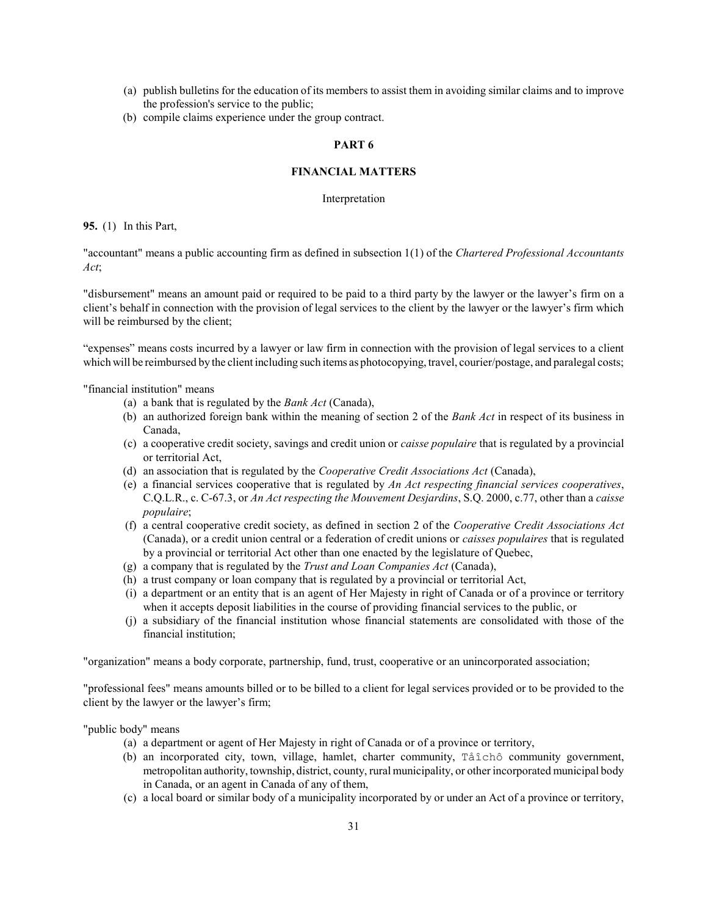- (a) publish bulletins for the education of its members to assist them in avoiding similar claims and to improve the profession's service to the public;
- (b) compile claims experience under the group contract.

### PART 6

# FINANCIAL MATTERS

Interpretation

95. (1) In this Part,

"accountant" means a public accounting firm as defined in subsection 1(1) of the Chartered Professional Accountants Act;

"disbursement" means an amount paid or required to be paid to a third party by the lawyer or the lawyer's firm on a client's behalf in connection with the provision of legal services to the client by the lawyer or the lawyer's firm which will be reimbursed by the client;

"expenses" means costs incurred by a lawyer or law firm in connection with the provision of legal services to a client which will be reimbursed by the client including such items as photocopying, travel, courier/postage, and paralegal costs;

"financial institution" means

- (a) a bank that is regulated by the Bank Act (Canada),
- (b) an authorized foreign bank within the meaning of section 2 of the Bank Act in respect of its business in Canada,
- (c) a cooperative credit society, savings and credit union or caisse populaire that is regulated by a provincial or territorial Act,
- (d) an association that is regulated by the Cooperative Credit Associations Act (Canada),
- (e) a financial services cooperative that is regulated by An Act respecting financial services cooperatives, C.Q.L.R., c. C-67.3, or An Act respecting the Mouvement Desjardins, S.Q. 2000, c.77, other than a caisse populaire;
- (f) a central cooperative credit society, as defined in section 2 of the Cooperative Credit Associations Act (Canada), or a credit union central or a federation of credit unions or caisses populaires that is regulated by a provincial or territorial Act other than one enacted by the legislature of Quebec,
- (g) a company that is regulated by the Trust and Loan Companies Act (Canada),
- (h) a trust company or loan company that is regulated by a provincial or territorial Act,
- (i) a department or an entity that is an agent of Her Majesty in right of Canada or of a province or territory when it accepts deposit liabilities in the course of providing financial services to the public, or
- (j) a subsidiary of the financial institution whose financial statements are consolidated with those of the financial institution;

"organization" means a body corporate, partnership, fund, trust, cooperative or an unincorporated association;

"professional fees" means amounts billed or to be billed to a client for legal services provided or to be provided to the client by the lawyer or the lawyer's firm;

"public body" means

- (a) a department or agent of Her Majesty in right of Canada or of a province or territory,
- (b) an incorporated city, town, village, hamlet, charter community, Tåîchô community government, metropolitan authority, township, district, county, rural municipality, or other incorporated municipal body in Canada, or an agent in Canada of any of them,
- (c) a local board or similar body of a municipality incorporated by or under an Act of a province or territory,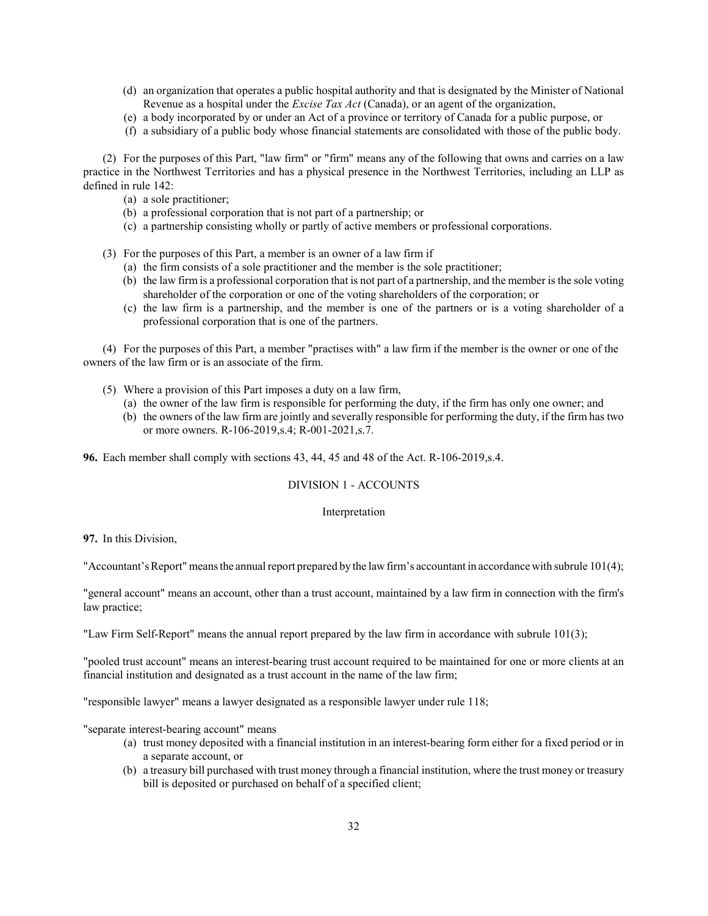- (d) an organization that operates a public hospital authority and that is designated by the Minister of National Revenue as a hospital under the *Excise Tax Act* (Canada), or an agent of the organization,
- (e) a body incorporated by or under an Act of a province or territory of Canada for a public purpose, or
- (f) a subsidiary of a public body whose financial statements are consolidated with those of the public body.

(2) For the purposes of this Part, "law firm" or "firm" means any of the following that owns and carries on a law practice in the Northwest Territories and has a physical presence in the Northwest Territories, including an LLP as defined in rule 142:

- (a) a sole practitioner;
- (b) a professional corporation that is not part of a partnership; or
- (c) a partnership consisting wholly or partly of active members or professional corporations.

(3) For the purposes of this Part, a member is an owner of a law firm if

- (a) the firm consists of a sole practitioner and the member is the sole practitioner;
- (b) the law firm is a professional corporation that is not part of a partnership, and the member is the sole voting shareholder of the corporation or one of the voting shareholders of the corporation; or
- (c) the law firm is a partnership, and the member is one of the partners or is a voting shareholder of a professional corporation that is one of the partners.

(4) For the purposes of this Part, a member "practises with" a law firm if the member is the owner or one of the owners of the law firm or is an associate of the firm.

- (5) Where a provision of this Part imposes a duty on a law firm,
	- (a) the owner of the law firm is responsible for performing the duty, if the firm has only one owner; and
	- (b) the owners of the law firm are jointly and severally responsible for performing the duty, if the firm has two or more owners. R-106-2019,s.4; R-001-2021,s.7.

96. Each member shall comply with sections 43, 44, 45 and 48 of the Act. R-106-2019,s.4.

### DIVISION 1 - ACCOUNTS

#### Interpretation

97. In this Division,

"Accountant's Report" means the annual report prepared by the law firm's accountant in accordance with subrule 101(4);

"general account" means an account, other than a trust account, maintained by a law firm in connection with the firm's law practice;

"Law Firm Self-Report" means the annual report prepared by the law firm in accordance with subrule 101(3);

"pooled trust account" means an interest-bearing trust account required to be maintained for one or more clients at an financial institution and designated as a trust account in the name of the law firm;

"responsible lawyer" means a lawyer designated as a responsible lawyer under rule 118;

"separate interest-bearing account" means

- (a) trust money deposited with a financial institution in an interest-bearing form either for a fixed period or in a separate account, or
- (b) a treasury bill purchased with trust money through a financial institution, where the trust money or treasury bill is deposited or purchased on behalf of a specified client;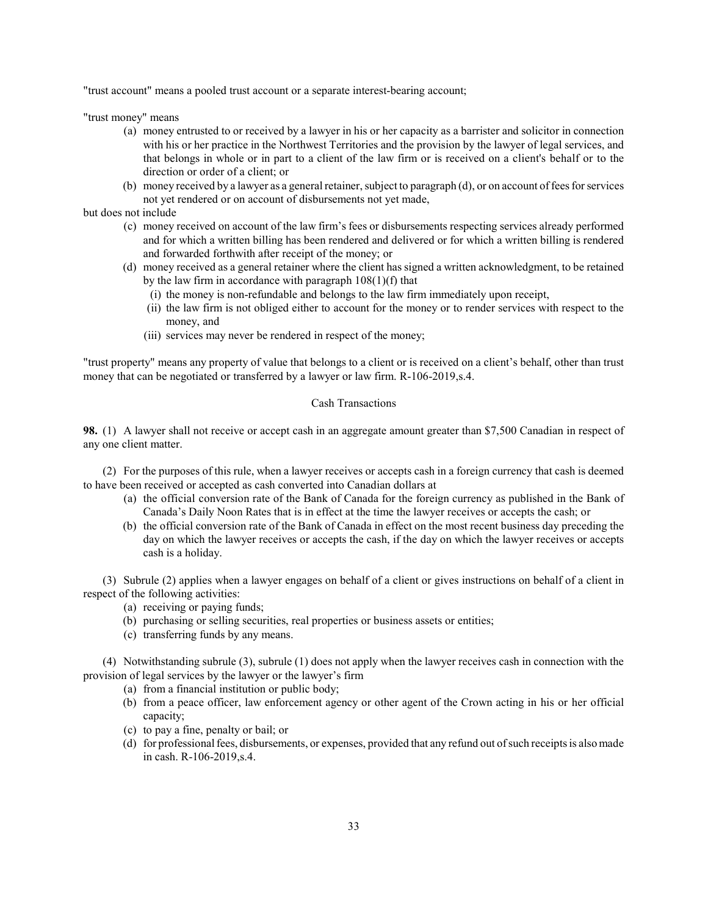"trust account" means a pooled trust account or a separate interest-bearing account;

"trust money" means

- (a) money entrusted to or received by a lawyer in his or her capacity as a barrister and solicitor in connection with his or her practice in the Northwest Territories and the provision by the lawyer of legal services, and that belongs in whole or in part to a client of the law firm or is received on a client's behalf or to the direction or order of a client; or
- (b) money received by a lawyer as a general retainer, subject to paragraph (d), or on account of fees for services not yet rendered or on account of disbursements not yet made,
- but does not include
	- (c) money received on account of the law firm's fees or disbursements respecting services already performed and for which a written billing has been rendered and delivered or for which a written billing is rendered and forwarded forthwith after receipt of the money; or
	- (d) money received as a general retainer where the client has signed a written acknowledgment, to be retained by the law firm in accordance with paragraph 108(1)(f) that
		- (i) the money is non-refundable and belongs to the law firm immediately upon receipt,
		- (ii) the law firm is not obliged either to account for the money or to render services with respect to the money, and
		- (iii) services may never be rendered in respect of the money;

"trust property" means any property of value that belongs to a client or is received on a client's behalf, other than trust money that can be negotiated or transferred by a lawyer or law firm. R-106-2019,s.4.

# Cash Transactions

98. (1) A lawyer shall not receive or accept cash in an aggregate amount greater than \$7,500 Canadian in respect of any one client matter.

(2) For the purposes of this rule, when a lawyer receives or accepts cash in a foreign currency that cash is deemed to have been received or accepted as cash converted into Canadian dollars at

- (a) the official conversion rate of the Bank of Canada for the foreign currency as published in the Bank of Canada's Daily Noon Rates that is in effect at the time the lawyer receives or accepts the cash; or
- (b) the official conversion rate of the Bank of Canada in effect on the most recent business day preceding the day on which the lawyer receives or accepts the cash, if the day on which the lawyer receives or accepts cash is a holiday.

(3) Subrule (2) applies when a lawyer engages on behalf of a client or gives instructions on behalf of a client in respect of the following activities:

- (a) receiving or paying funds;
- (b) purchasing or selling securities, real properties or business assets or entities;
- (c) transferring funds by any means.

(4) Notwithstanding subrule (3), subrule (1) does not apply when the lawyer receives cash in connection with the provision of legal services by the lawyer or the lawyer's firm

- (a) from a financial institution or public body;
- (b) from a peace officer, law enforcement agency or other agent of the Crown acting in his or her official capacity;
- (c) to pay a fine, penalty or bail; or
- (d) for professional fees, disbursements, or expenses, provided that any refund out of such receipts is also made in cash. R-106-2019,s.4.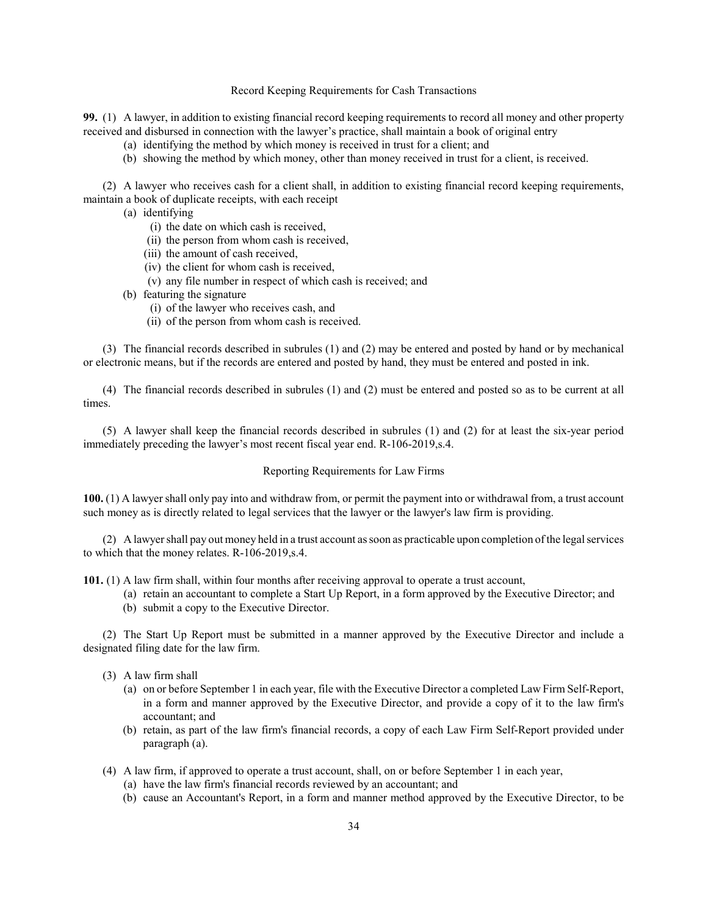### Record Keeping Requirements for Cash Transactions

99. (1) A lawyer, in addition to existing financial record keeping requirements to record all money and other property received and disbursed in connection with the lawyer's practice, shall maintain a book of original entry

- (a) identifying the method by which money is received in trust for a client; and
- (b) showing the method by which money, other than money received in trust for a client, is received.

(2) A lawyer who receives cash for a client shall, in addition to existing financial record keeping requirements, maintain a book of duplicate receipts, with each receipt

- (a) identifying
	- (i) the date on which cash is received,
	- (ii) the person from whom cash is received,
	- (iii) the amount of cash received,
	- (iv) the client for whom cash is received,
	- (v) any file number in respect of which cash is received; and
- (b) featuring the signature
	- (i) of the lawyer who receives cash, and
	- (ii) of the person from whom cash is received.

(3) The financial records described in subrules (1) and (2) may be entered and posted by hand or by mechanical or electronic means, but if the records are entered and posted by hand, they must be entered and posted in ink.

(4) The financial records described in subrules (1) and (2) must be entered and posted so as to be current at all times.

(5) A lawyer shall keep the financial records described in subrules (1) and (2) for at least the six-year period immediately preceding the lawyer's most recent fiscal year end. R-106-2019,s.4.

#### Reporting Requirements for Law Firms

100. (1) A lawyer shall only pay into and withdraw from, or permit the payment into or withdrawal from, a trust account such money as is directly related to legal services that the lawyer or the lawyer's law firm is providing.

(2) A lawyer shall pay out money held in a trust account as soon as practicable upon completion of the legal services to which that the money relates. R-106-2019,s.4.

101. (1) A law firm shall, within four months after receiving approval to operate a trust account,

- (a) retain an accountant to complete a Start Up Report, in a form approved by the Executive Director; and
- (b) submit a copy to the Executive Director.

(2) The Start Up Report must be submitted in a manner approved by the Executive Director and include a designated filing date for the law firm.

- (3) A law firm shall
	- (a) on or before September 1 in each year, file with the Executive Director a completed Law Firm Self-Report, in a form and manner approved by the Executive Director, and provide a copy of it to the law firm's accountant; and
	- (b) retain, as part of the law firm's financial records, a copy of each Law Firm Self-Report provided under paragraph (a).
- (4) A law firm, if approved to operate a trust account, shall, on or before September 1 in each year,
	- (a) have the law firm's financial records reviewed by an accountant; and
	- (b) cause an Accountant's Report, in a form and manner method approved by the Executive Director, to be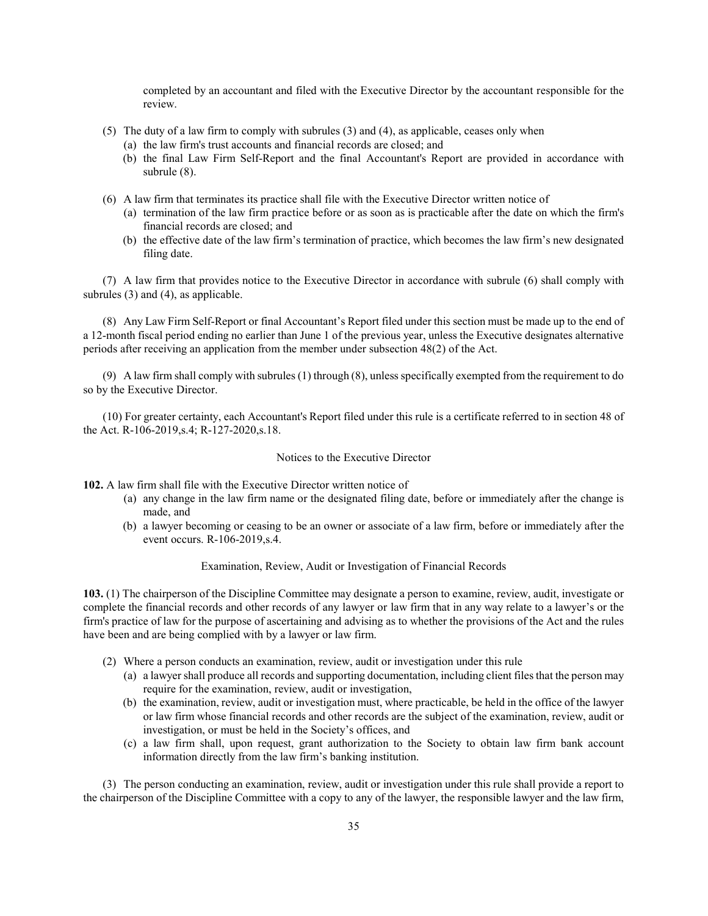completed by an accountant and filed with the Executive Director by the accountant responsible for the review.

- (5) The duty of a law firm to comply with subrules (3) and (4), as applicable, ceases only when
	- (a) the law firm's trust accounts and financial records are closed; and
	- (b) the final Law Firm Self-Report and the final Accountant's Report are provided in accordance with subrule (8).
- (6) A law firm that terminates its practice shall file with the Executive Director written notice of
	- (a) termination of the law firm practice before or as soon as is practicable after the date on which the firm's financial records are closed; and
	- (b) the effective date of the law firm's termination of practice, which becomes the law firm's new designated filing date.

(7) A law firm that provides notice to the Executive Director in accordance with subrule (6) shall comply with subrules (3) and (4), as applicable.

(8) Any Law Firm Self-Report or final Accountant's Report filed under this section must be made up to the end of a 12-month fiscal period ending no earlier than June 1 of the previous year, unless the Executive designates alternative periods after receiving an application from the member under subsection 48(2) of the Act.

(9) A law firm shall comply with subrules (1) through (8), unless specifically exempted from the requirement to do so by the Executive Director.

(10) For greater certainty, each Accountant's Report filed under this rule is a certificate referred to in section 48 of the Act. R-106-2019,s.4; R-127-2020,s.18.

### Notices to the Executive Director

102. A law firm shall file with the Executive Director written notice of

- (a) any change in the law firm name or the designated filing date, before or immediately after the change is made, and
- (b) a lawyer becoming or ceasing to be an owner or associate of a law firm, before or immediately after the event occurs. R-106-2019,s.4.

# Examination, Review, Audit or Investigation of Financial Records

103. (1) The chairperson of the Discipline Committee may designate a person to examine, review, audit, investigate or complete the financial records and other records of any lawyer or law firm that in any way relate to a lawyer's or the firm's practice of law for the purpose of ascertaining and advising as to whether the provisions of the Act and the rules have been and are being complied with by a lawyer or law firm.

- (2) Where a person conducts an examination, review, audit or investigation under this rule
	- (a) a lawyer shall produce all records and supporting documentation, including client files that the person may require for the examination, review, audit or investigation,
	- (b) the examination, review, audit or investigation must, where practicable, be held in the office of the lawyer or law firm whose financial records and other records are the subject of the examination, review, audit or investigation, or must be held in the Society's offices, and
	- (c) a law firm shall, upon request, grant authorization to the Society to obtain law firm bank account information directly from the law firm's banking institution.

(3) The person conducting an examination, review, audit or investigation under this rule shall provide a report to the chairperson of the Discipline Committee with a copy to any of the lawyer, the responsible lawyer and the law firm,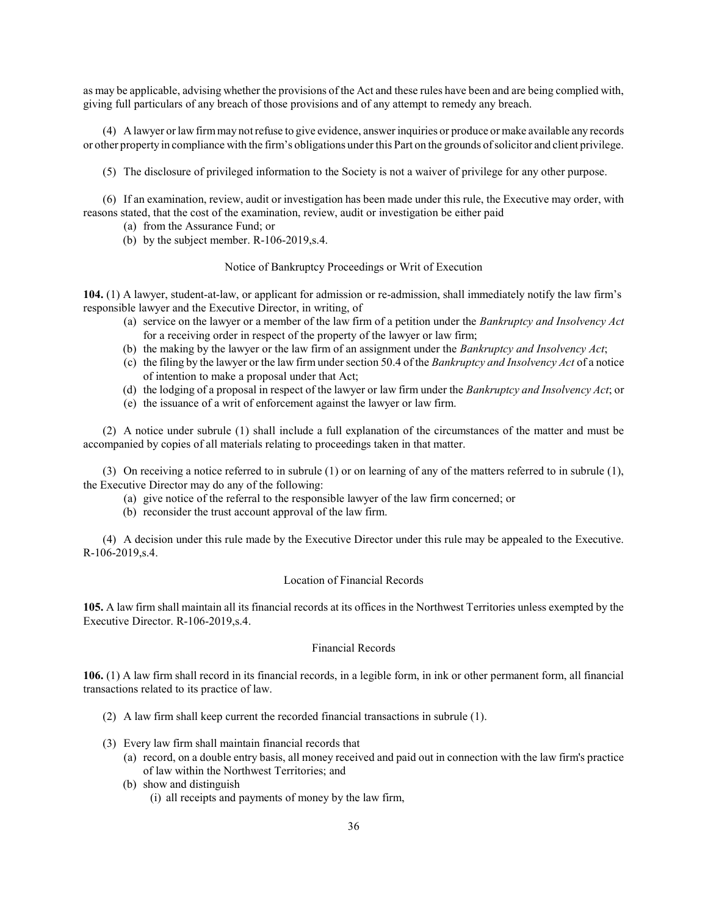as may be applicable, advising whether the provisions of the Act and these rules have been and are being complied with, giving full particulars of any breach of those provisions and of any attempt to remedy any breach.

(4) A lawyer or law firm may not refuse to give evidence, answer inquiries or produce or make available any records or other property in compliance with the firm's obligations under this Part on the grounds of solicitor and client privilege.

(5) The disclosure of privileged information to the Society is not a waiver of privilege for any other purpose.

(6) If an examination, review, audit or investigation has been made under this rule, the Executive may order, with reasons stated, that the cost of the examination, review, audit or investigation be either paid

- (a) from the Assurance Fund; or
- (b) by the subject member. R-106-2019,s.4.

Notice of Bankruptcy Proceedings or Writ of Execution

104. (1) A lawyer, student-at-law, or applicant for admission or re-admission, shall immediately notify the law firm's responsible lawyer and the Executive Director, in writing, of

- (a) service on the lawyer or a member of the law firm of a petition under the Bankruptcy and Insolvency Act for a receiving order in respect of the property of the lawyer or law firm;
- (b) the making by the lawyer or the law firm of an assignment under the Bankruptcy and Insolvency Act;
- (c) the filing by the lawyer or the law firm under section 50.4 of the Bankruptcy and Insolvency Act of a notice of intention to make a proposal under that Act;
- (d) the lodging of a proposal in respect of the lawyer or law firm under the Bankruptcy and Insolvency Act; or
- (e) the issuance of a writ of enforcement against the lawyer or law firm.

(2) A notice under subrule (1) shall include a full explanation of the circumstances of the matter and must be accompanied by copies of all materials relating to proceedings taken in that matter.

(3) On receiving a notice referred to in subrule (1) or on learning of any of the matters referred to in subrule (1), the Executive Director may do any of the following:

- (a) give notice of the referral to the responsible lawyer of the law firm concerned; or
- (b) reconsider the trust account approval of the law firm.

(4) A decision under this rule made by the Executive Director under this rule may be appealed to the Executive. R-106-2019,s.4.

#### Location of Financial Records

105. A law firm shall maintain all its financial records at its offices in the Northwest Territories unless exempted by the Executive Director. R-106-2019,s.4.

### Financial Records

106. (1) A law firm shall record in its financial records, in a legible form, in ink or other permanent form, all financial transactions related to its practice of law.

- (2) A law firm shall keep current the recorded financial transactions in subrule (1).
- (3) Every law firm shall maintain financial records that
	- (a) record, on a double entry basis, all money received and paid out in connection with the law firm's practice of law within the Northwest Territories; and
	- (b) show and distinguish (i) all receipts and payments of money by the law firm,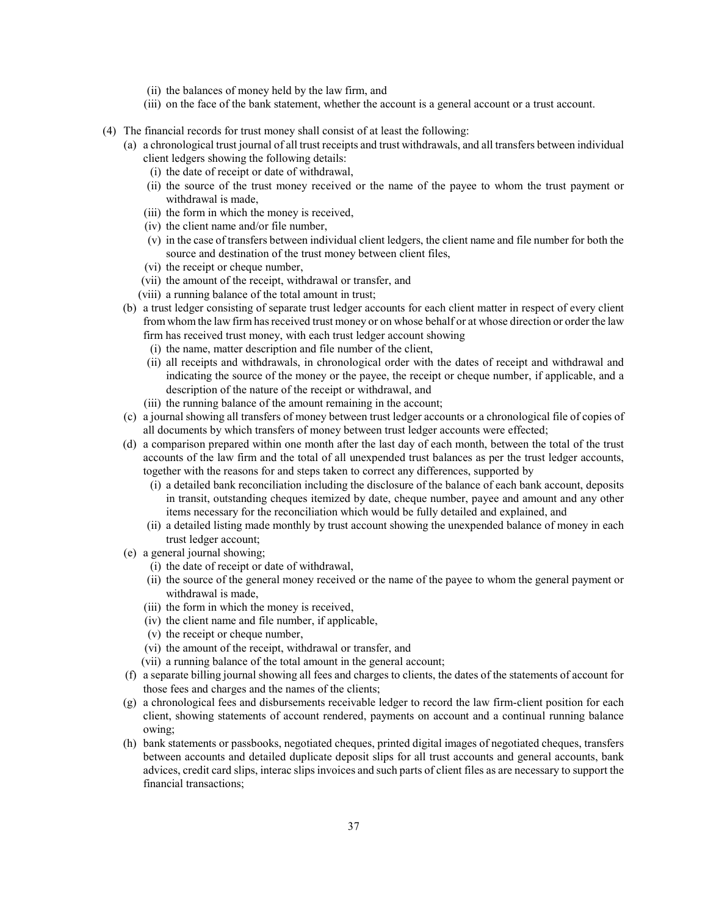- (ii) the balances of money held by the law firm, and
- (iii) on the face of the bank statement, whether the account is a general account or a trust account.
- (4) The financial records for trust money shall consist of at least the following:
	- (a) a chronological trust journal of all trust receipts and trust withdrawals, and all transfers between individual client ledgers showing the following details:
		- (i) the date of receipt or date of withdrawal,
		- (ii) the source of the trust money received or the name of the payee to whom the trust payment or withdrawal is made,
		- (iii) the form in which the money is received,
		- (iv) the client name and/or file number,
		- (v) in the case of transfers between individual client ledgers, the client name and file number for both the source and destination of the trust money between client files,
		- (vi) the receipt or cheque number,
		- (vii) the amount of the receipt, withdrawal or transfer, and
		- (viii) a running balance of the total amount in trust;
	- (b) a trust ledger consisting of separate trust ledger accounts for each client matter in respect of every client from whom the law firm has received trust money or on whose behalf or at whose direction or order the law firm has received trust money, with each trust ledger account showing
		- (i) the name, matter description and file number of the client,
		- (ii) all receipts and withdrawals, in chronological order with the dates of receipt and withdrawal and indicating the source of the money or the payee, the receipt or cheque number, if applicable, and a description of the nature of the receipt or withdrawal, and
		- (iii) the running balance of the amount remaining in the account;
	- (c) a journal showing all transfers of money between trust ledger accounts or a chronological file of copies of all documents by which transfers of money between trust ledger accounts were effected;
	- (d) a comparison prepared within one month after the last day of each month, between the total of the trust accounts of the law firm and the total of all unexpended trust balances as per the trust ledger accounts, together with the reasons for and steps taken to correct any differences, supported by
		- (i) a detailed bank reconciliation including the disclosure of the balance of each bank account, deposits in transit, outstanding cheques itemized by date, cheque number, payee and amount and any other items necessary for the reconciliation which would be fully detailed and explained, and
		- (ii) a detailed listing made monthly by trust account showing the unexpended balance of money in each trust ledger account;
	- (e) a general journal showing;
		- (i) the date of receipt or date of withdrawal,
		- (ii) the source of the general money received or the name of the payee to whom the general payment or withdrawal is made,
		- (iii) the form in which the money is received,
		- (iv) the client name and file number, if applicable,
		- (v) the receipt or cheque number,
		- (vi) the amount of the receipt, withdrawal or transfer, and
		- (vii) a running balance of the total amount in the general account;
	- (f) a separate billing journal showing all fees and charges to clients, the dates of the statements of account for those fees and charges and the names of the clients;
	- (g) a chronological fees and disbursements receivable ledger to record the law firm-client position for each client, showing statements of account rendered, payments on account and a continual running balance owing;
	- (h) bank statements or passbooks, negotiated cheques, printed digital images of negotiated cheques, transfers between accounts and detailed duplicate deposit slips for all trust accounts and general accounts, bank advices, credit card slips, interac slips invoices and such parts of client files as are necessary to support the financial transactions;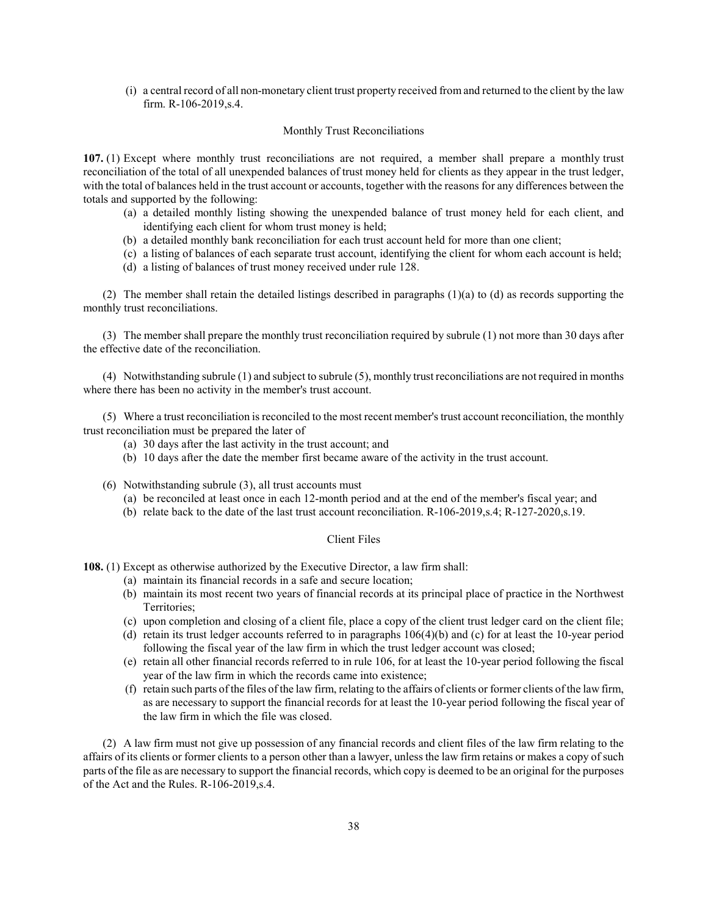(i) a central record of all non-monetary client trust property received from and returned to the client by the law firm. R-106-2019,s.4.

### Monthly Trust Reconciliations

107. (1) Except where monthly trust reconciliations are not required, a member shall prepare a monthly trust reconciliation of the total of all unexpended balances of trust money held for clients as they appear in the trust ledger, with the total of balances held in the trust account or accounts, together with the reasons for any differences between the totals and supported by the following:

- (a) a detailed monthly listing showing the unexpended balance of trust money held for each client, and identifying each client for whom trust money is held;
- (b) a detailed monthly bank reconciliation for each trust account held for more than one client;
- (c) a listing of balances of each separate trust account, identifying the client for whom each account is held;
- (d) a listing of balances of trust money received under rule 128.

(2) The member shall retain the detailed listings described in paragraphs  $(1)(a)$  to  $(d)$  as records supporting the monthly trust reconciliations.

(3) The member shall prepare the monthly trust reconciliation required by subrule (1) not more than 30 days after the effective date of the reconciliation.

(4) Notwithstanding subrule (1) and subject to subrule (5), monthly trust reconciliations are not required in months where there has been no activity in the member's trust account.

(5) Where a trust reconciliation is reconciled to the most recent member's trust account reconciliation, the monthly trust reconciliation must be prepared the later of

- (a) 30 days after the last activity in the trust account; and
- (b) 10 days after the date the member first became aware of the activity in the trust account.
- (6) Notwithstanding subrule (3), all trust accounts must
	- (a) be reconciled at least once in each 12-month period and at the end of the member's fiscal year; and
	- (b) relate back to the date of the last trust account reconciliation. R-106-2019,s.4; R-127-2020,s.19.

## Client Files

108. (1) Except as otherwise authorized by the Executive Director, a law firm shall:

- (a) maintain its financial records in a safe and secure location;
- (b) maintain its most recent two years of financial records at its principal place of practice in the Northwest Territories;
- (c) upon completion and closing of a client file, place a copy of the client trust ledger card on the client file;
- (d) retain its trust ledger accounts referred to in paragraphs 106(4)(b) and (c) for at least the 10-year period following the fiscal year of the law firm in which the trust ledger account was closed;
- (e) retain all other financial records referred to in rule 106, for at least the 10-year period following the fiscal year of the law firm in which the records came into existence;
- (f) retain such parts of the files of the law firm, relating to the affairs of clients or former clients of the law firm, as are necessary to support the financial records for at least the 10-year period following the fiscal year of the law firm in which the file was closed.

(2) A law firm must not give up possession of any financial records and client files of the law firm relating to the affairs of its clients or former clients to a person other than a lawyer, unless the law firm retains or makes a copy of such parts of the file as are necessary to support the financial records, which copy is deemed to be an original for the purposes of the Act and the Rules. R-106-2019,s.4.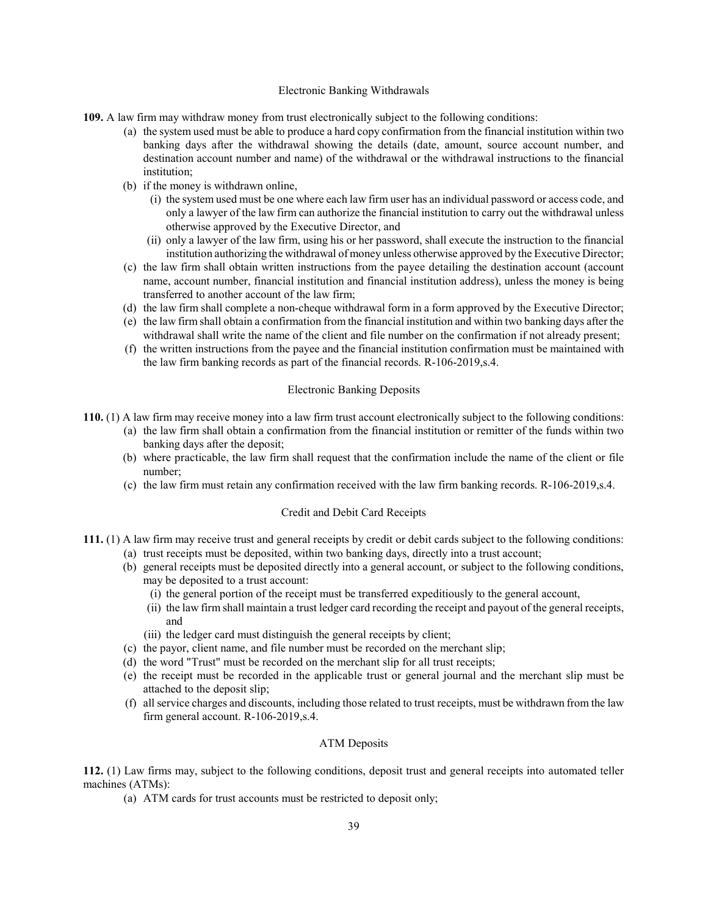#### Electronic Banking Withdrawals

- 109. A law firm may withdraw money from trust electronically subject to the following conditions:
	- (a) the system used must be able to produce a hard copy confirmation from the financial institution within two banking days after the withdrawal showing the details (date, amount, source account number, and destination account number and name) of the withdrawal or the withdrawal instructions to the financial institution;
	- (b) if the money is withdrawn online,
		- (i) the system used must be one where each law firm user has an individual password or access code, and only a lawyer of the law firm can authorize the financial institution to carry out the withdrawal unless otherwise approved by the Executive Director, and
		- (ii) only a lawyer of the law firm, using his or her password, shall execute the instruction to the financial institution authorizing the withdrawal of money unless otherwise approved by the Executive Director;
	- (c) the law firm shall obtain written instructions from the payee detailing the destination account (account name, account number, financial institution and financial institution address), unless the money is being transferred to another account of the law firm;
	- (d) the law firm shall complete a non-cheque withdrawal form in a form approved by the Executive Director;
	- (e) the law firm shall obtain a confirmation from the financial institution and within two banking days after the withdrawal shall write the name of the client and file number on the confirmation if not already present;
	- (f) the written instructions from the payee and the financial institution confirmation must be maintained with the law firm banking records as part of the financial records. R-106-2019,s.4.

### Electronic Banking Deposits

- 110. (1) A law firm may receive money into a law firm trust account electronically subject to the following conditions:
	- (a) the law firm shall obtain a confirmation from the financial institution or remitter of the funds within two banking days after the deposit;
	- (b) where practicable, the law firm shall request that the confirmation include the name of the client or file number;
	- (c) the law firm must retain any confirmation received with the law firm banking records. R-106-2019,s.4.

#### Credit and Debit Card Receipts

- 111. (1) A law firm may receive trust and general receipts by credit or debit cards subject to the following conditions:
	- (a) trust receipts must be deposited, within two banking days, directly into a trust account;
	- (b) general receipts must be deposited directly into a general account, or subject to the following conditions, may be deposited to a trust account:
		- (i) the general portion of the receipt must be transferred expeditiously to the general account,
		- (ii) the law firm shall maintain a trust ledger card recording the receipt and payout of the general receipts, and
		- (iii) the ledger card must distinguish the general receipts by client;
	- (c) the payor, client name, and file number must be recorded on the merchant slip;
	- (d) the word "Trust" must be recorded on the merchant slip for all trust receipts;
	- (e) the receipt must be recorded in the applicable trust or general journal and the merchant slip must be attached to the deposit slip;
	- (f) all service charges and discounts, including those related to trust receipts, must be withdrawn from the law firm general account. R-106-2019,s.4.

### ATM Deposits

112. (1) Law firms may, subject to the following conditions, deposit trust and general receipts into automated teller machines (ATMs):

(a) ATM cards for trust accounts must be restricted to deposit only;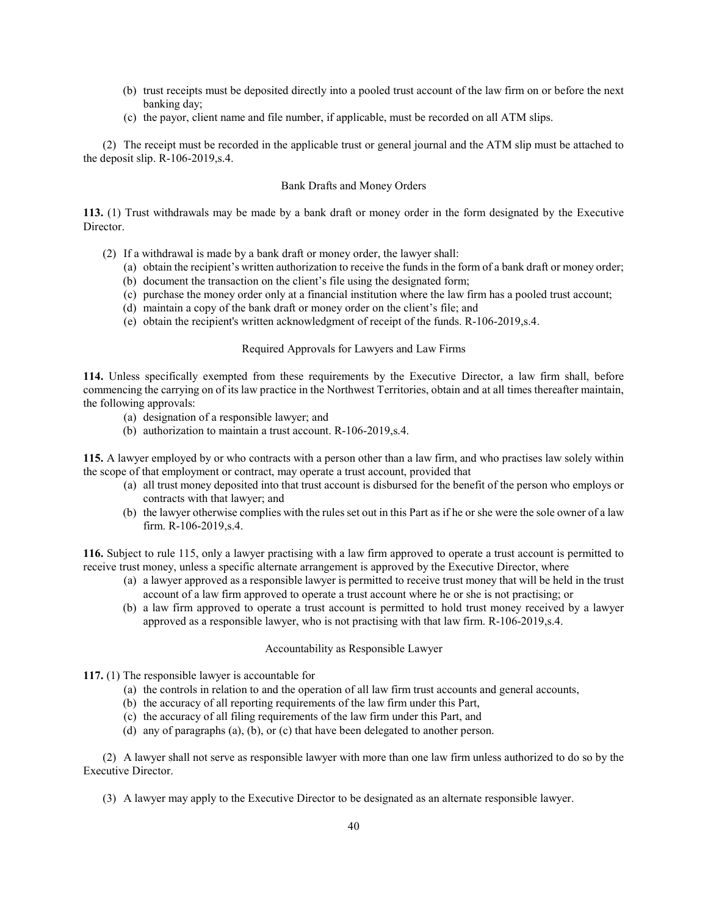- (b) trust receipts must be deposited directly into a pooled trust account of the law firm on or before the next banking day;
- (c) the payor, client name and file number, if applicable, must be recorded on all ATM slips.

(2) The receipt must be recorded in the applicable trust or general journal and the ATM slip must be attached to the deposit slip. R-106-2019,s.4.

## Bank Drafts and Money Orders

113. (1) Trust withdrawals may be made by a bank draft or money order in the form designated by the Executive Director.

- (2) If a withdrawal is made by a bank draft or money order, the lawyer shall:
	- (a) obtain the recipient's written authorization to receive the funds in the form of a bank draft or money order;
	- (b) document the transaction on the client's file using the designated form;
	- (c) purchase the money order only at a financial institution where the law firm has a pooled trust account;
	- (d) maintain a copy of the bank draft or money order on the client's file; and
	- (e) obtain the recipient's written acknowledgment of receipt of the funds. R-106-2019,s.4.

### Required Approvals for Lawyers and Law Firms

114. Unless specifically exempted from these requirements by the Executive Director, a law firm shall, before commencing the carrying on of its law practice in the Northwest Territories, obtain and at all times thereafter maintain, the following approvals:

- (a) designation of a responsible lawyer; and
- (b) authorization to maintain a trust account. R-106-2019,s.4.

115. A lawyer employed by or who contracts with a person other than a law firm, and who practises law solely within the scope of that employment or contract, may operate a trust account, provided that

- (a) all trust money deposited into that trust account is disbursed for the benefit of the person who employs or contracts with that lawyer; and
- (b) the lawyer otherwise complies with the rules set out in this Part as if he or she were the sole owner of a law firm. R-106-2019,s.4.

116. Subject to rule 115, only a lawyer practising with a law firm approved to operate a trust account is permitted to receive trust money, unless a specific alternate arrangement is approved by the Executive Director, where

- (a) a lawyer approved as a responsible lawyer is permitted to receive trust money that will be held in the trust account of a law firm approved to operate a trust account where he or she is not practising; or
- (b) a law firm approved to operate a trust account is permitted to hold trust money received by a lawyer approved as a responsible lawyer, who is not practising with that law firm. R-106-2019,s.4.

### Accountability as Responsible Lawyer

117. (1) The responsible lawyer is accountable for

- (a) the controls in relation to and the operation of all law firm trust accounts and general accounts,
- (b) the accuracy of all reporting requirements of the law firm under this Part,
- (c) the accuracy of all filing requirements of the law firm under this Part, and
- (d) any of paragraphs (a), (b), or (c) that have been delegated to another person.

(2) A lawyer shall not serve as responsible lawyer with more than one law firm unless authorized to do so by the Executive Director.

(3) A lawyer may apply to the Executive Director to be designated as an alternate responsible lawyer.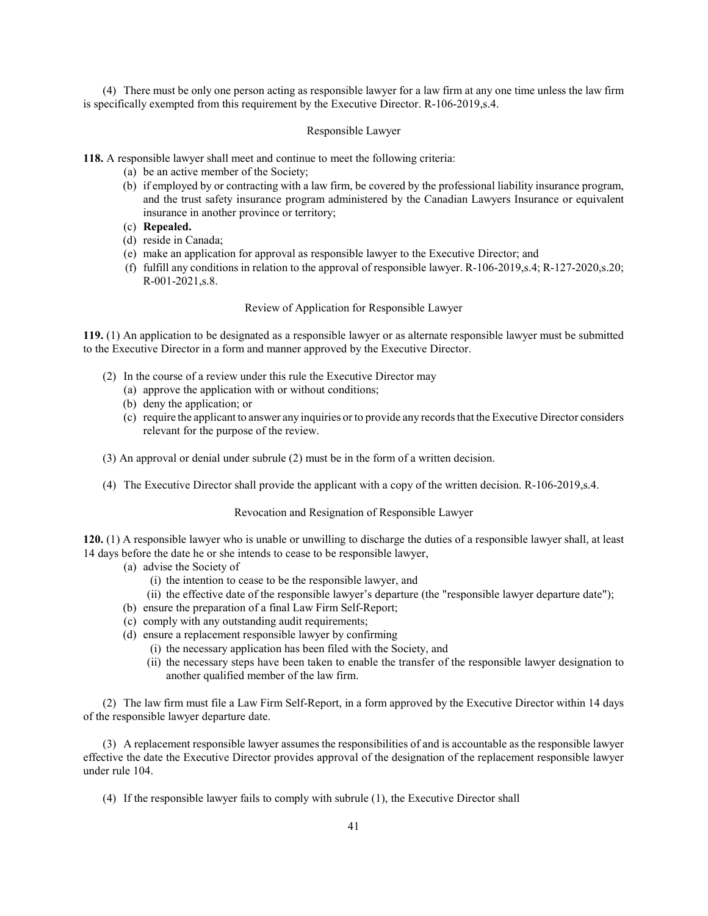(4) There must be only one person acting as responsible lawyer for a law firm at any one time unless the law firm is specifically exempted from this requirement by the Executive Director. R-106-2019,s.4.

### Responsible Lawyer

118. A responsible lawyer shall meet and continue to meet the following criteria:

- (a) be an active member of the Society;
- (b) if employed by or contracting with a law firm, be covered by the professional liability insurance program, and the trust safety insurance program administered by the Canadian Lawyers Insurance or equivalent insurance in another province or territory;
- (c) Repealed.
- (d) reside in Canada;
- (e) make an application for approval as responsible lawyer to the Executive Director; and
- (f) fulfill any conditions in relation to the approval of responsible lawyer. R-106-2019,s.4; R-127-2020,s.20; R-001-2021,s.8.

### Review of Application for Responsible Lawyer

119. (1) An application to be designated as a responsible lawyer or as alternate responsible lawyer must be submitted to the Executive Director in a form and manner approved by the Executive Director.

- (2) In the course of a review under this rule the Executive Director may
	- (a) approve the application with or without conditions;
	- (b) deny the application; or
	- (c) require the applicant to answer any inquiries or to provide any records that the Executive Director considers relevant for the purpose of the review.
- (3) An approval or denial under subrule (2) must be in the form of a written decision.
- (4) The Executive Director shall provide the applicant with a copy of the written decision. R-106-2019,s.4.

#### Revocation and Resignation of Responsible Lawyer

120. (1) A responsible lawyer who is unable or unwilling to discharge the duties of a responsible lawyer shall, at least 14 days before the date he or she intends to cease to be responsible lawyer,

- (a) advise the Society of
	- (i) the intention to cease to be the responsible lawyer, and
	- (ii) the effective date of the responsible lawyer's departure (the "responsible lawyer departure date");
- (b) ensure the preparation of a final Law Firm Self-Report;
- (c) comply with any outstanding audit requirements;
- (d) ensure a replacement responsible lawyer by confirming
	- (i) the necessary application has been filed with the Society, and
	- (ii) the necessary steps have been taken to enable the transfer of the responsible lawyer designation to another qualified member of the law firm.

(2) The law firm must file a Law Firm Self-Report, in a form approved by the Executive Director within 14 days of the responsible lawyer departure date.

(3) A replacement responsible lawyer assumes the responsibilities of and is accountable as the responsible lawyer effective the date the Executive Director provides approval of the designation of the replacement responsible lawyer under rule 104.

(4) If the responsible lawyer fails to comply with subrule (1), the Executive Director shall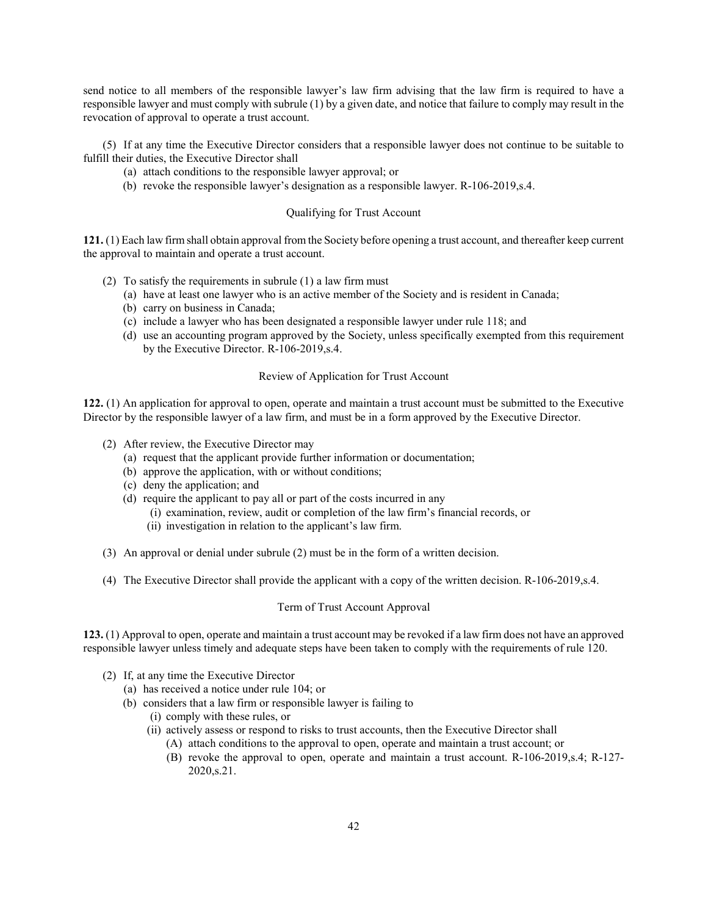send notice to all members of the responsible lawyer's law firm advising that the law firm is required to have a responsible lawyer and must comply with subrule (1) by a given date, and notice that failure to comply may result in the revocation of approval to operate a trust account.

(5) If at any time the Executive Director considers that a responsible lawyer does not continue to be suitable to fulfill their duties, the Executive Director shall

- (a) attach conditions to the responsible lawyer approval; or
- (b) revoke the responsible lawyer's designation as a responsible lawyer. R-106-2019,s.4.

#### Qualifying for Trust Account

121. (1) Each law firm shall obtain approval from the Society before opening a trust account, and thereafter keep current the approval to maintain and operate a trust account.

- (2) To satisfy the requirements in subrule (1) a law firm must
	- (a) have at least one lawyer who is an active member of the Society and is resident in Canada;
	- (b) carry on business in Canada;
	- (c) include a lawyer who has been designated a responsible lawyer under rule 118; and
	- (d) use an accounting program approved by the Society, unless specifically exempted from this requirement by the Executive Director. R-106-2019,s.4.

### Review of Application for Trust Account

122. (1) An application for approval to open, operate and maintain a trust account must be submitted to the Executive Director by the responsible lawyer of a law firm, and must be in a form approved by the Executive Director.

- (2) After review, the Executive Director may
	- (a) request that the applicant provide further information or documentation;
	- (b) approve the application, with or without conditions;
	- (c) deny the application; and
	- (d) require the applicant to pay all or part of the costs incurred in any
		- (i) examination, review, audit or completion of the law firm's financial records, or
		- (ii) investigation in relation to the applicant's law firm.
- (3) An approval or denial under subrule (2) must be in the form of a written decision.
- (4) The Executive Director shall provide the applicant with a copy of the written decision. R-106-2019,s.4.

#### Term of Trust Account Approval

123. (1) Approval to open, operate and maintain a trust account may be revoked if a law firm does not have an approved responsible lawyer unless timely and adequate steps have been taken to comply with the requirements of rule 120.

- (2) If, at any time the Executive Director
	- (a) has received a notice under rule 104; or
	- (b) considers that a law firm or responsible lawyer is failing to
		- (i) comply with these rules, or
		- (ii) actively assess or respond to risks to trust accounts, then the Executive Director shall
			- (A) attach conditions to the approval to open, operate and maintain a trust account; or
			- (B) revoke the approval to open, operate and maintain a trust account. R-106-2019,s.4; R-127- 2020,s.21.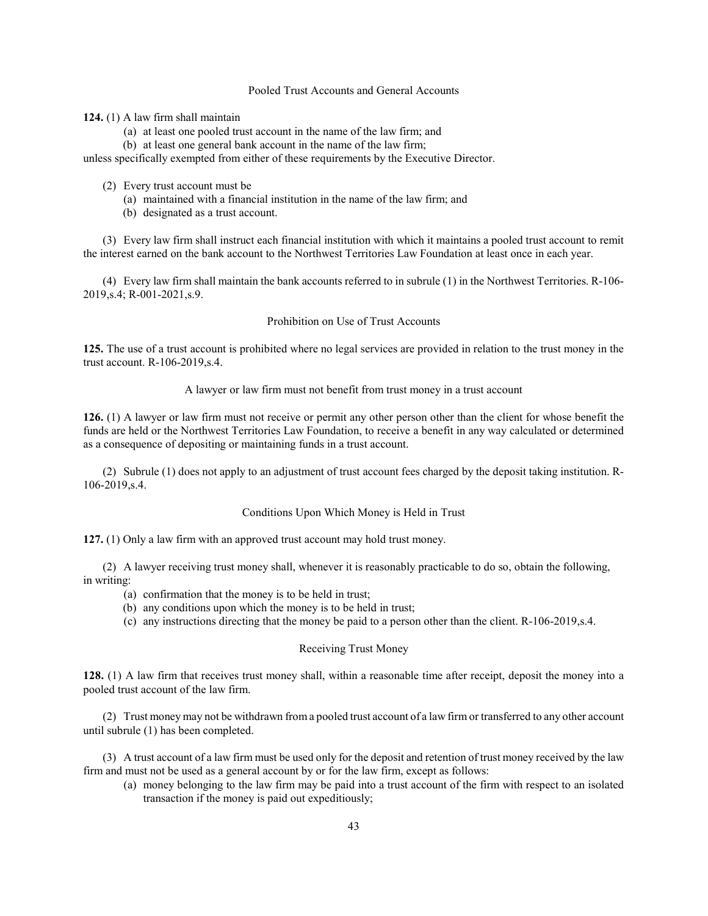# Pooled Trust Accounts and General Accounts

124. (1) A law firm shall maintain

- (a) at least one pooled trust account in the name of the law firm; and
- (b) at least one general bank account in the name of the law firm;

unless specifically exempted from either of these requirements by the Executive Director.

- (2) Every trust account must be
	- (a) maintained with a financial institution in the name of the law firm; and
	- (b) designated as a trust account.

(3) Every law firm shall instruct each financial institution with which it maintains a pooled trust account to remit the interest earned on the bank account to the Northwest Territories Law Foundation at least once in each year.

(4) Every law firm shall maintain the bank accounts referred to in subrule (1) in the Northwest Territories. R-106- 2019,s.4; R-001-2021,s.9.

### Prohibition on Use of Trust Accounts

125. The use of a trust account is prohibited where no legal services are provided in relation to the trust money in the trust account. R-106-2019,s.4.

A lawyer or law firm must not benefit from trust money in a trust account

126. (1) A lawyer or law firm must not receive or permit any other person other than the client for whose benefit the funds are held or the Northwest Territories Law Foundation, to receive a benefit in any way calculated or determined as a consequence of depositing or maintaining funds in a trust account.

(2) Subrule (1) does not apply to an adjustment of trust account fees charged by the deposit taking institution. R-106-2019,s.4.

#### Conditions Upon Which Money is Held in Trust

127. (1) Only a law firm with an approved trust account may hold trust money.

(2) A lawyer receiving trust money shall, whenever it is reasonably practicable to do so, obtain the following, in writing:

- (a) confirmation that the money is to be held in trust;
- (b) any conditions upon which the money is to be held in trust;
- (c) any instructions directing that the money be paid to a person other than the client. R-106-2019,s.4.

# Receiving Trust Money

128. (1) A law firm that receives trust money shall, within a reasonable time after receipt, deposit the money into a pooled trust account of the law firm.

(2) Trust money may not be withdrawn from a pooled trust account of a law firm or transferred to any other account until subrule (1) has been completed.

(3) A trust account of a law firm must be used only for the deposit and retention of trust money received by the law firm and must not be used as a general account by or for the law firm, except as follows:

(a) money belonging to the law firm may be paid into a trust account of the firm with respect to an isolated transaction if the money is paid out expeditiously;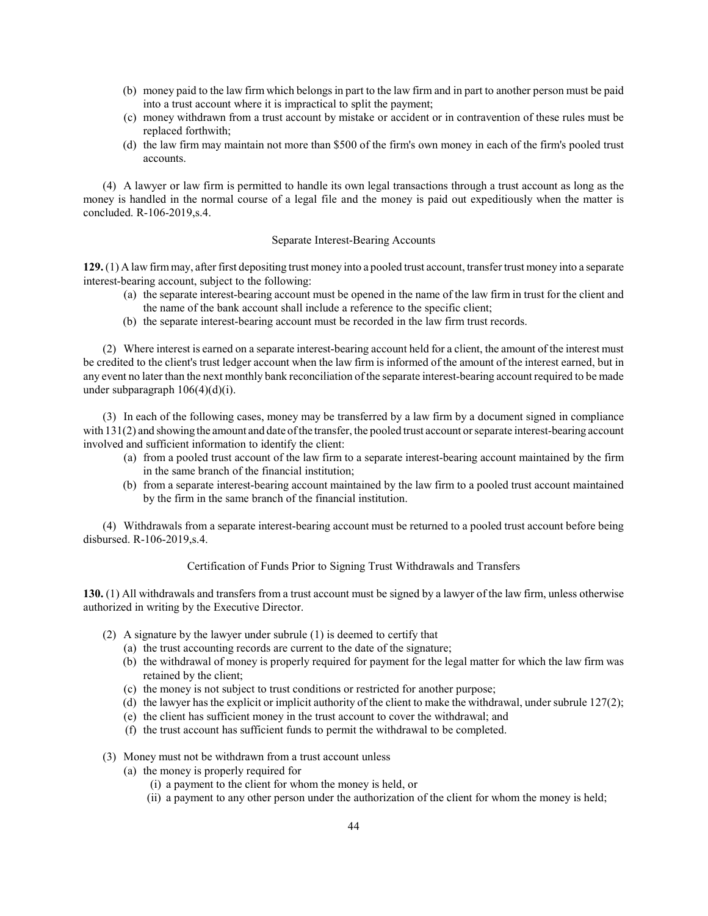- (b) money paid to the law firm which belongs in part to the law firm and in part to another person must be paid into a trust account where it is impractical to split the payment;
- (c) money withdrawn from a trust account by mistake or accident or in contravention of these rules must be replaced forthwith;
- (d) the law firm may maintain not more than \$500 of the firm's own money in each of the firm's pooled trust accounts.

(4) A lawyer or law firm is permitted to handle its own legal transactions through a trust account as long as the money is handled in the normal course of a legal file and the money is paid out expeditiously when the matter is concluded. R-106-2019,s.4.

### Separate Interest-Bearing Accounts

129. (1) A law firm may, after first depositing trust money into a pooled trust account, transfer trust money into a separate interest-bearing account, subject to the following:

- (a) the separate interest-bearing account must be opened in the name of the law firm in trust for the client and the name of the bank account shall include a reference to the specific client;
- (b) the separate interest-bearing account must be recorded in the law firm trust records.

(2) Where interest is earned on a separate interest-bearing account held for a client, the amount of the interest must be credited to the client's trust ledger account when the law firm is informed of the amount of the interest earned, but in any event no later than the next monthly bank reconciliation of the separate interest-bearing account required to be made under subparagraph 106(4)(d)(i).

(3) In each of the following cases, money may be transferred by a law firm by a document signed in compliance with 131(2) and showing the amount and date of the transfer, the pooled trust account or separate interest-bearing account involved and sufficient information to identify the client:

- (a) from a pooled trust account of the law firm to a separate interest-bearing account maintained by the firm in the same branch of the financial institution;
- (b) from a separate interest-bearing account maintained by the law firm to a pooled trust account maintained by the firm in the same branch of the financial institution.

(4) Withdrawals from a separate interest-bearing account must be returned to a pooled trust account before being disbursed. R-106-2019,s.4.

# Certification of Funds Prior to Signing Trust Withdrawals and Transfers

130. (1) All withdrawals and transfers from a trust account must be signed by a lawyer of the law firm, unless otherwise authorized in writing by the Executive Director.

- (2) A signature by the lawyer under subrule (1) is deemed to certify that
	- (a) the trust accounting records are current to the date of the signature;
	- (b) the withdrawal of money is properly required for payment for the legal matter for which the law firm was retained by the client;
	- (c) the money is not subject to trust conditions or restricted for another purpose;
	- (d) the lawyer has the explicit or implicit authority of the client to make the withdrawal, under subrule 127(2);
	- (e) the client has sufficient money in the trust account to cover the withdrawal; and
	- (f) the trust account has sufficient funds to permit the withdrawal to be completed.
- (3) Money must not be withdrawn from a trust account unless
	- (a) the money is properly required for
		- (i) a payment to the client for whom the money is held, or
		- (ii) a payment to any other person under the authorization of the client for whom the money is held;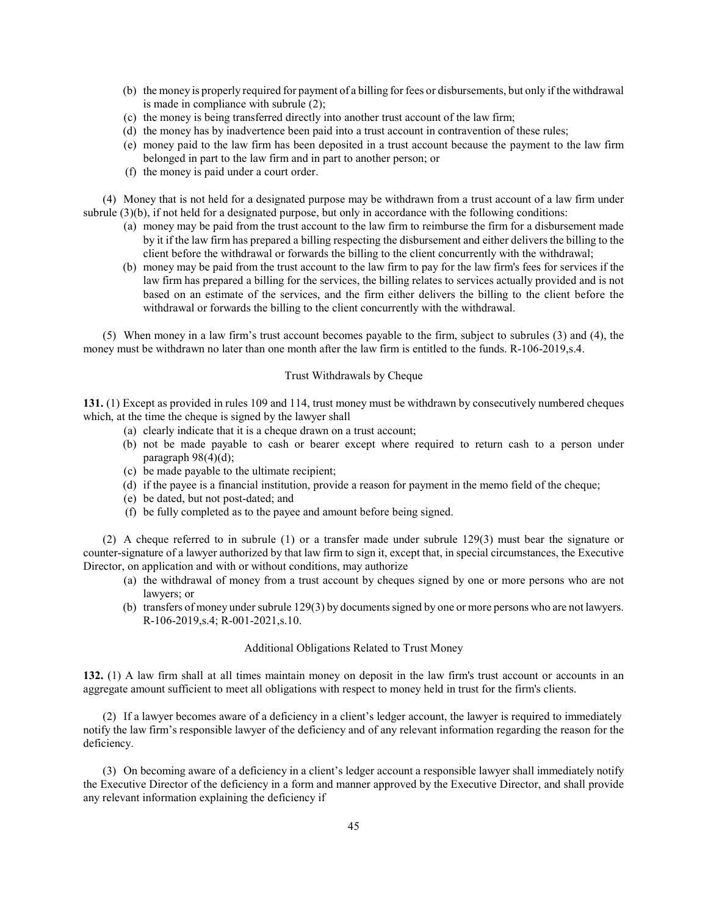- (b) the money is properly required for payment of a billing for fees or disbursements, but only if the withdrawal is made in compliance with subrule (2);
- (c) the money is being transferred directly into another trust account of the law firm;
- (d) the money has by inadvertence been paid into a trust account in contravention of these rules;
- (e) money paid to the law firm has been deposited in a trust account because the payment to the law firm belonged in part to the law firm and in part to another person; or
- (f) the money is paid under a court order.

(4) Money that is not held for a designated purpose may be withdrawn from a trust account of a law firm under subrule (3)(b), if not held for a designated purpose, but only in accordance with the following conditions:

- (a) money may be paid from the trust account to the law firm to reimburse the firm for a disbursement made by it if the law firm has prepared a billing respecting the disbursement and either delivers the billing to the client before the withdrawal or forwards the billing to the client concurrently with the withdrawal;
- (b) money may be paid from the trust account to the law firm to pay for the law firm's fees for services if the law firm has prepared a billing for the services, the billing relates to services actually provided and is not based on an estimate of the services, and the firm either delivers the billing to the client before the withdrawal or forwards the billing to the client concurrently with the withdrawal.

(5) When money in a law firm's trust account becomes payable to the firm, subject to subrules (3) and (4), the money must be withdrawn no later than one month after the law firm is entitled to the funds. R-106-2019,s.4.

# Trust Withdrawals by Cheque

131. (1) Except as provided in rules 109 and 114, trust money must be withdrawn by consecutively numbered cheques which, at the time the cheque is signed by the lawyer shall

- (a) clearly indicate that it is a cheque drawn on a trust account;
- (b) not be made payable to cash or bearer except where required to return cash to a person under paragraph  $98(4)(d)$ ;
- (c) be made payable to the ultimate recipient;
- (d) if the payee is a financial institution, provide a reason for payment in the memo field of the cheque;
- (e) be dated, but not post-dated; and
- (f) be fully completed as to the payee and amount before being signed.

(2) A cheque referred to in subrule (1) or a transfer made under subrule 129(3) must bear the signature or counter-signature of a lawyer authorized by that law firm to sign it, except that, in special circumstances, the Executive Director, on application and with or without conditions, may authorize

- (a) the withdrawal of money from a trust account by cheques signed by one or more persons who are not lawyers; or
- (b) transfers of money under subrule 129(3) by documents signed by one or more persons who are not lawyers. R-106-2019,s.4; R-001-2021,s.10.

# Additional Obligations Related to Trust Money

132. (1) A law firm shall at all times maintain money on deposit in the law firm's trust account or accounts in an aggregate amount sufficient to meet all obligations with respect to money held in trust for the firm's clients.

(2) If a lawyer becomes aware of a deficiency in a client's ledger account, the lawyer is required to immediately notify the law firm's responsible lawyer of the deficiency and of any relevant information regarding the reason for the deficiency.

(3) On becoming aware of a deficiency in a client's ledger account a responsible lawyer shall immediately notify the Executive Director of the deficiency in a form and manner approved by the Executive Director, and shall provide any relevant information explaining the deficiency if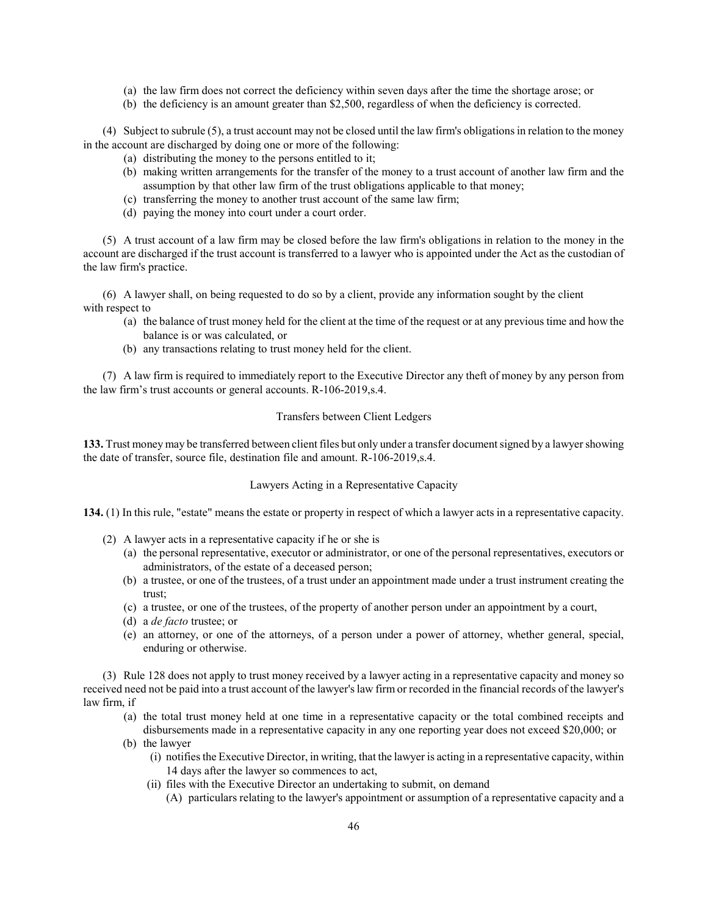- (a) the law firm does not correct the deficiency within seven days after the time the shortage arose; or
- (b) the deficiency is an amount greater than \$2,500, regardless of when the deficiency is corrected.

(4) Subject to subrule (5), a trust account may not be closed until the law firm's obligations in relation to the money in the account are discharged by doing one or more of the following:

- (a) distributing the money to the persons entitled to it;
- (b) making written arrangements for the transfer of the money to a trust account of another law firm and the assumption by that other law firm of the trust obligations applicable to that money;
- (c) transferring the money to another trust account of the same law firm;
- (d) paying the money into court under a court order.

(5) A trust account of a law firm may be closed before the law firm's obligations in relation to the money in the account are discharged if the trust account is transferred to a lawyer who is appointed under the Act as the custodian of the law firm's practice.

(6) A lawyer shall, on being requested to do so by a client, provide any information sought by the client with respect to

- (a) the balance of trust money held for the client at the time of the request or at any previous time and how the balance is or was calculated, or
- (b) any transactions relating to trust money held for the client.

(7) A law firm is required to immediately report to the Executive Director any theft of money by any person from the law firm's trust accounts or general accounts. R-106-2019,s.4.

#### Transfers between Client Ledgers

133. Trust money may be transferred between client files but only under a transfer document signed by a lawyer showing the date of transfer, source file, destination file and amount. R-106-2019,s.4.

#### Lawyers Acting in a Representative Capacity

134. (1) In this rule, "estate" means the estate or property in respect of which a lawyer acts in a representative capacity.

- (2) A lawyer acts in a representative capacity if he or she is
	- (a) the personal representative, executor or administrator, or one of the personal representatives, executors or administrators, of the estate of a deceased person;
	- (b) a trustee, or one of the trustees, of a trust under an appointment made under a trust instrument creating the trust;
	- (c) a trustee, or one of the trustees, of the property of another person under an appointment by a court,
	- (d) a de facto trustee; or
	- (e) an attorney, or one of the attorneys, of a person under a power of attorney, whether general, special, enduring or otherwise.

(3) Rule 128 does not apply to trust money received by a lawyer acting in a representative capacity and money so received need not be paid into a trust account of the lawyer's law firm or recorded in the financial records of the lawyer's law firm, if

- (a) the total trust money held at one time in a representative capacity or the total combined receipts and disbursements made in a representative capacity in any one reporting year does not exceed \$20,000; or
- (b) the lawyer
	- (i) notifies the Executive Director, in writing, that the lawyer is acting in a representative capacity, within 14 days after the lawyer so commences to act,
	- (ii) files with the Executive Director an undertaking to submit, on demand
		- (A) particulars relating to the lawyer's appointment or assumption of a representative capacity and a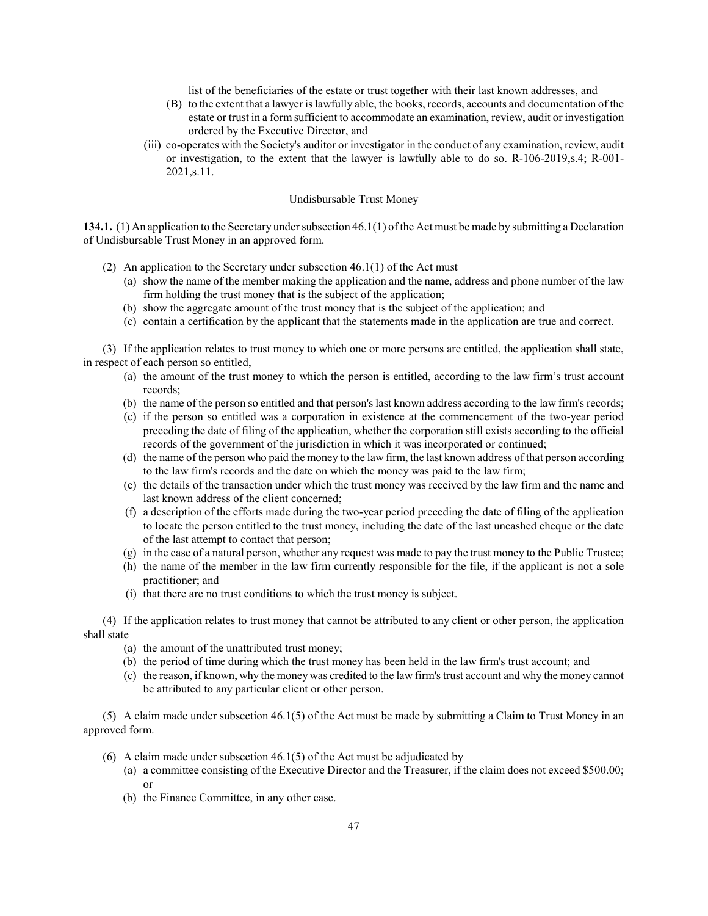list of the beneficiaries of the estate or trust together with their last known addresses, and

- (B) to the extent that a lawyer is lawfully able, the books, records, accounts and documentation of the estate or trust in a form sufficient to accommodate an examination, review, audit or investigation ordered by the Executive Director, and
- (iii) co-operates with the Society's auditor or investigator in the conduct of any examination, review, audit or investigation, to the extent that the lawyer is lawfully able to do so. R-106-2019,s.4; R-001- 2021,s.11.

#### Undisbursable Trust Money

134.1. (1) An application to the Secretary under subsection  $46.1(1)$  of the Act must be made by submitting a Declaration of Undisbursable Trust Money in an approved form.

- (2) An application to the Secretary under subsection  $46.1(1)$  of the Act must
	- (a) show the name of the member making the application and the name, address and phone number of the law firm holding the trust money that is the subject of the application;
	- (b) show the aggregate amount of the trust money that is the subject of the application; and
	- (c) contain a certification by the applicant that the statements made in the application are true and correct.

(3) If the application relates to trust money to which one or more persons are entitled, the application shall state, in respect of each person so entitled,

- (a) the amount of the trust money to which the person is entitled, according to the law firm's trust account records;
- (b) the name of the person so entitled and that person's last known address according to the law firm's records;
- (c) if the person so entitled was a corporation in existence at the commencement of the two-year period preceding the date of filing of the application, whether the corporation still exists according to the official records of the government of the jurisdiction in which it was incorporated or continued;
- (d) the name of the person who paid the money to the law firm, the last known address of that person according to the law firm's records and the date on which the money was paid to the law firm;
- (e) the details of the transaction under which the trust money was received by the law firm and the name and last known address of the client concerned;
- (f) a description of the efforts made during the two-year period preceding the date of filing of the application to locate the person entitled to the trust money, including the date of the last uncashed cheque or the date of the last attempt to contact that person;
- (g) in the case of a natural person, whether any request was made to pay the trust money to the Public Trustee;
- (h) the name of the member in the law firm currently responsible for the file, if the applicant is not a sole practitioner; and
- (i) that there are no trust conditions to which the trust money is subject.

(4) If the application relates to trust money that cannot be attributed to any client or other person, the application shall state

- (a) the amount of the unattributed trust money;
- (b) the period of time during which the trust money has been held in the law firm's trust account; and
- (c) the reason, if known, why the money was credited to the law firm's trust account and why the money cannot be attributed to any particular client or other person.

(5) A claim made under subsection 46.1(5) of the Act must be made by submitting a Claim to Trust Money in an approved form.

- (6) A claim made under subsection  $46.1(5)$  of the Act must be adjudicated by
	- (a) a committee consisting of the Executive Director and the Treasurer, if the claim does not exceed \$500.00; or
	- (b) the Finance Committee, in any other case.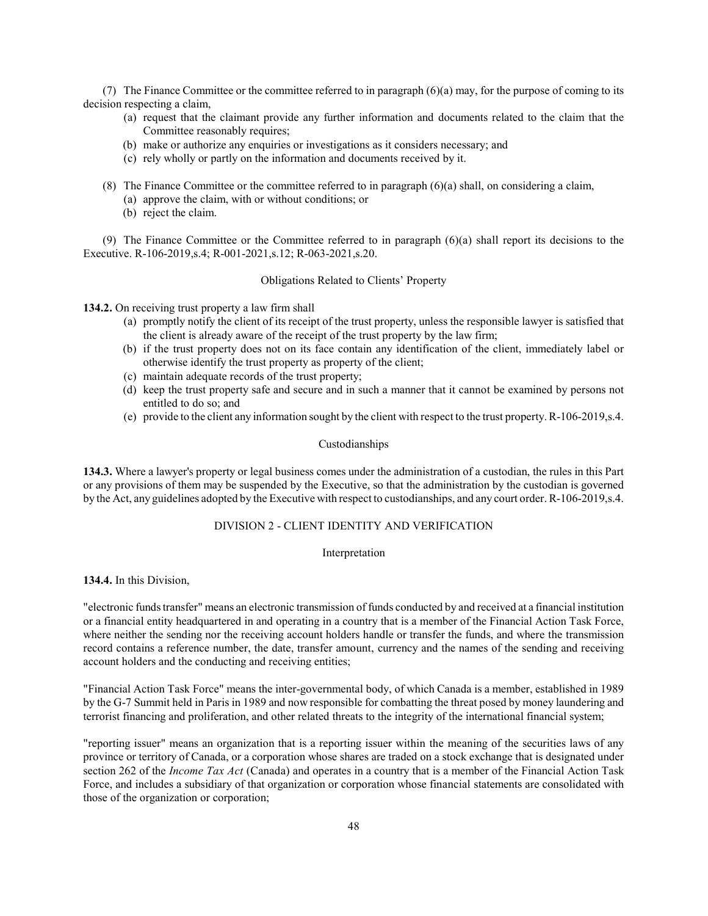(7) The Finance Committee or the committee referred to in paragraph  $(6)(a)$  may, for the purpose of coming to its decision respecting a claim,

- (a) request that the claimant provide any further information and documents related to the claim that the Committee reasonably requires;
- (b) make or authorize any enquiries or investigations as it considers necessary; and
- (c) rely wholly or partly on the information and documents received by it.
- (8) The Finance Committee or the committee referred to in paragraph (6)(a) shall, on considering a claim,
	- (a) approve the claim, with or without conditions; or
	- (b) reject the claim.

(9) The Finance Committee or the Committee referred to in paragraph (6)(a) shall report its decisions to the Executive. R-106-2019,s.4; R-001-2021,s.12; R-063-2021,s.20.

### Obligations Related to Clients' Property

134.2. On receiving trust property a law firm shall

- (a) promptly notify the client of its receipt of the trust property, unless the responsible lawyer is satisfied that the client is already aware of the receipt of the trust property by the law firm;
- (b) if the trust property does not on its face contain any identification of the client, immediately label or otherwise identify the trust property as property of the client;
- (c) maintain adequate records of the trust property;
- (d) keep the trust property safe and secure and in such a manner that it cannot be examined by persons not entitled to do so; and
- (e) provide to the client any information sought by the client with respect to the trust property. R-106-2019,s.4.

#### Custodianships

134.3. Where a lawyer's property or legal business comes under the administration of a custodian, the rules in this Part or any provisions of them may be suspended by the Executive, so that the administration by the custodian is governed by the Act, any guidelines adopted by the Executive with respect to custodianships, and any court order. R-106-2019,s.4.

## DIVISION 2 - CLIENT IDENTITY AND VERIFICATION

#### Interpretation

134.4. In this Division,

"electronic funds transfer" means an electronic transmission of funds conducted by and received at a financial institution or a financial entity headquartered in and operating in a country that is a member of the Financial Action Task Force, where neither the sending nor the receiving account holders handle or transfer the funds, and where the transmission record contains a reference number, the date, transfer amount, currency and the names of the sending and receiving account holders and the conducting and receiving entities;

"Financial Action Task Force" means the inter-governmental body, of which Canada is a member, established in 1989 by the G-7 Summit held in Paris in 1989 and now responsible for combatting the threat posed by money laundering and terrorist financing and proliferation, and other related threats to the integrity of the international financial system;

"reporting issuer" means an organization that is a reporting issuer within the meaning of the securities laws of any province or territory of Canada, or a corporation whose shares are traded on a stock exchange that is designated under section 262 of the *Income Tax Act* (Canada) and operates in a country that is a member of the Financial Action Task Force, and includes a subsidiary of that organization or corporation whose financial statements are consolidated with those of the organization or corporation;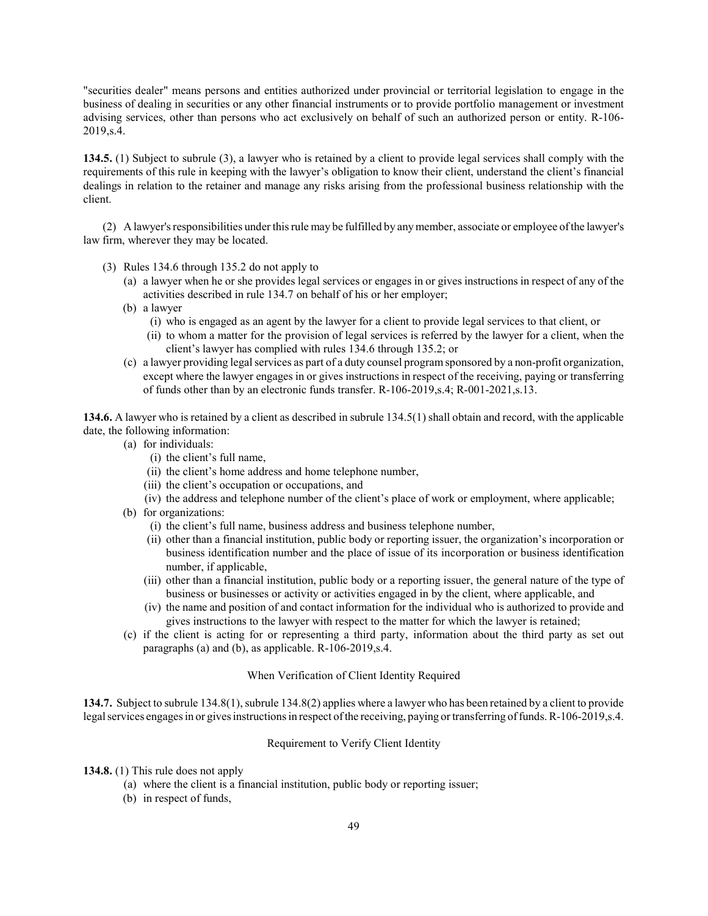"securities dealer" means persons and entities authorized under provincial or territorial legislation to engage in the business of dealing in securities or any other financial instruments or to provide portfolio management or investment advising services, other than persons who act exclusively on behalf of such an authorized person or entity. R-106- 2019,s.4.

134.5. (1) Subject to subrule (3), a lawyer who is retained by a client to provide legal services shall comply with the requirements of this rule in keeping with the lawyer's obligation to know their client, understand the client's financial dealings in relation to the retainer and manage any risks arising from the professional business relationship with the client.

(2) A lawyer's responsibilities under this rule may be fulfilled by any member, associate or employee of the lawyer's law firm, wherever they may be located.

- (3) Rules 134.6 through 135.2 do not apply to
	- (a) a lawyer when he or she provides legal services or engages in or gives instructions in respect of any of the activities described in rule 134.7 on behalf of his or her employer;
	- (b) a lawyer
		- (i) who is engaged as an agent by the lawyer for a client to provide legal services to that client, or
		- (ii) to whom a matter for the provision of legal services is referred by the lawyer for a client, when the client's lawyer has complied with rules 134.6 through 135.2; or
	- (c) a lawyer providing legal services as part of a duty counsel program sponsored by a non-profit organization, except where the lawyer engages in or gives instructions in respect of the receiving, paying or transferring of funds other than by an electronic funds transfer. R-106-2019,s.4; R-001-2021,s.13.

134.6. A lawyer who is retained by a client as described in subrule 134.5(1) shall obtain and record, with the applicable date, the following information:

- (a) for individuals:
	- (i) the client's full name,
	- (ii) the client's home address and home telephone number,
	- (iii) the client's occupation or occupations, and
	- (iv) the address and telephone number of the client's place of work or employment, where applicable;
- (b) for organizations:
	- (i) the client's full name, business address and business telephone number,
	- (ii) other than a financial institution, public body or reporting issuer, the organization's incorporation or business identification number and the place of issue of its incorporation or business identification number, if applicable,
	- (iii) other than a financial institution, public body or a reporting issuer, the general nature of the type of business or businesses or activity or activities engaged in by the client, where applicable, and
	- (iv) the name and position of and contact information for the individual who is authorized to provide and gives instructions to the lawyer with respect to the matter for which the lawyer is retained;
- (c) if the client is acting for or representing a third party, information about the third party as set out paragraphs (a) and (b), as applicable. R-106-2019,s.4.

# When Verification of Client Identity Required

134.7. Subject to subrule 134.8(1), subrule 134.8(2) applies where a lawyer who has been retained by a client to provide legal services engages in or gives instructions in respect of the receiving, paying or transferring of funds. R-106-2019,s.4.

# Requirement to Verify Client Identity

- 134.8. (1) This rule does not apply
	- (a) where the client is a financial institution, public body or reporting issuer;
	- (b) in respect of funds,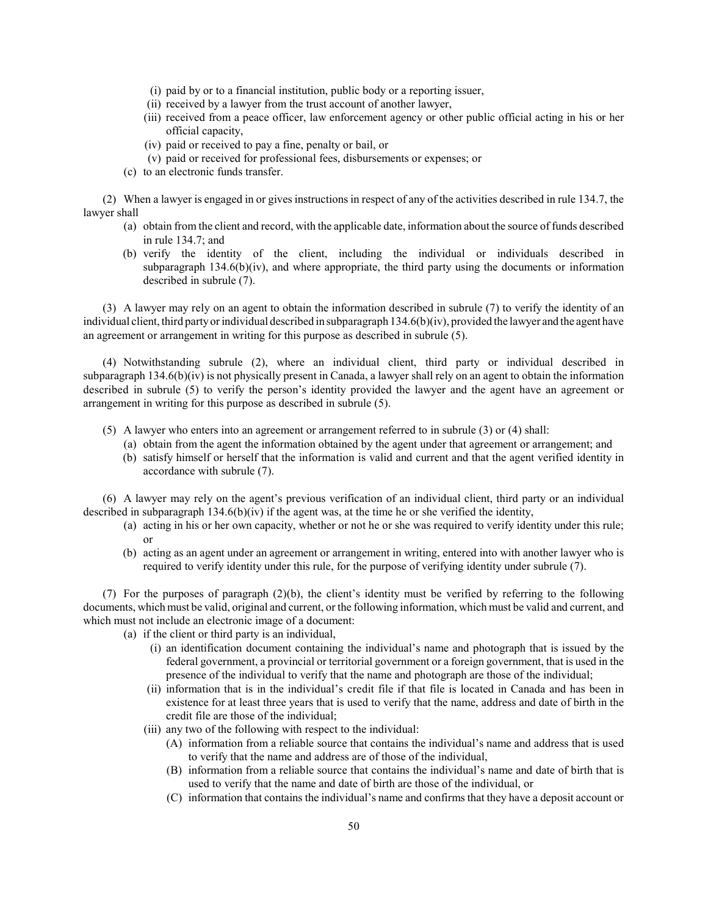- (i) paid by or to a financial institution, public body or a reporting issuer,
- (ii) received by a lawyer from the trust account of another lawyer,
- (iii) received from a peace officer, law enforcement agency or other public official acting in his or her official capacity,
- (iv) paid or received to pay a fine, penalty or bail, or
- (v) paid or received for professional fees, disbursements or expenses; or
- (c) to an electronic funds transfer.

(2) When a lawyer is engaged in or gives instructions in respect of any of the activities described in rule 134.7, the lawyer shall

- (a) obtain from the client and record, with the applicable date, information about the source of funds described in rule 134.7; and
- (b) verify the identity of the client, including the individual or individuals described in subparagraph  $134.6(b)(iv)$ , and where appropriate, the third party using the documents or information described in subrule (7).

(3) A lawyer may rely on an agent to obtain the information described in subrule (7) to verify the identity of an individual client, third party or individual described in subparagraph  $134.6(b)(iv)$ , provided the lawyer and the agent have an agreement or arrangement in writing for this purpose as described in subrule (5).

(4) Notwithstanding subrule (2), where an individual client, third party or individual described in subparagraph 134.6(b)(iv) is not physically present in Canada, a lawyer shall rely on an agent to obtain the information described in subrule (5) to verify the person's identity provided the lawyer and the agent have an agreement or arrangement in writing for this purpose as described in subrule (5).

- (5) A lawyer who enters into an agreement or arrangement referred to in subrule (3) or (4) shall:
	- (a) obtain from the agent the information obtained by the agent under that agreement or arrangement; and
	- (b) satisfy himself or herself that the information is valid and current and that the agent verified identity in accordance with subrule (7).

(6) A lawyer may rely on the agent's previous verification of an individual client, third party or an individual described in subparagraph  $134.6(b)(iv)$  if the agent was, at the time he or she verified the identity,

- (a) acting in his or her own capacity, whether or not he or she was required to verify identity under this rule; or
- (b) acting as an agent under an agreement or arrangement in writing, entered into with another lawyer who is required to verify identity under this rule, for the purpose of verifying identity under subrule (7).

(7) For the purposes of paragraph (2)(b), the client's identity must be verified by referring to the following documents, which must be valid, original and current, or the following information, which must be valid and current, and which must not include an electronic image of a document:

(a) if the client or third party is an individual,

- (i) an identification document containing the individual's name and photograph that is issued by the federal government, a provincial or territorial government or a foreign government, that is used in the presence of the individual to verify that the name and photograph are those of the individual;
- (ii) information that is in the individual's credit file if that file is located in Canada and has been in existence for at least three years that is used to verify that the name, address and date of birth in the credit file are those of the individual;
- (iii) any two of the following with respect to the individual:
	- (A) information from a reliable source that contains the individual's name and address that is used to verify that the name and address are of those of the individual,
	- (B) information from a reliable source that contains the individual's name and date of birth that is used to verify that the name and date of birth are those of the individual, or
	- (C) information that contains the individual's name and confirms that they have a deposit account or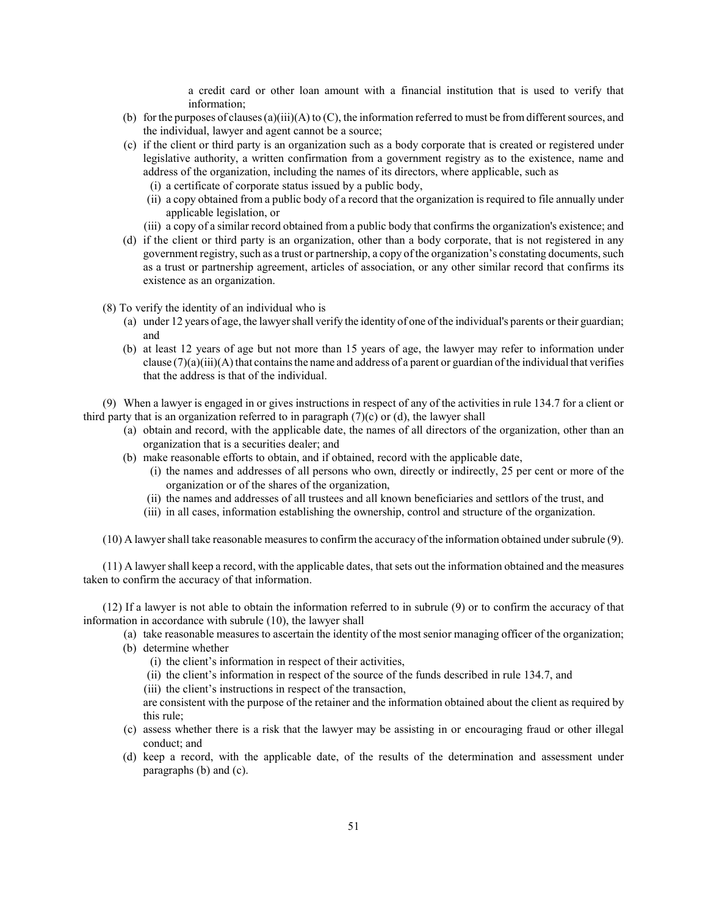a credit card or other loan amount with a financial institution that is used to verify that information;

- (b) for the purposes of clauses (a)(iii)(A) to (C), the information referred to must be from different sources, and the individual, lawyer and agent cannot be a source;
- (c) if the client or third party is an organization such as a body corporate that is created or registered under legislative authority, a written confirmation from a government registry as to the existence, name and address of the organization, including the names of its directors, where applicable, such as
	- (i) a certificate of corporate status issued by a public body,
	- (ii) a copy obtained from a public body of a record that the organization is required to file annually under applicable legislation, or
	- (iii) a copy of a similar record obtained from a public body that confirms the organization's existence; and
- (d) if the client or third party is an organization, other than a body corporate, that is not registered in any government registry, such as a trust or partnership, a copy of the organization's constating documents, such as a trust or partnership agreement, articles of association, or any other similar record that confirms its existence as an organization.
- (8) To verify the identity of an individual who is
	- (a) under 12 years of age, the lawyer shall verify the identity of one of the individual's parents or their guardian; and
	- (b) at least 12 years of age but not more than 15 years of age, the lawyer may refer to information under clause  $(7)(a)(iii)(A)$  that contains the name and address of a parent or guardian of the individual that verifies that the address is that of the individual.

(9) When a lawyer is engaged in or gives instructions in respect of any of the activities in rule 134.7 for a client or third party that is an organization referred to in paragraph  $(7)(c)$  or (d), the lawyer shall

- (a) obtain and record, with the applicable date, the names of all directors of the organization, other than an organization that is a securities dealer; and
- (b) make reasonable efforts to obtain, and if obtained, record with the applicable date,
	- (i) the names and addresses of all persons who own, directly or indirectly, 25 per cent or more of the organization or of the shares of the organization,
	- (ii) the names and addresses of all trustees and all known beneficiaries and settlors of the trust, and
	- (iii) in all cases, information establishing the ownership, control and structure of the organization.

(10) A lawyer shall take reasonable measures to confirm the accuracy of the information obtained under subrule (9).

(11) A lawyer shall keep a record, with the applicable dates, that sets out the information obtained and the measures taken to confirm the accuracy of that information.

(12) If a lawyer is not able to obtain the information referred to in subrule (9) or to confirm the accuracy of that information in accordance with subrule (10), the lawyer shall

- (a) take reasonable measures to ascertain the identity of the most senior managing officer of the organization;
- (b) determine whether
	- (i) the client's information in respect of their activities,
	- (ii) the client's information in respect of the source of the funds described in rule 134.7, and
	- (iii) the client's instructions in respect of the transaction,

are consistent with the purpose of the retainer and the information obtained about the client as required by this rule;

- (c) assess whether there is a risk that the lawyer may be assisting in or encouraging fraud or other illegal conduct; and
- (d) keep a record, with the applicable date, of the results of the determination and assessment under paragraphs (b) and (c).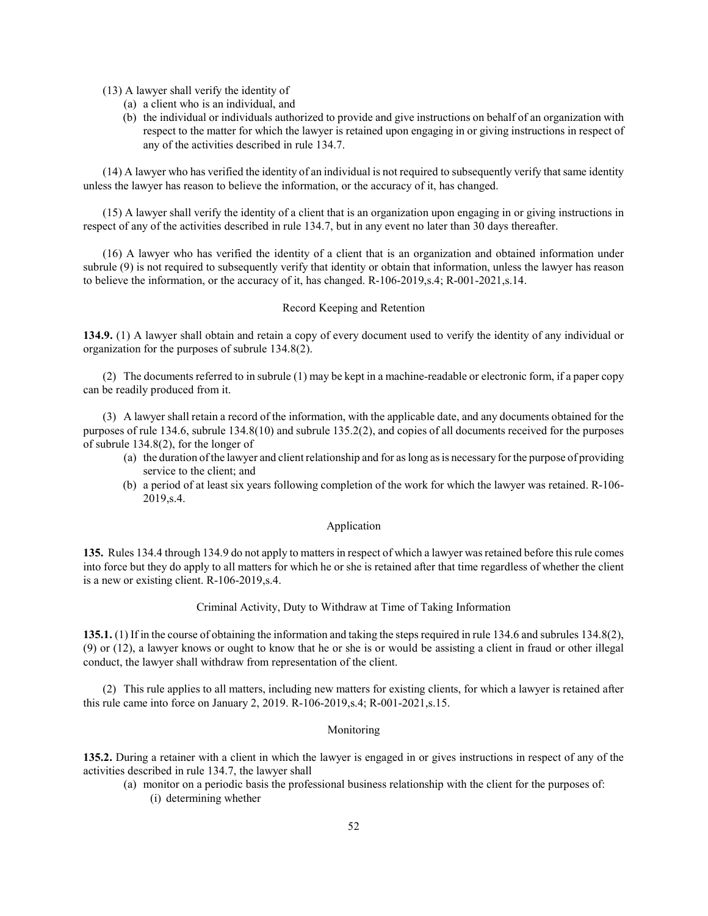(13) A lawyer shall verify the identity of

- (a) a client who is an individual, and
- (b) the individual or individuals authorized to provide and give instructions on behalf of an organization with respect to the matter for which the lawyer is retained upon engaging in or giving instructions in respect of any of the activities described in rule 134.7.

(14) A lawyer who has verified the identity of an individual is not required to subsequently verify that same identity unless the lawyer has reason to believe the information, or the accuracy of it, has changed.

(15) A lawyer shall verify the identity of a client that is an organization upon engaging in or giving instructions in respect of any of the activities described in rule 134.7, but in any event no later than 30 days thereafter.

(16) A lawyer who has verified the identity of a client that is an organization and obtained information under subrule (9) is not required to subsequently verify that identity or obtain that information, unless the lawyer has reason to believe the information, or the accuracy of it, has changed. R-106-2019,s.4; R-001-2021,s.14.

#### Record Keeping and Retention

134.9. (1) A lawyer shall obtain and retain a copy of every document used to verify the identity of any individual or organization for the purposes of subrule 134.8(2).

(2) The documents referred to in subrule (1) may be kept in a machine-readable or electronic form, if a paper copy can be readily produced from it.

(3) A lawyer shall retain a record of the information, with the applicable date, and any documents obtained for the purposes of rule 134.6, subrule 134.8(10) and subrule 135.2(2), and copies of all documents received for the purposes of subrule 134.8(2), for the longer of

- (a) the duration of the lawyer and client relationship and for as long as is necessary for the purpose of providing service to the client; and
- (b) a period of at least six years following completion of the work for which the lawyer was retained. R-106- 2019,s.4.

### Application

135. Rules 134.4 through 134.9 do not apply to matters in respect of which a lawyer was retained before this rule comes into force but they do apply to all matters for which he or she is retained after that time regardless of whether the client is a new or existing client. R-106-2019,s.4.

### Criminal Activity, Duty to Withdraw at Time of Taking Information

135.1. (1) If in the course of obtaining the information and taking the steps required in rule 134.6 and subrules 134.8(2), (9) or (12), a lawyer knows or ought to know that he or she is or would be assisting a client in fraud or other illegal conduct, the lawyer shall withdraw from representation of the client.

(2) This rule applies to all matters, including new matters for existing clients, for which a lawyer is retained after this rule came into force on January 2, 2019. R-106-2019,s.4; R-001-2021,s.15.

#### Monitoring

135.2. During a retainer with a client in which the lawyer is engaged in or gives instructions in respect of any of the activities described in rule 134.7, the lawyer shall

(a) monitor on a periodic basis the professional business relationship with the client for the purposes of: (i) determining whether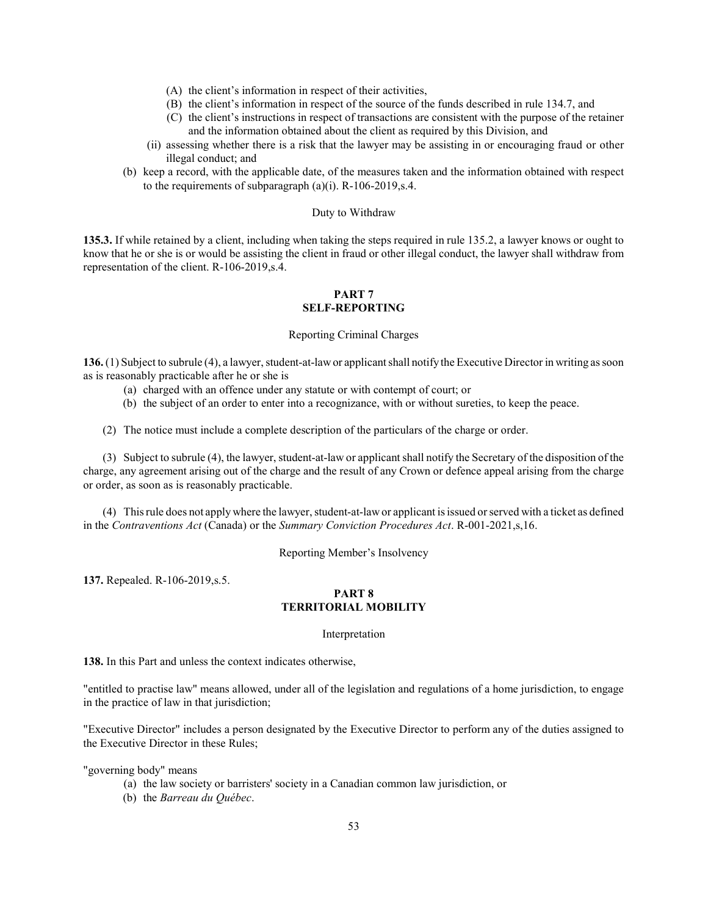- (A) the client's information in respect of their activities,
- (B) the client's information in respect of the source of the funds described in rule 134.7, and
- (C) the client's instructions in respect of transactions are consistent with the purpose of the retainer and the information obtained about the client as required by this Division, and
- (ii) assessing whether there is a risk that the lawyer may be assisting in or encouraging fraud or other illegal conduct; and
- (b) keep a record, with the applicable date, of the measures taken and the information obtained with respect to the requirements of subparagraph (a)(i). R-106-2019,s.4.

#### Duty to Withdraw

135.3. If while retained by a client, including when taking the steps required in rule 135.2, a lawyer knows or ought to know that he or she is or would be assisting the client in fraud or other illegal conduct, the lawyer shall withdraw from representation of the client. R-106-2019,s.4.

# PART<sub>7</sub> SELF-REPORTING

#### Reporting Criminal Charges

136. (1) Subject to subrule (4), a lawyer, student-at-law or applicant shall notify the Executive Director in writing as soon as is reasonably practicable after he or she is

- (a) charged with an offence under any statute or with contempt of court; or
- (b) the subject of an order to enter into a recognizance, with or without sureties, to keep the peace.

(2) The notice must include a complete description of the particulars of the charge or order.

(3) Subject to subrule (4), the lawyer, student-at-law or applicant shall notify the Secretary of the disposition of the charge, any agreement arising out of the charge and the result of any Crown or defence appeal arising from the charge or order, as soon as is reasonably practicable.

(4) This rule does not apply where the lawyer, student-at-law or applicant is issued or served with a ticket as defined in the Contraventions Act (Canada) or the Summary Conviction Procedures Act. R-001-2021,s,16.

Reporting Member's Insolvency

137. Repealed. R-106-2019,s.5.

# PART 8 TERRITORIAL MOBILITY

### Interpretation

138. In this Part and unless the context indicates otherwise,

"entitled to practise law" means allowed, under all of the legislation and regulations of a home jurisdiction, to engage in the practice of law in that jurisdiction;

"Executive Director" includes a person designated by the Executive Director to perform any of the duties assigned to the Executive Director in these Rules;

"governing body" means

- (a) the law society or barristers' society in a Canadian common law jurisdiction, or
- (b) the Barreau du Québec.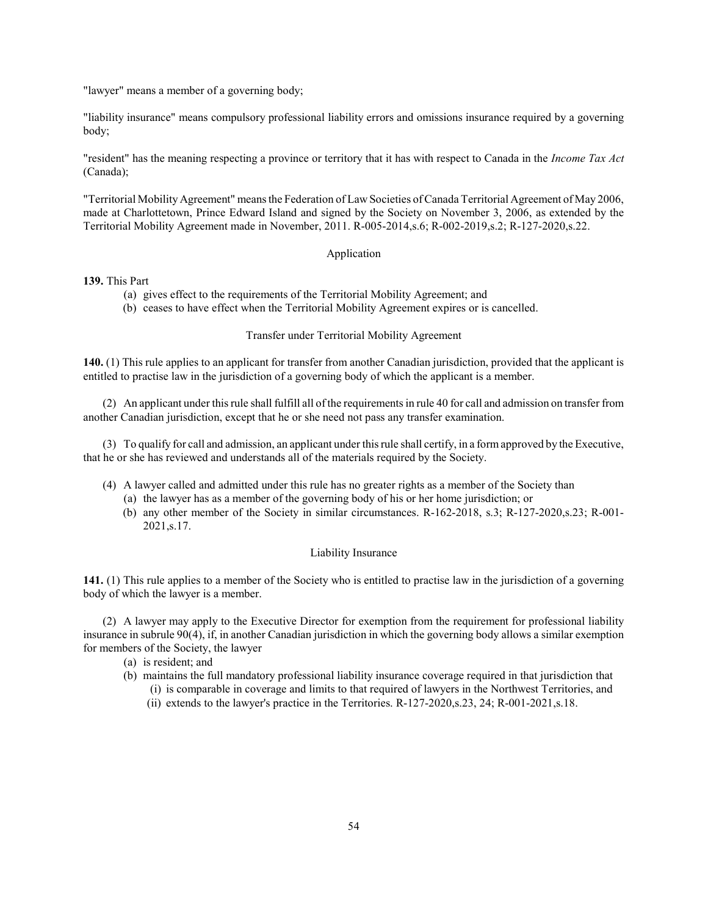"lawyer" means a member of a governing body;

"liability insurance" means compulsory professional liability errors and omissions insurance required by a governing body;

"resident" has the meaning respecting a province or territory that it has with respect to Canada in the *Income Tax Act* (Canada);

"Territorial Mobility Agreement" means the Federation of Law Societies of Canada Territorial Agreement of May 2006, made at Charlottetown, Prince Edward Island and signed by the Society on November 3, 2006, as extended by the Territorial Mobility Agreement made in November, 2011. R-005-2014,s.6; R-002-2019,s.2; R-127-2020,s.22.

# Application

#### 139. This Part

- (a) gives effect to the requirements of the Territorial Mobility Agreement; and
- (b) ceases to have effect when the Territorial Mobility Agreement expires or is cancelled.

### Transfer under Territorial Mobility Agreement

140. (1) This rule applies to an applicant for transfer from another Canadian jurisdiction, provided that the applicant is entitled to practise law in the jurisdiction of a governing body of which the applicant is a member.

(2) An applicant under this rule shall fulfill all of the requirements in rule 40 for call and admission on transfer from another Canadian jurisdiction, except that he or she need not pass any transfer examination.

(3) To qualify for call and admission, an applicant under this rule shall certify, in a form approved by the Executive, that he or she has reviewed and understands all of the materials required by the Society.

- (4) A lawyer called and admitted under this rule has no greater rights as a member of the Society than
	- (a) the lawyer has as a member of the governing body of his or her home jurisdiction; or
	- (b) any other member of the Society in similar circumstances. R-162-2018, s.3; R-127-2020,s.23; R-001- 2021,s.17.

## Liability Insurance

141. (1) This rule applies to a member of the Society who is entitled to practise law in the jurisdiction of a governing body of which the lawyer is a member.

(2) A lawyer may apply to the Executive Director for exemption from the requirement for professional liability insurance in subrule 90(4), if, in another Canadian jurisdiction in which the governing body allows a similar exemption for members of the Society, the lawyer

- (a) is resident; and
- (b) maintains the full mandatory professional liability insurance coverage required in that jurisdiction that
	- (i) is comparable in coverage and limits to that required of lawyers in the Northwest Territories, and
	- (ii) extends to the lawyer's practice in the Territories. R-127-2020,s.23, 24; R-001-2021,s.18.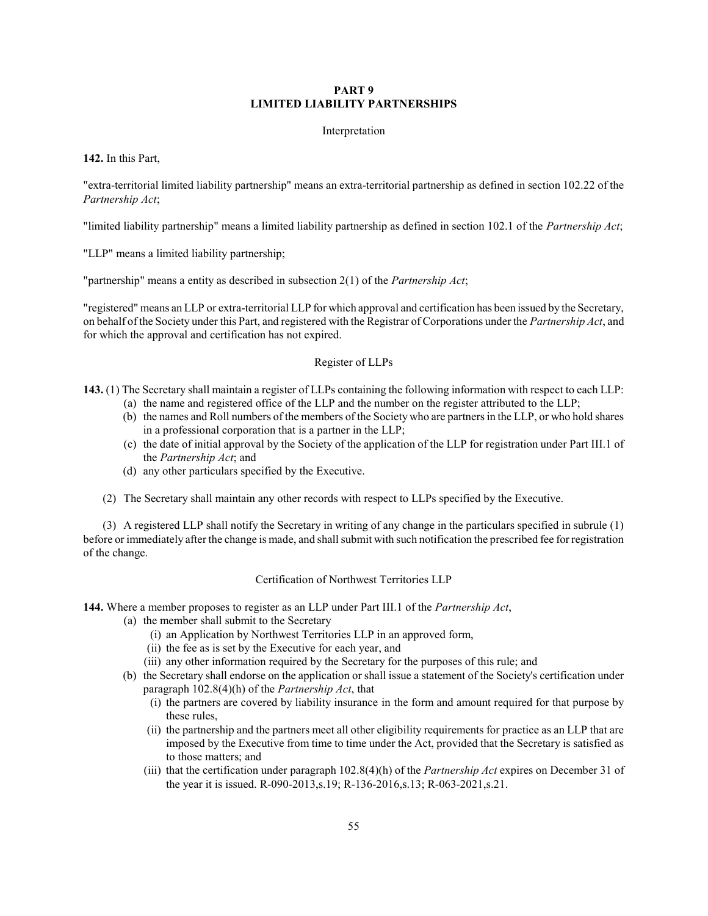## PART 9 LIMITED LIABILITY PARTNERSHIPS

### Interpretation

#### 142. In this Part,

"extra-territorial limited liability partnership" means an extra-territorial partnership as defined in section 102.22 of the Partnership Act;

"limited liability partnership" means a limited liability partnership as defined in section 102.1 of the *Partnership Act*;

"LLP" means a limited liability partnership;

"partnership" means a entity as described in subsection  $2(1)$  of the *Partnership Act*;

"registered" means an LLP or extra-territorial LLP for which approval and certification has been issued by the Secretary, on behalf of the Society under this Part, and registered with the Registrar of Corporations under the Partnership Act, and for which the approval and certification has not expired.

### Register of LLPs

143. (1) The Secretary shall maintain a register of LLPs containing the following information with respect to each LLP:

- (a) the name and registered office of the LLP and the number on the register attributed to the LLP;
- (b) the names and Roll numbers of the members of the Society who are partners in the LLP, or who hold shares in a professional corporation that is a partner in the LLP;
- (c) the date of initial approval by the Society of the application of the LLP for registration under Part III.1 of the Partnership Act; and
- (d) any other particulars specified by the Executive.
- (2) The Secretary shall maintain any other records with respect to LLPs specified by the Executive.

(3) A registered LLP shall notify the Secretary in writing of any change in the particulars specified in subrule (1) before or immediately after the change is made, and shall submit with such notification the prescribed fee for registration of the change.

#### Certification of Northwest Territories LLP

144. Where a member proposes to register as an LLP under Part III.1 of the *Partnership Act*,

- (a) the member shall submit to the Secretary
	- (i) an Application by Northwest Territories LLP in an approved form,
	- (ii) the fee as is set by the Executive for each year, and
	- (iii) any other information required by the Secretary for the purposes of this rule; and
- (b) the Secretary shall endorse on the application or shall issue a statement of the Society's certification under paragraph  $102.8(4)$ (h) of the *Partnership Act*, that
	- (i) the partners are covered by liability insurance in the form and amount required for that purpose by these rules,
	- (ii) the partnership and the partners meet all other eligibility requirements for practice as an LLP that are imposed by the Executive from time to time under the Act, provided that the Secretary is satisfied as to those matters; and
	- (iii) that the certification under paragraph  $102.8(4)(h)$  of the *Partnership Act* expires on December 31 of the year it is issued. R-090-2013,s.19; R-136-2016,s.13; R-063-2021,s.21.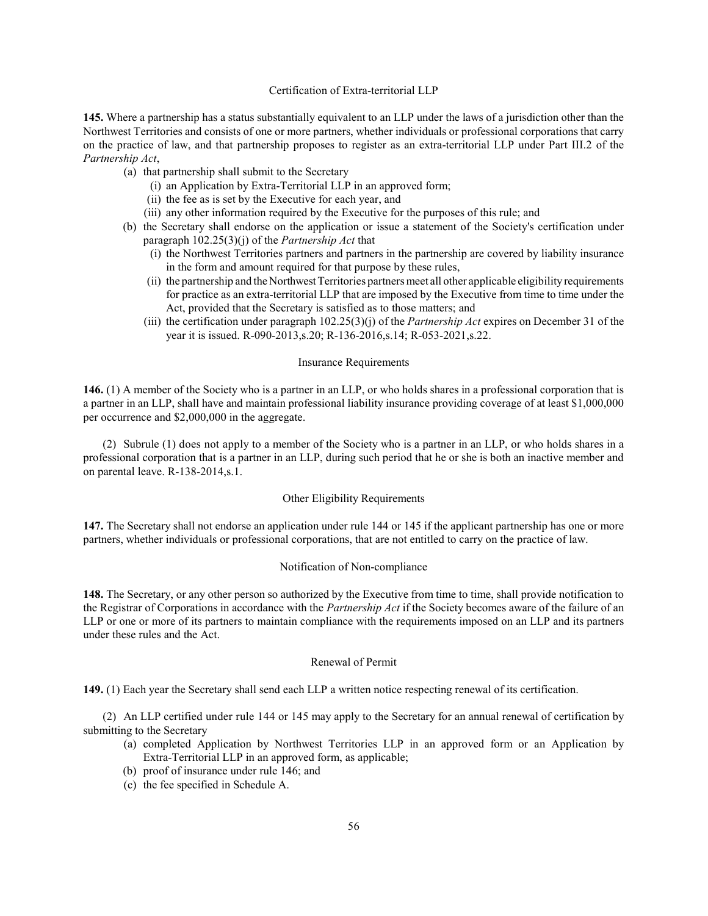# Certification of Extra-territorial LLP

145. Where a partnership has a status substantially equivalent to an LLP under the laws of a jurisdiction other than the Northwest Territories and consists of one or more partners, whether individuals or professional corporations that carry on the practice of law, and that partnership proposes to register as an extra-territorial LLP under Part III.2 of the Partnership Act,

- (a) that partnership shall submit to the Secretary
	- (i) an Application by Extra-Territorial LLP in an approved form;
	- (ii) the fee as is set by the Executive for each year, and
	- (iii) any other information required by the Executive for the purposes of this rule; and
- (b) the Secretary shall endorse on the application or issue a statement of the Society's certification under paragraph  $102.25(3)(i)$  of the *Partnership Act* that
	- (i) the Northwest Territories partners and partners in the partnership are covered by liability insurance in the form and amount required for that purpose by these rules,
	- (ii) the partnership and the Northwest Territories partners meet all other applicable eligibility requirements for practice as an extra-territorial LLP that are imposed by the Executive from time to time under the Act, provided that the Secretary is satisfied as to those matters; and
	- (iii) the certification under paragraph  $102.25(3)$ (j) of the *Partnership Act* expires on December 31 of the year it is issued. R-090-2013,s.20; R-136-2016,s.14; R-053-2021,s.22.

#### Insurance Requirements

146. (1) A member of the Society who is a partner in an LLP, or who holds shares in a professional corporation that is a partner in an LLP, shall have and maintain professional liability insurance providing coverage of at least \$1,000,000 per occurrence and \$2,000,000 in the aggregate.

(2) Subrule (1) does not apply to a member of the Society who is a partner in an LLP, or who holds shares in a professional corporation that is a partner in an LLP, during such period that he or she is both an inactive member and on parental leave. R-138-2014,s.1.

#### Other Eligibility Requirements

147. The Secretary shall not endorse an application under rule 144 or 145 if the applicant partnership has one or more partners, whether individuals or professional corporations, that are not entitled to carry on the practice of law.

#### Notification of Non-compliance

148. The Secretary, or any other person so authorized by the Executive from time to time, shall provide notification to the Registrar of Corporations in accordance with the *Partnership Act* if the Society becomes aware of the failure of an LLP or one or more of its partners to maintain compliance with the requirements imposed on an LLP and its partners under these rules and the Act.

#### Renewal of Permit

149. (1) Each year the Secretary shall send each LLP a written notice respecting renewal of its certification.

(2) An LLP certified under rule 144 or 145 may apply to the Secretary for an annual renewal of certification by submitting to the Secretary

- (a) completed Application by Northwest Territories LLP in an approved form or an Application by Extra-Territorial LLP in an approved form, as applicable;
- (b) proof of insurance under rule 146; and
- (c) the fee specified in Schedule A.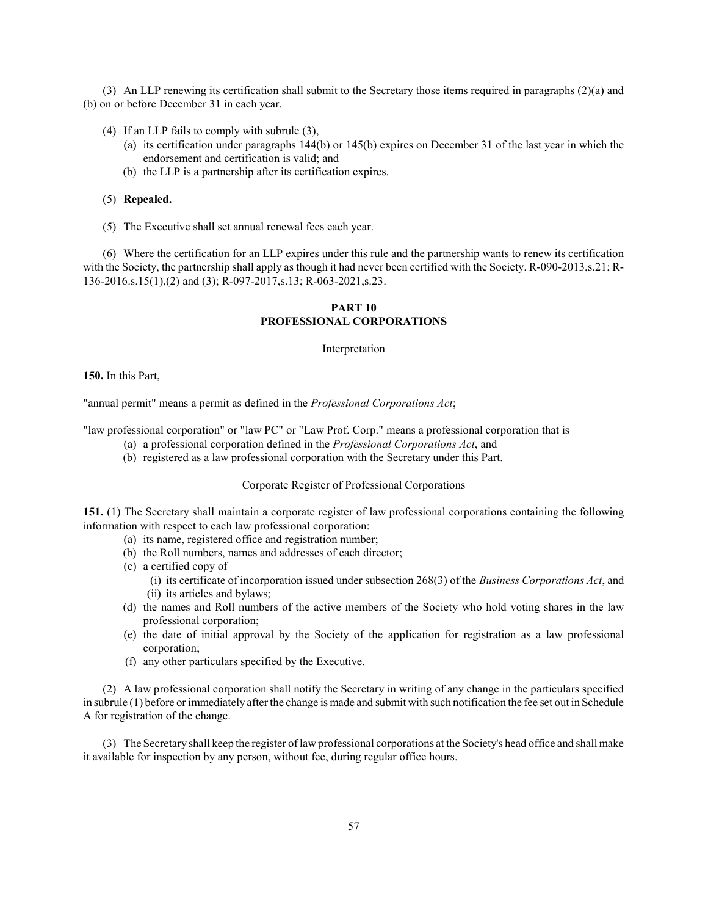(3) An LLP renewing its certification shall submit to the Secretary those items required in paragraphs (2)(a) and (b) on or before December 31 in each year.

- (4) If an LLP fails to comply with subrule (3),
	- (a) its certification under paragraphs 144(b) or 145(b) expires on December 31 of the last year in which the endorsement and certification is valid; and
	- (b) the LLP is a partnership after its certification expires.

### (5) Repealed.

(5) The Executive shall set annual renewal fees each year.

(6) Where the certification for an LLP expires under this rule and the partnership wants to renew its certification with the Society, the partnership shall apply as though it had never been certified with the Society. R-090-2013,s.21; R-136-2016.s.15(1),(2) and (3); R-097-2017,s.13; R-063-2021,s.23.

### PART 10 PROFESSIONAL CORPORATIONS

Interpretation

150. In this Part,

"annual permit" means a permit as defined in the Professional Corporations Act;

"law professional corporation" or "law PC" or "Law Prof. Corp." means a professional corporation that is

- (a) a professional corporation defined in the Professional Corporations Act, and
- (b) registered as a law professional corporation with the Secretary under this Part.

### Corporate Register of Professional Corporations

151. (1) The Secretary shall maintain a corporate register of law professional corporations containing the following information with respect to each law professional corporation:

- (a) its name, registered office and registration number;
- (b) the Roll numbers, names and addresses of each director;
- (c) a certified copy of
	- (i) its certificate of incorporation issued under subsection  $268(3)$  of the *Business Corporations Act*, and (ii) its articles and bylaws;
- (d) the names and Roll numbers of the active members of the Society who hold voting shares in the law professional corporation;
- (e) the date of initial approval by the Society of the application for registration as a law professional corporation;
- (f) any other particulars specified by the Executive.

(2) A law professional corporation shall notify the Secretary in writing of any change in the particulars specified in subrule (1) before or immediately after the change is made and submit with such notification the fee set out in Schedule A for registration of the change.

(3) The Secretary shall keep the register of law professional corporations at the Society's head office and shall make it available for inspection by any person, without fee, during regular office hours.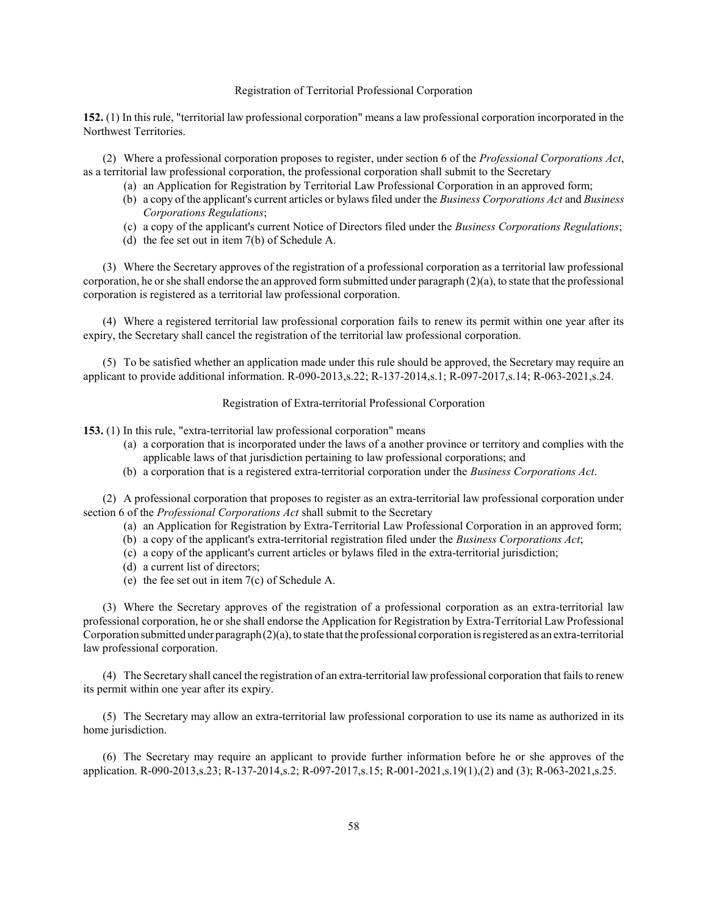### Registration of Territorial Professional Corporation

152. (1) In this rule, "territorial law professional corporation" means a law professional corporation incorporated in the Northwest Territories.

(2) Where a professional corporation proposes to register, under section 6 of the Professional Corporations Act, as a territorial law professional corporation, the professional corporation shall submit to the Secretary

- (a) an Application for Registration by Territorial Law Professional Corporation in an approved form;
- (b) a copy of the applicant's current articles or bylaws filed under the Business Corporations Act and Business Corporations Regulations;
- (c) a copy of the applicant's current Notice of Directors filed under the Business Corporations Regulations;
- (d) the fee set out in item 7(b) of Schedule A.

(3) Where the Secretary approves of the registration of a professional corporation as a territorial law professional corporation, he or she shall endorse the an approved form submitted under paragraph (2)(a), to state that the professional corporation is registered as a territorial law professional corporation.

(4) Where a registered territorial law professional corporation fails to renew its permit within one year after its expiry, the Secretary shall cancel the registration of the territorial law professional corporation.

(5) To be satisfied whether an application made under this rule should be approved, the Secretary may require an applicant to provide additional information. R-090-2013,s.22; R-137-2014,s.1; R-097-2017,s.14; R-063-2021,s.24.

Registration of Extra-territorial Professional Corporation

153. (1) In this rule, "extra-territorial law professional corporation" means

- (a) a corporation that is incorporated under the laws of a another province or territory and complies with the applicable laws of that jurisdiction pertaining to law professional corporations; and
- (b) a corporation that is a registered extra-territorial corporation under the Business Corporations Act.

(2) A professional corporation that proposes to register as an extra-territorial law professional corporation under section 6 of the *Professional Corporations Act* shall submit to the Secretary

- (a) an Application for Registration by Extra-Territorial Law Professional Corporation in an approved form;
- (b) a copy of the applicant's extra-territorial registration filed under the Business Corporations Act;
- (c) a copy of the applicant's current articles or bylaws filed in the extra-territorial jurisdiction;
- (d) a current list of directors;
- (e) the fee set out in item 7(c) of Schedule A.

(3) Where the Secretary approves of the registration of a professional corporation as an extra-territorial law professional corporation, he or she shall endorse the Application for Registration by Extra-Territorial Law Professional Corporation submitted under paragraph (2)(a), to state that the professional corporation is registered as an extra-territorial law professional corporation.

(4) The Secretary shall cancel the registration of an extra-territorial law professional corporation that fails to renew its permit within one year after its expiry.

(5) The Secretary may allow an extra-territorial law professional corporation to use its name as authorized in its home jurisdiction.

(6) The Secretary may require an applicant to provide further information before he or she approves of the application. R-090-2013,s.23; R-137-2014,s.2; R-097-2017,s.15; R-001-2021,s.19(1),(2) and (3); R-063-2021,s.25.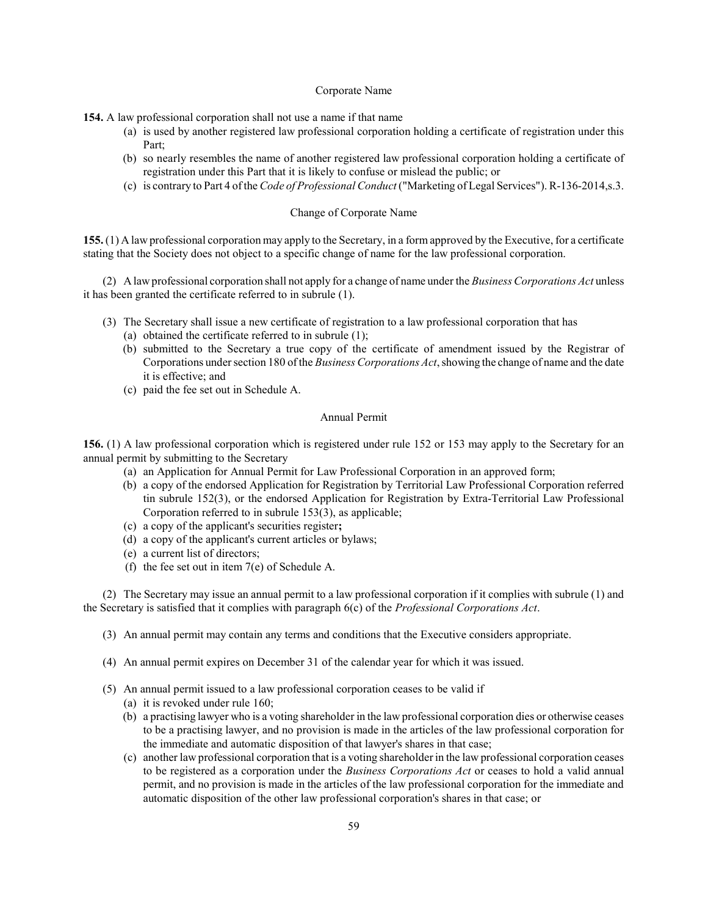### Corporate Name

154. A law professional corporation shall not use a name if that name

- (a) is used by another registered law professional corporation holding a certificate of registration under this Part;
- (b) so nearly resembles the name of another registered law professional corporation holding a certificate of registration under this Part that it is likely to confuse or mislead the public; or
- (c) is contrary to Part 4 of the Code of Professional Conduct ("Marketing of Legal Services"). R-136-2014,s.3.

### Change of Corporate Name

155. (1) A law professional corporation may apply to the Secretary, in a form approved by the Executive, for a certificate stating that the Society does not object to a specific change of name for the law professional corporation.

(2) A law professional corporation shall not apply for a change of name under the Business Corporations Act unless it has been granted the certificate referred to in subrule (1).

- (3) The Secretary shall issue a new certificate of registration to a law professional corporation that has
	- (a) obtained the certificate referred to in subrule (1);
	- (b) submitted to the Secretary a true copy of the certificate of amendment issued by the Registrar of Corporations under section 180 of the Business Corporations Act, showing the change of name and the date it is effective; and
	- (c) paid the fee set out in Schedule A.

### Annual Permit

156. (1) A law professional corporation which is registered under rule 152 or 153 may apply to the Secretary for an annual permit by submitting to the Secretary

- (a) an Application for Annual Permit for Law Professional Corporation in an approved form;
- (b) a copy of the endorsed Application for Registration by Territorial Law Professional Corporation referred tin subrule 152(3), or the endorsed Application for Registration by Extra-Territorial Law Professional Corporation referred to in subrule 153(3), as applicable;
- (c) a copy of the applicant's securities register;
- (d) a copy of the applicant's current articles or bylaws;
- (e) a current list of directors;
- (f) the fee set out in item 7(e) of Schedule A.

(2) The Secretary may issue an annual permit to a law professional corporation if it complies with subrule (1) and the Secretary is satisfied that it complies with paragraph  $6(c)$  of the *Professional Corporations Act*.

- (3) An annual permit may contain any terms and conditions that the Executive considers appropriate.
- (4) An annual permit expires on December 31 of the calendar year for which it was issued.
- (5) An annual permit issued to a law professional corporation ceases to be valid if
	- (a) it is revoked under rule 160;
	- (b) a practising lawyer who is a voting shareholder in the law professional corporation dies or otherwise ceases to be a practising lawyer, and no provision is made in the articles of the law professional corporation for the immediate and automatic disposition of that lawyer's shares in that case;
	- (c) another law professional corporation that is a voting shareholder in the law professional corporation ceases to be registered as a corporation under the Business Corporations Act or ceases to hold a valid annual permit, and no provision is made in the articles of the law professional corporation for the immediate and automatic disposition of the other law professional corporation's shares in that case; or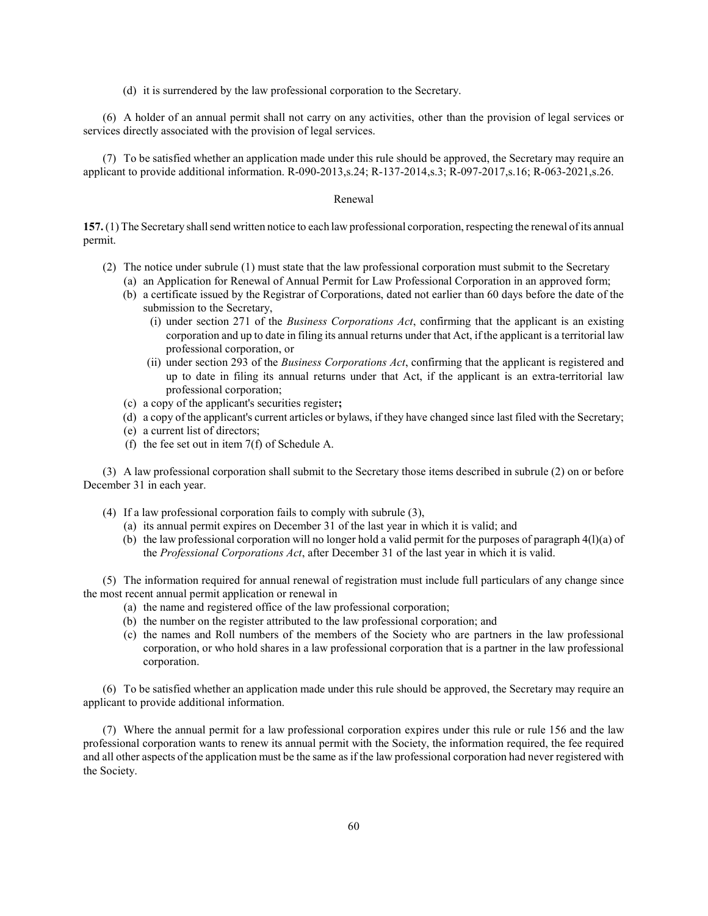(d) it is surrendered by the law professional corporation to the Secretary.

(6) A holder of an annual permit shall not carry on any activities, other than the provision of legal services or services directly associated with the provision of legal services.

(7) To be satisfied whether an application made under this rule should be approved, the Secretary may require an applicant to provide additional information. R-090-2013,s.24; R-137-2014,s.3; R-097-2017,s.16; R-063-2021,s.26.

#### Renewal

157. (1) The Secretary shall send written notice to each law professional corporation, respecting the renewal of its annual permit.

- (2) The notice under subrule (1) must state that the law professional corporation must submit to the Secretary (a) an Application for Renewal of Annual Permit for Law Professional Corporation in an approved form;
	- (b) a certificate issued by the Registrar of Corporations, dated not earlier than 60 days before the date of the submission to the Secretary,
		- (i) under section 271 of the Business Corporations Act, confirming that the applicant is an existing corporation and up to date in filing its annual returns under that Act, if the applicant is a territorial law professional corporation, or
		- (ii) under section 293 of the Business Corporations Act, confirming that the applicant is registered and up to date in filing its annual returns under that Act, if the applicant is an extra-territorial law professional corporation;
	- (c) a copy of the applicant's securities register;
	- (d) a copy of the applicant's current articles or bylaws, if they have changed since last filed with the Secretary;
	- (e) a current list of directors;
	- (f) the fee set out in item 7(f) of Schedule A.

(3) A law professional corporation shall submit to the Secretary those items described in subrule (2) on or before December 31 in each year.

- (4) If a law professional corporation fails to comply with subrule (3),
	- (a) its annual permit expires on December 31 of the last year in which it is valid; and
	- (b) the law professional corporation will no longer hold a valid permit for the purposes of paragraph 4(l)(a) of the Professional Corporations Act, after December 31 of the last year in which it is valid.

(5) The information required for annual renewal of registration must include full particulars of any change since the most recent annual permit application or renewal in

- (a) the name and registered office of the law professional corporation;
- (b) the number on the register attributed to the law professional corporation; and
- (c) the names and Roll numbers of the members of the Society who are partners in the law professional corporation, or who hold shares in a law professional corporation that is a partner in the law professional corporation.

(6) To be satisfied whether an application made under this rule should be approved, the Secretary may require an applicant to provide additional information.

(7) Where the annual permit for a law professional corporation expires under this rule or rule 156 and the law professional corporation wants to renew its annual permit with the Society, the information required, the fee required and all other aspects of the application must be the same as if the law professional corporation had never registered with the Society.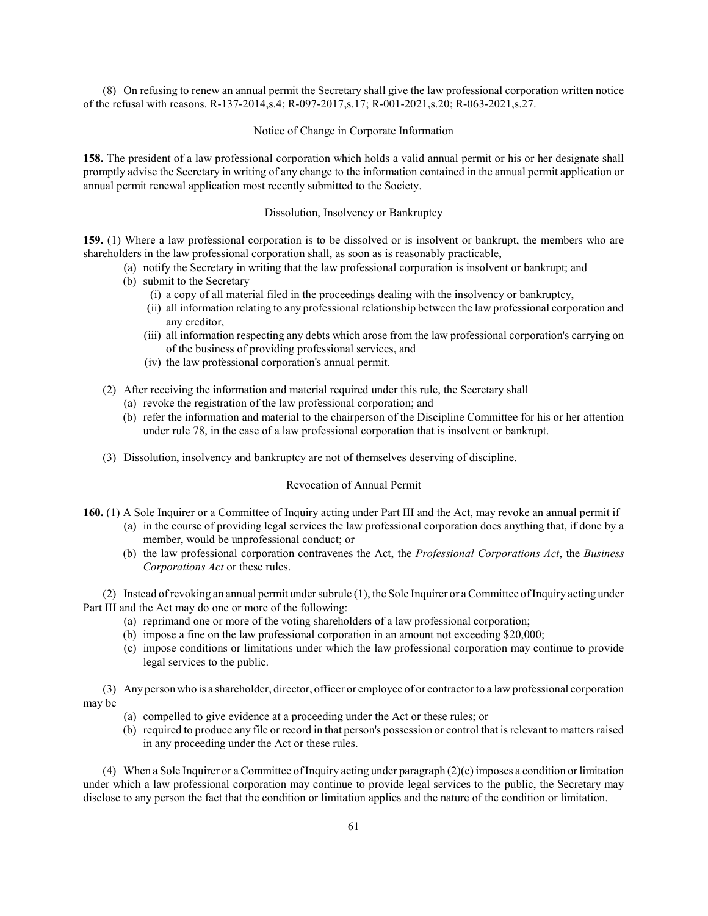(8) On refusing to renew an annual permit the Secretary shall give the law professional corporation written notice of the refusal with reasons. R-137-2014,s.4; R-097-2017,s.17; R-001-2021,s.20; R-063-2021,s.27.

#### Notice of Change in Corporate Information

158. The president of a law professional corporation which holds a valid annual permit or his or her designate shall promptly advise the Secretary in writing of any change to the information contained in the annual permit application or annual permit renewal application most recently submitted to the Society.

#### Dissolution, Insolvency or Bankruptcy

159. (1) Where a law professional corporation is to be dissolved or is insolvent or bankrupt, the members who are shareholders in the law professional corporation shall, as soon as is reasonably practicable,

- (a) notify the Secretary in writing that the law professional corporation is insolvent or bankrupt; and
- (b) submit to the Secretary
	- (i) a copy of all material filed in the proceedings dealing with the insolvency or bankruptcy,
	- (ii) all information relating to any professional relationship between the law professional corporation and any creditor,
	- (iii) all information respecting any debts which arose from the law professional corporation's carrying on of the business of providing professional services, and
	- (iv) the law professional corporation's annual permit.
- (2) After receiving the information and material required under this rule, the Secretary shall
	- (a) revoke the registration of the law professional corporation; and
	- (b) refer the information and material to the chairperson of the Discipline Committee for his or her attention under rule 78, in the case of a law professional corporation that is insolvent or bankrupt.
- (3) Dissolution, insolvency and bankruptcy are not of themselves deserving of discipline.

#### Revocation of Annual Permit

- 160. (1) A Sole Inquirer or a Committee of Inquiry acting under Part III and the Act, may revoke an annual permit if (a) in the course of providing legal services the law professional corporation does anything that, if done by a
	- member, would be unprofessional conduct; or
	- (b) the law professional corporation contravenes the Act, the Professional Corporations Act, the Business Corporations Act or these rules.

(2) Instead of revoking an annual permit under subrule (1), the Sole Inquirer or a Committee of Inquiry acting under Part III and the Act may do one or more of the following:

- (a) reprimand one or more of the voting shareholders of a law professional corporation;
- (b) impose a fine on the law professional corporation in an amount not exceeding \$20,000;
- (c) impose conditions or limitations under which the law professional corporation may continue to provide legal services to the public.

(3) Any person who is a shareholder, director, officer or employee of or contractor to a law professional corporation may be

- (a) compelled to give evidence at a proceeding under the Act or these rules; or
- (b) required to produce any file or record in that person's possession or control that is relevant to matters raised in any proceeding under the Act or these rules.

(4) When a Sole Inquirer or a Committee of Inquiry acting under paragraph  $(2)(c)$  imposes a condition or limitation under which a law professional corporation may continue to provide legal services to the public, the Secretary may disclose to any person the fact that the condition or limitation applies and the nature of the condition or limitation.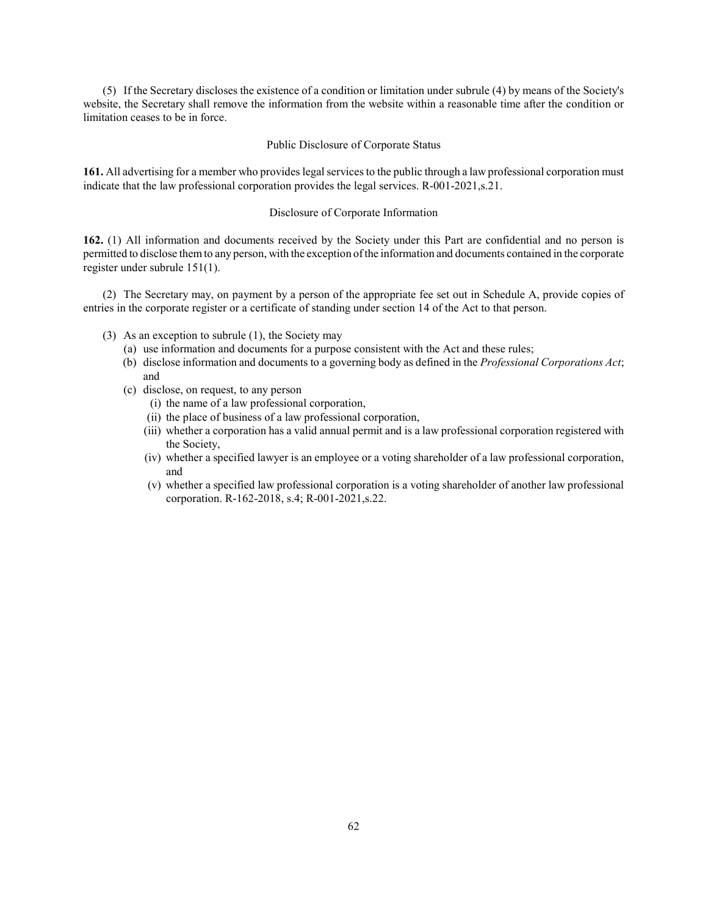(5) If the Secretary discloses the existence of a condition or limitation under subrule (4) by means of the Society's website, the Secretary shall remove the information from the website within a reasonable time after the condition or limitation ceases to be in force.

#### Public Disclosure of Corporate Status

161. All advertising for a member who provides legal services to the public through a law professional corporation must indicate that the law professional corporation provides the legal services. R-001-2021,s.21.

#### Disclosure of Corporate Information

162. (1) All information and documents received by the Society under this Part are confidential and no person is permitted to disclose them to any person, with the exception of the information and documents contained in the corporate register under subrule 151(1).

(2) The Secretary may, on payment by a person of the appropriate fee set out in Schedule A, provide copies of entries in the corporate register or a certificate of standing under section 14 of the Act to that person.

- (3) As an exception to subrule (1), the Society may
	- (a) use information and documents for a purpose consistent with the Act and these rules;
	- (b) disclose information and documents to a governing body as defined in the Professional Corporations Act; and
	- (c) disclose, on request, to any person
		- (i) the name of a law professional corporation,
		- (ii) the place of business of a law professional corporation,
		- (iii) whether a corporation has a valid annual permit and is a law professional corporation registered with the Society,
		- (iv) whether a specified lawyer is an employee or a voting shareholder of a law professional corporation, and
		- (v) whether a specified law professional corporation is a voting shareholder of another law professional corporation. R-162-2018, s.4; R-001-2021,s.22.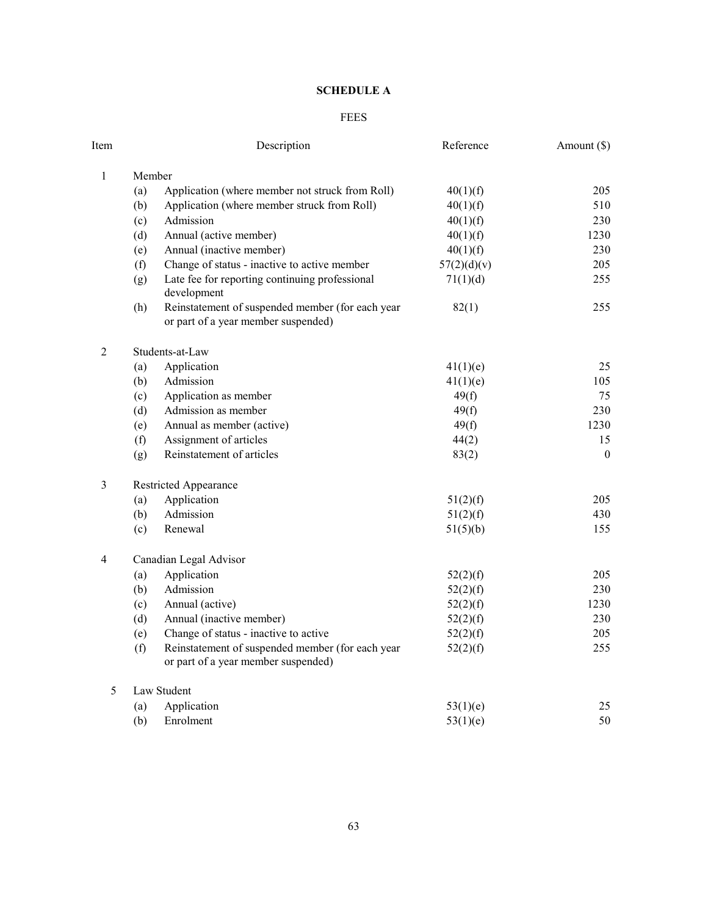# SCHEDULE A

# FEES

| Item           |                        | Description                                                                             | Reference   | Amount (\$)  |  |
|----------------|------------------------|-----------------------------------------------------------------------------------------|-------------|--------------|--|
| $\mathbf{1}$   | Member                 |                                                                                         |             |              |  |
|                | (a)                    | Application (where member not struck from Roll)                                         | 40(1)(f)    | 205          |  |
|                | (b)                    | Application (where member struck from Roll)                                             | 40(1)(f)    | 510          |  |
|                | (c)                    | Admission                                                                               | 40(1)(f)    | 230          |  |
|                | (d)                    | Annual (active member)                                                                  | 40(1)(f)    | 1230         |  |
|                | (e)                    | Annual (inactive member)                                                                | 40(1)(f)    | 230          |  |
|                | (f)                    | Change of status - inactive to active member                                            | 57(2)(d)(v) | 205          |  |
|                | (g)                    | Late fee for reporting continuing professional<br>development                           | 71(1)(d)    | 255          |  |
|                | (h)                    | Reinstatement of suspended member (for each year<br>or part of a year member suspended) | 82(1)       | 255          |  |
| $\overline{2}$ | Students-at-Law        |                                                                                         |             |              |  |
|                | (a)                    | Application                                                                             | 41(1)(e)    | 25           |  |
|                | (b)                    | Admission                                                                               | 41(1)(e)    | 105          |  |
|                | (c)                    | Application as member                                                                   | 49(f)       | 75           |  |
|                | (d)                    | Admission as member                                                                     | 49(f)       | 230          |  |
|                | (e)                    | Annual as member (active)                                                               | 49(f)       | 1230         |  |
|                | (f)                    | Assignment of articles                                                                  | 44(2)       | 15           |  |
|                | (g)                    | Reinstatement of articles                                                               | 83(2)       | $\mathbf{0}$ |  |
| $\mathfrak{Z}$ | Restricted Appearance  |                                                                                         |             |              |  |
|                | (a)                    | Application                                                                             | 51(2)(f)    | 205          |  |
|                | (b)                    | Admission                                                                               | 51(2)(f)    | 430          |  |
|                | (c)                    | Renewal                                                                                 | 51(5)(b)    | 155          |  |
| 4              | Canadian Legal Advisor |                                                                                         |             |              |  |
|                | (a)                    | Application                                                                             | 52(2)(f)    | 205          |  |
|                | (b)                    | Admission                                                                               | 52(2)(f)    | 230          |  |
|                | (c)                    | Annual (active)                                                                         | 52(2)(f)    | 1230         |  |
|                | (d)                    | Annual (inactive member)                                                                | 52(2)(f)    | 230          |  |
|                | (e)                    | Change of status - inactive to active                                                   | 52(2)(f)    | 205          |  |
|                | (f)                    | Reinstatement of suspended member (for each year<br>or part of a year member suspended) | 52(2)(f)    | 255          |  |
| 5              |                        | Law Student                                                                             |             |              |  |
|                | (a)                    | Application                                                                             | 53(1)(e)    | 25           |  |
|                | (b)                    | Enrolment                                                                               | 53(1)(e)    | 50           |  |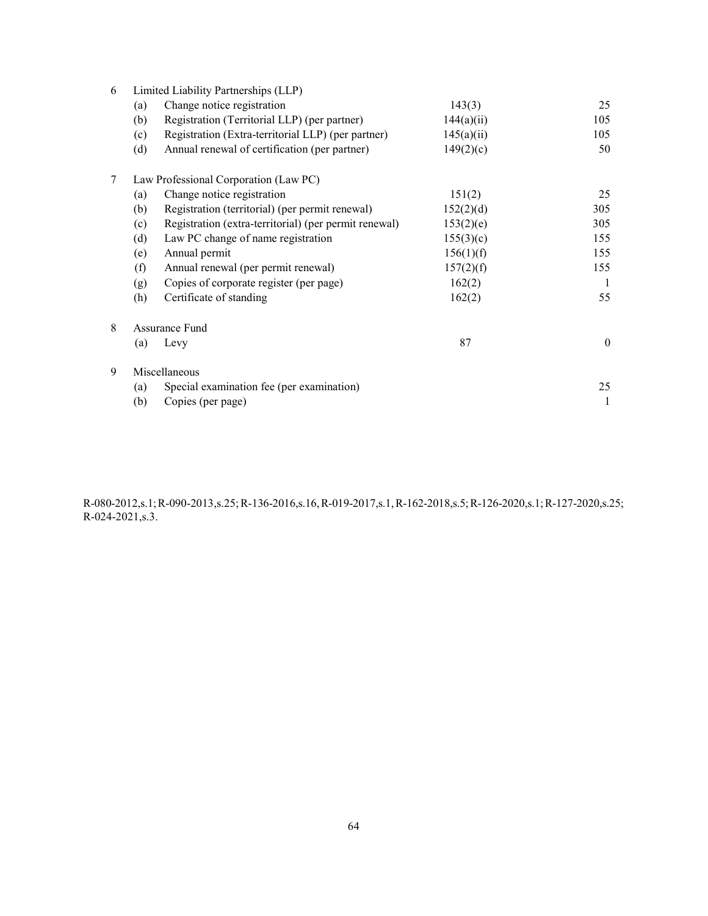| 6 | Limited Liability Partnerships (LLP)  |                                                       |            |          |  |
|---|---------------------------------------|-------------------------------------------------------|------------|----------|--|
|   | (a)                                   | Change notice registration                            | 143(3)     | 25       |  |
|   | (b)                                   | Registration (Territorial LLP) (per partner)          | 144(a)(ii) | 105      |  |
|   | (c)                                   | Registration (Extra-territorial LLP) (per partner)    | 145(a)(ii) | 105      |  |
|   | (d)                                   | Annual renewal of certification (per partner)         | 149(2)(c)  | 50       |  |
| 7 | Law Professional Corporation (Law PC) |                                                       |            |          |  |
|   | (a)                                   | Change notice registration                            | 151(2)     | 25       |  |
|   | (b)                                   | Registration (territorial) (per permit renewal)       | 152(2)(d)  | 305      |  |
|   | (c)                                   | Registration (extra-territorial) (per permit renewal) | 153(2)(e)  | 305      |  |
|   | (d)                                   | Law PC change of name registration                    | 155(3)(c)  | 155      |  |
|   | (e)                                   | Annual permit                                         | 156(1)(f)  | 155      |  |
|   | (f)                                   | Annual renewal (per permit renewal)                   | 157(2)(f)  | 155      |  |
|   | (g)                                   | Copies of corporate register (per page)               | 162(2)     | 1        |  |
|   | (h)                                   | Certificate of standing                               | 162(2)     | 55       |  |
| 8 | Assurance Fund                        |                                                       |            |          |  |
|   | (a)                                   | Levy                                                  | 87         | $\theta$ |  |
| 9 |                                       | Miscellaneous                                         |            |          |  |
|   | (a)                                   | Special examination fee (per examination)             |            | 25       |  |
|   | (b)                                   | Copies (per page)                                     |            |          |  |

R-080-2012,s.1; R-090-2013,s.25; R-136-2016,s.16, R-019-2017,s.1, R-162-2018,s.5; R-126-2020,s.1; R-127-2020,s.25; R-024-2021,s.3.